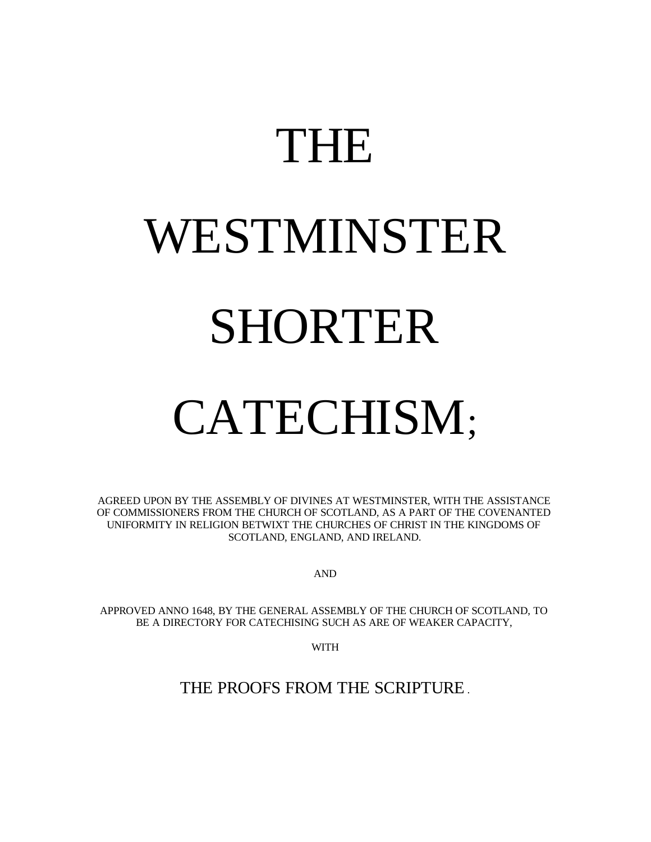# THE WESTMINSTER SHORTER

# CATECHISM;

AGREED UPON BY THE ASSEMBLY OF DIVINES AT WESTMINSTER, WITH THE ASSISTANCE OF COMMISSIONERS FROM THE CHURCH OF SCOTLAND, AS A PART OF THE COVENANTED UNIFORMITY IN RELIGION BETWIXT THE CHURCHES OF CHRIST IN THE KINGDOMS OF SCOTLAND, ENGLAND, AND IRELAND.

AND

APPROVED ANNO 1648, BY THE GENERAL ASSEMBLY OF THE CHURCH OF SCOTLAND, TO BE A DIRECTORY FOR CATECHISING SUCH AS ARE OF WEAKER CAPACITY,

WITH

THE PROOFS FROM THE SCRIPTURE .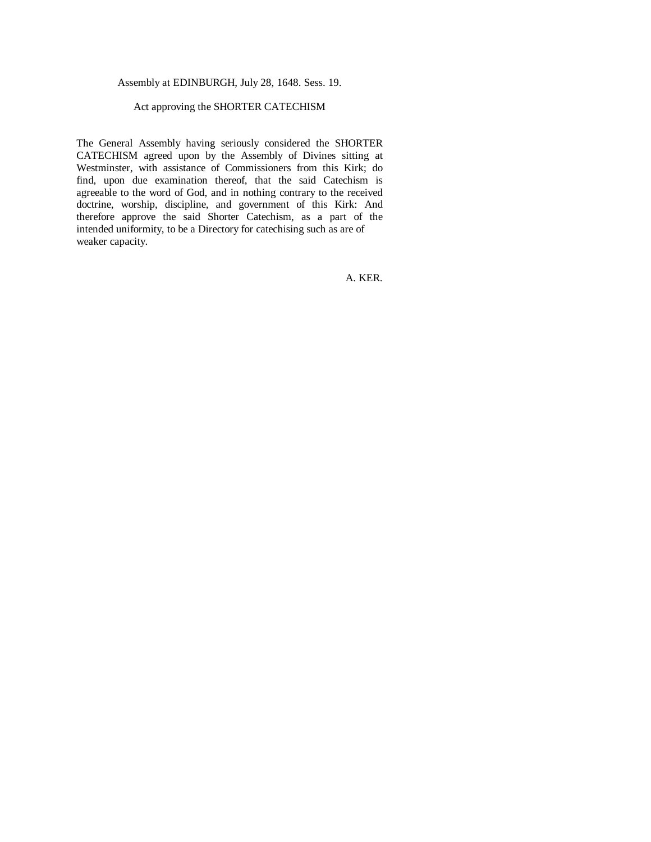#### Assembly at EDINBURGH, July 28, 1648. Sess. 19.

#### Act approving the SHORTER CATECHISM

The General Assembly having seriously considered the SHORTER CATECHISM agreed upon by the Assembly of Divines sitting at Westminster, with assistance of Commissioners from this Kirk; do find, upon due examination thereof, that the said Catechism is agreeable to the word of God, and in nothing contrary to the received doctrine, worship, discipline, and government of this Kirk: And therefore approve the said Shorter Catechism, as a part of the intended uniformity, to be a Directory for catechising such as are of weaker capacity.

A. KER.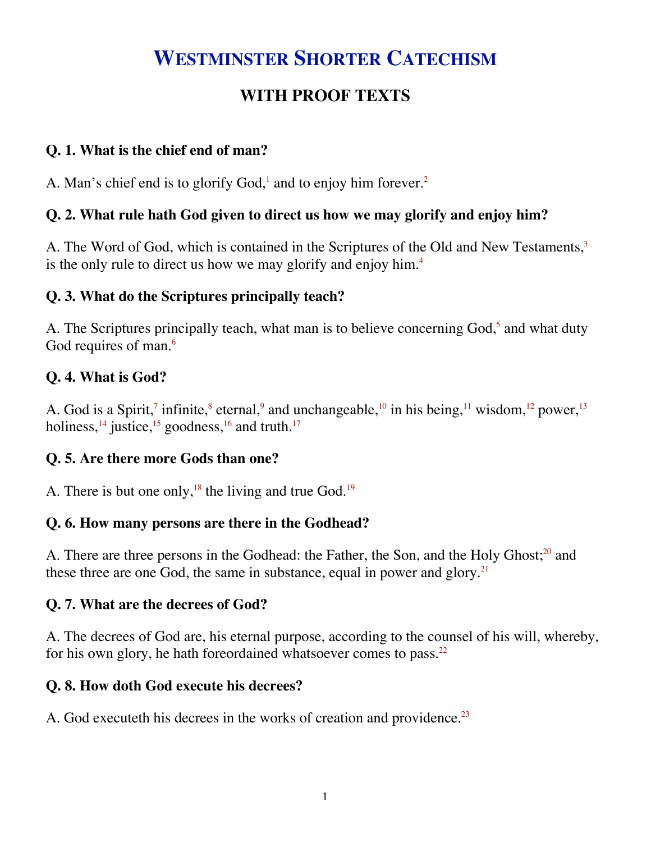## **WESTMINSTER SHORTER CATECHISM**

### **WITH PROOF TEXTS**

#### **Q. 1. What is the chief end of man?**

A. Man's chief end is to glorify God, $^1$  and to enjoy him forever.<sup>2</sup>

#### **Q. 2. What rule hath God given to direct us how we may glorify and enjoy him?**

A. The Word of God, which is contained in the Scriptures of the Old and New Testaments,<sup>3</sup> is the only rule to direct us how we may glorify and enjoy him.<sup>4</sup>

#### **Q. 3. What do the Scriptures principally teach?**

A. The Scriptures principally teach, what man is to believe concerning God,<sup>5</sup> and what duty God requires of man.<sup>6</sup>

#### **Q. 4. What is God?**

A. God is a Spirit,<sup>7</sup> infinite,<sup>8</sup> eternal,<sup>9</sup> and unchangeable,<sup>10</sup> in his being,<sup>11</sup> wisdom,<sup>12</sup> power,<sup>13</sup> holiness,<sup>14</sup> justice,<sup>15</sup> goodness,<sup>16</sup> and truth.<sup>17</sup>

#### **Q. 5. Are there more Gods than one?**

A. There is but one only,<sup>18</sup> the living and true God.<sup>19</sup>

#### **Q. 6. How many persons are there in the Godhead?**

A. There are three persons in the Godhead: the Father, the Son, and the Holy Ghost;<sup>20</sup> and these three are one God, the same in substance, equal in power and glory. $2<sup>1</sup>$ 

#### **Q. 7. What are the decrees of God?**

A. The decrees of God are, his eternal purpose, according to the counsel of his will, whereby, for his own glory, he hath foreordained whatsoever comes to pass.<sup>22</sup>

#### **Q. 8. How doth God execute his decrees?**

A. God executeth his decrees in the works of creation and providence.<sup>23</sup>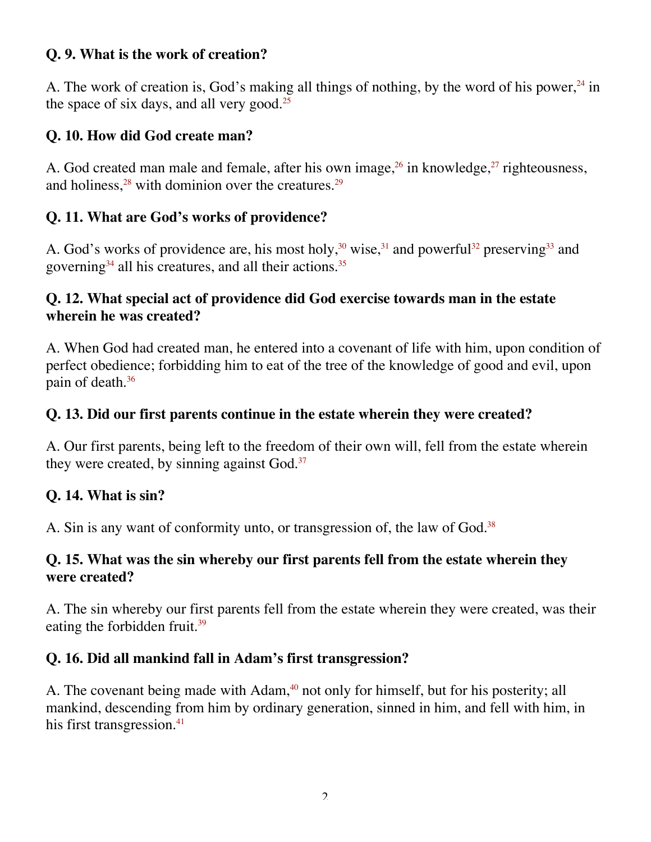#### **Q. 9. What is the work of creation?**

A. The work of creation is, God's making all things of nothing, by the word of his power, $24$  in the space of six days, and all very good.<sup>25</sup>

#### **Q. 10. How did God create man?**

A. God created man male and female, after his own image,  $26$  in knowledge,  $27$  righteousness, and holiness, $28$  with dominion over the creatures. $29$ 

#### **Q. 11. What are God's works of providence?**

A. God's works of providence are, his most holy,<sup>30</sup> wise,<sup>31</sup> and powerful<sup>32</sup> preserving<sup>33</sup> and governing<sup>34</sup> all his creatures, and all their actions.<sup>35</sup>

#### **Q. 12. What special act of providence did God exercise towards man in the estate wherein he was created?**

A. When God had created man, he entered into a covenant of life with him, upon condition of perfect obedience; forbidding him to eat of the tree of the knowledge of good and evil, upon pain of death. $36$ 

#### **Q. 13. Did our first parents continue in the estate wherein they were created?**

A. Our first parents, being left to the freedom of their own will, fell from the estate wherein they were created, by sinning against God.<sup>37</sup>

#### **Q. 14. What is sin?**

A. Sin is any want of conformity unto, or transgression of, the law of God.<sup>38</sup>

#### **Q. 15. What was the sin whereby our first parents fell from the estate wherein they were created?**

A. The sin whereby our first parents fell from the estate wherein they were created, was their eating the forbidden fruit.<sup>39</sup>

#### **Q. 16. Did all mankind fall in Adam's first transgression?**

A. The covenant being made with Adam,<sup>40</sup> not only for himself, but for his posterity; all mankind, descending from him by ordinary generation, sinned in him, and fell with him, in his first transgression. $41$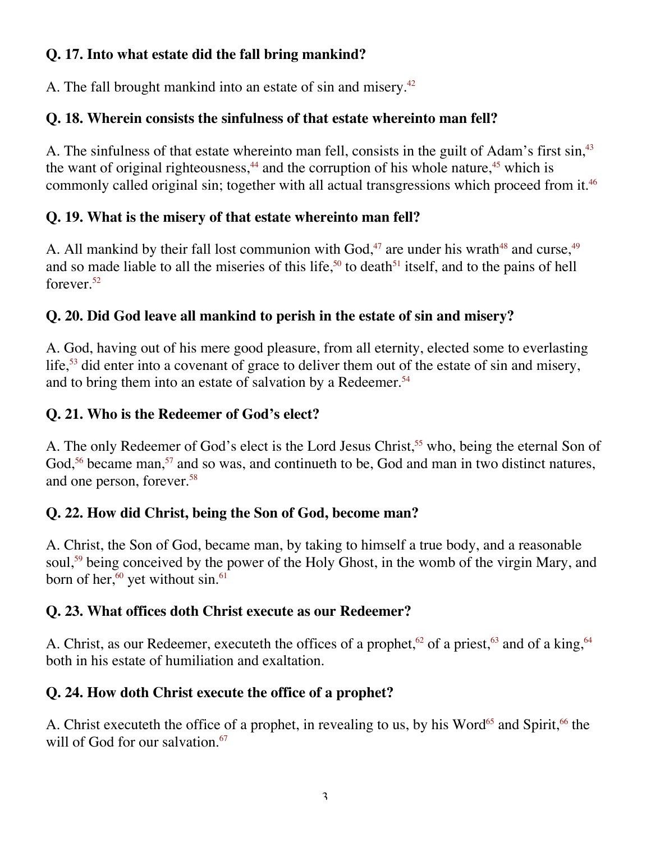#### **Q. 17. Into what estate did the fall bring mankind?**

A. The fall brought mankind into an estate of sin and misery.<sup>42</sup>

#### **Q. 18. Wherein consists the sinfulness of that estate whereinto man fell?**

A. The sinfulness of that estate whereinto man fell, consists in the guilt of Adam's first sin,<sup>43</sup> the want of original righteousness, $44$  and the corruption of his whole nature, $45$  which is commonly called original sin; together with all actual transgressions which proceed from it.<sup>46</sup>

#### **Q. 19. What is the misery of that estate whereinto man fell?**

A. All mankind by their fall lost communion with God, $47$  are under his wrath $48$  and curse,  $49$ and so made liable to all the miseries of this life,<sup>50</sup> to death<sup>51</sup> itself, and to the pains of hell forever. $52$ 

### **Q. 20. Did God leave all mankind to perish in the estate of sin and misery?**

A. God, having out of his mere good pleasure, from all eternity, elected some to everlasting life,<sup>53</sup> did enter into a covenant of grace to deliver them out of the estate of sin and misery, and to bring them into an estate of salvation by a Redeemer.<sup>54</sup>

#### **Q. 21. Who is the Redeemer of God's elect?**

A. The only Redeemer of God's elect is the Lord Jesus Christ,<sup>55</sup> who, being the eternal Son of God,<sup>56</sup> became man,<sup>57</sup> and so was, and continueth to be, God and man in two distinct natures, and one person, forever.58

#### **Q. 22. How did Christ, being the Son of God, become man?**

A. Christ, the Son of God, became man, by taking to himself a true body, and a reasonable soul,<sup>59</sup> being conceived by the power of the Holy Ghost, in the womb of the virgin Mary, and born of her, $60$  yet without sin. $61$ 

#### **Q. 23. What offices doth Christ execute as our Redeemer?**

A. Christ, as our Redeemer, executeth the offices of a prophet,<sup>62</sup> of a priest,<sup>63</sup> and of a king,<sup>64</sup> both in his estate of humiliation and exaltation.

#### **Q. 24. How doth Christ execute the office of a prophet?**

A. Christ executeth the office of a prophet, in revealing to us, by his Word<sup>65</sup> and Spirit,<sup>66</sup> the will of God for our salvation.<sup>67</sup>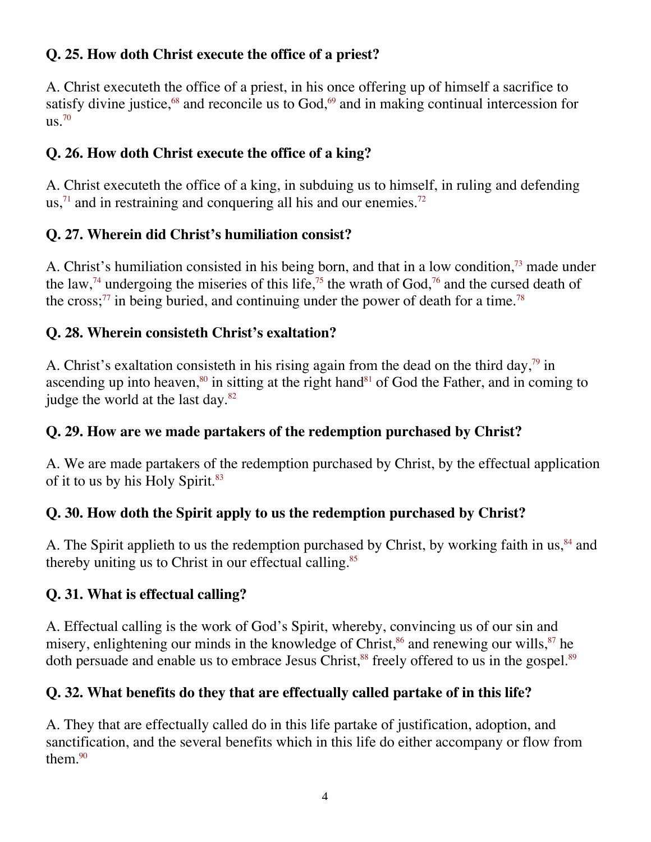#### **Q. 25. How doth Christ execute the office of a priest?**

A. Christ executeth the office of a priest, in his once offering up of himself a sacrifice to satisfy divine justice, $68$  and reconcile us to God, $69$  and in making continual intercession for  $\text{us}^{\,70}$ 

#### **Q. 26. How doth Christ execute the office of a king?**

A. Christ executeth the office of a king, in subduing us to himself, in ruling and defending us, $\frac{71}{1}$  and in restraining and conquering all his and our enemies.<sup>72</sup>

#### **Q. 27. Wherein did Christ's humiliation consist?**

A. Christ's humiliation consisted in his being born, and that in a low condition,<sup>73</sup> made under the law,<sup>74</sup> undergoing the miseries of this life,<sup>75</sup> the wrath of God,<sup>76</sup> and the cursed death of the cross;<sup>77</sup> in being buried, and continuing under the power of death for a time.<sup>78</sup>

#### **Q. 28. Wherein consisteth Christ's exaltation?**

A. Christ's exaltation consisteth in his rising again from the dead on the third day,<sup>79</sup> in ascending up into heaven, $80$  in sitting at the right hand $81$  of God the Father, and in coming to judge the world at the last day.<sup>82</sup>

#### **Q. 29. How are we made partakers of the redemption purchased by Christ?**

A. We are made partakers of the redemption purchased by Christ, by the effectual application of it to us by his Holy Spirit.<sup>83</sup>

#### **Q. 30. How doth the Spirit apply to us the redemption purchased by Christ?**

A. The Spirit applieth to us the redemption purchased by Christ, by working faith in us, 84 and thereby uniting us to Christ in our effectual calling.<sup>85</sup>

#### **Q. 31. What is effectual calling?**

A. Effectual calling is the work of God's Spirit, whereby, convincing us of our sin and misery, enlightening our minds in the knowledge of Christ,  $86$  and renewing our wills,  $87$  he doth persuade and enable us to embrace Jesus Christ,<sup>88</sup> freely offered to us in the gospel.<sup>89</sup>

#### **Q. 32. What benefits do they that are effectually called partake of in this life?**

A. They that are effectually called do in this life partake of justification, adoption, and sanctification, and the several benefits which in this life do either accompany or flow from them. $90$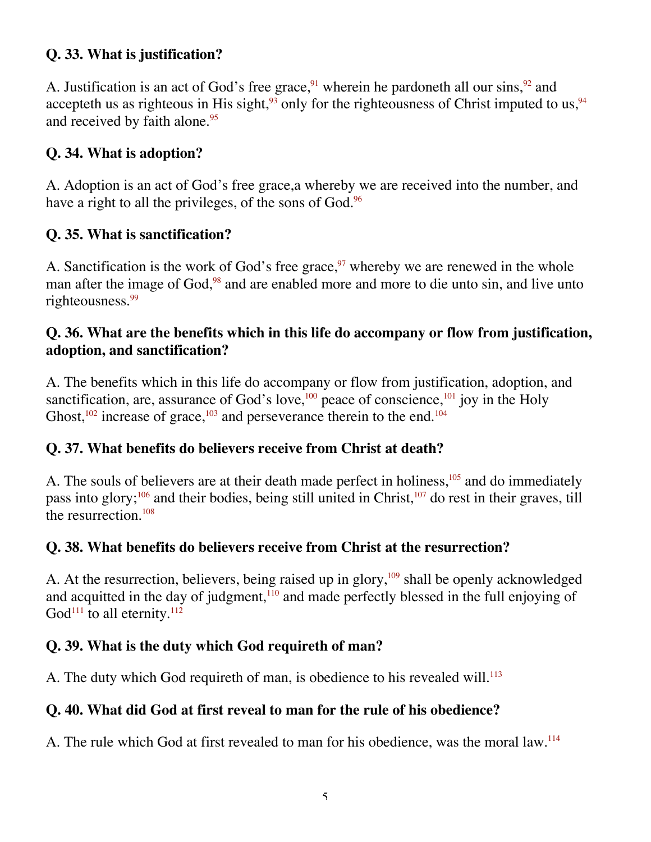#### **Q. 33. What is justification?**

A. Justification is an act of God's free grace, wherein he pardoneth all our sins,  $92$  and accepteth us as righteous in His sight,<sup>93</sup> only for the righteousness of Christ imputed to us,<sup>94</sup> and received by faith alone.<sup>95</sup>

#### **Q. 34. What is adoption?**

A. Adoption is an act of God's free grace,a whereby we are received into the number, and have a right to all the privileges, of the sons of God.<sup>96</sup>

#### **Q. 35. What is sanctification?**

A. Sanctification is the work of God's free grace, $97$  whereby we are renewed in the whole man after the image of God,<sup>98</sup> and are enabled more and more to die unto sin, and live unto righteousness.<sup>99</sup>

#### **Q. 36. What are the benefits which in this life do accompany or flow from justification, adoption, and sanctification?**

A. The benefits which in this life do accompany or flow from justification, adoption, and sanctification, are, assurance of God's love,<sup>100</sup> peace of conscience,<sup>101</sup> joy in the Holy Ghost, $102$  increase of grace, $103$  and perseverance therein to the end. $104$ 

#### **Q. 37. What benefits do believers receive from Christ at death?**

A. The souls of believers are at their death made perfect in holiness, $105$  and do immediately pass into glory;<sup>106</sup> and their bodies, being still united in Christ,<sup>107</sup> do rest in their graves, till the resurrection.108

#### **Q. 38. What benefits do believers receive from Christ at the resurrection?**

A. At the resurrection, believers, being raised up in glory,  $109$  shall be openly acknowledged and acquitted in the day of judgment, $110$  and made perfectly blessed in the full enjoying of  $God<sup>111</sup>$  to all eternity.<sup>112</sup>

#### **Q. 39. What is the duty which God requireth of man?**

A. The duty which God requireth of man, is obedience to his revealed will.<sup>113</sup>

#### **Q. 40. What did God at first reveal to man for the rule of his obedience?**

A. The rule which God at first revealed to man for his obedience, was the moral law.<sup>114</sup>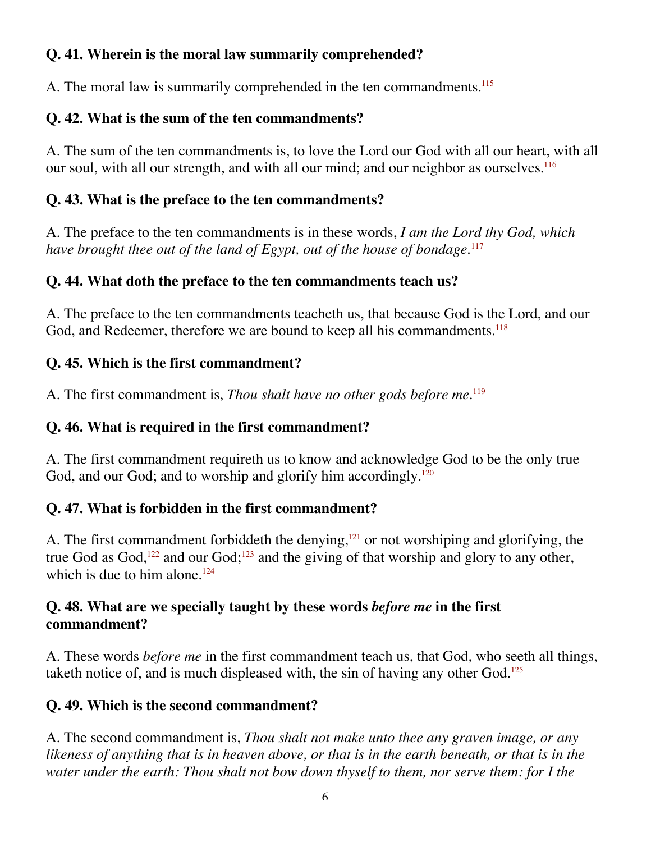#### **Q. 41. Wherein is the moral law summarily comprehended?**

A. The moral law is summarily comprehended in the ten commandments.<sup>115</sup>

#### **Q. 42. What is the sum of the ten commandments?**

A. The sum of the ten commandments is, to love the Lord our God with all our heart, with all our soul, with all our strength, and with all our mind; and our neighbor as ourselves.<sup>116</sup>

#### **Q. 43. What is the preface to the ten commandments?**

A. The preface to the ten commandments is in these words, *I am the Lord thy God, which have brought thee out of the land of Egypt, out of the house of bondage.*<sup>117</sup>

#### **Q. 44. What doth the preface to the ten commandments teach us?**

A. The preface to the ten commandments teacheth us, that because God is the Lord, and our God, and Redeemer, therefore we are bound to keep all his commandments.<sup>118</sup>

#### **Q. 45. Which is the first commandment?**

A. The first commandment is, *Thou shalt have no other gods before me.*<sup>119</sup>

#### **Q. 46. What is required in the first commandment?**

A. The first commandment requireth us to know and acknowledge God to be the only true God, and our God; and to worship and glorify him accordingly.<sup>120</sup>

#### **Q. 47. What is forbidden in the first commandment?**

A. The first commandment forbiddeth the denying, $121$  or not worshiping and glorifying, the true God as God,<sup>122</sup> and our God;<sup>123</sup> and the giving of that worship and glory to any other, which is due to him alone. $124$ 

#### **Q. 48. What are we specially taught by these words** *before me* **in the first commandment?**

A. These words *before me* in the first commandment teach us, that God, who seeth all things, taketh notice of, and is much displeased with, the sin of having any other God.<sup>125</sup>

#### **Q. 49. Which is the second commandment?**

A. The second commandment is, *Thou shalt not make unto thee any graven image, or any likeness of anything that is in heaven above, or that is in the earth beneath, or that is in the water under the earth: Thou shalt not bow down thyself to them, nor serve them: for I the*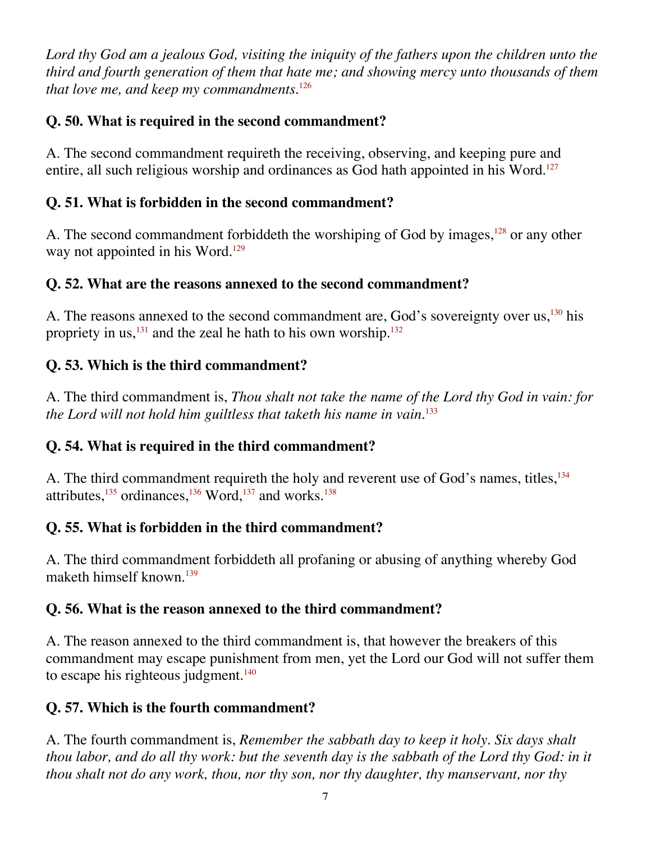*Lord thy God am a jealous God, visiting the iniquity of the fathers upon the children unto the third and fourth generation of them that hate me; and showing mercy unto thousands of them that love me, and keep my commandments.*<sup>126</sup>

#### **Q. 50. What is required in the second commandment?**

A. The second commandment requireth the receiving, observing, and keeping pure and entire, all such religious worship and ordinances as God hath appointed in his Word.<sup>127</sup>

#### **Q. 51. What is forbidden in the second commandment?**

A. The second commandment forbiddeth the worshiping of God by images,<sup>128</sup> or any other way not appointed in his Word.<sup>129</sup>

#### **Q. 52. What are the reasons annexed to the second commandment?**

A. The reasons annexed to the second commandment are, God's sovereignty over us, <sup>130</sup> his propriety in us,  $^{131}$  and the zeal he hath to his own worship.<sup>132</sup>

#### **Q. 53. Which is the third commandment?**

A. The third commandment is, *Thou shalt not take the name of the Lord thy God in vain: for the Lord will not hold him guiltless that taketh his name in vain.*<sup>133</sup>

#### **Q. 54. What is required in the third commandment?**

A. The third commandment requireth the holy and reverent use of God's names, titles,<sup>134</sup> attributes, $^{135}$  ordinances, $^{136}$  Word, $^{137}$  and works. $^{138}$ 

#### **Q. 55. What is forbidden in the third commandment?**

A. The third commandment forbiddeth all profaning or abusing of anything whereby God maketh himself known.<sup>139</sup>

#### **Q. 56. What is the reason annexed to the third commandment?**

A. The reason annexed to the third commandment is, that however the breakers of this commandment may escape punishment from men, yet the Lord our God will not suffer them to escape his righteous judgment. $140$ 

#### **Q. 57. Which is the fourth commandment?**

A. The fourth commandment is, *Remember the sabbath day to keep it holy. Six days shalt thou labor, and do all thy work: but the seventh day is the sabbath of the Lord thy God: in it thou shalt not do any work, thou, nor thy son, nor thy daughter, thy manservant, nor thy*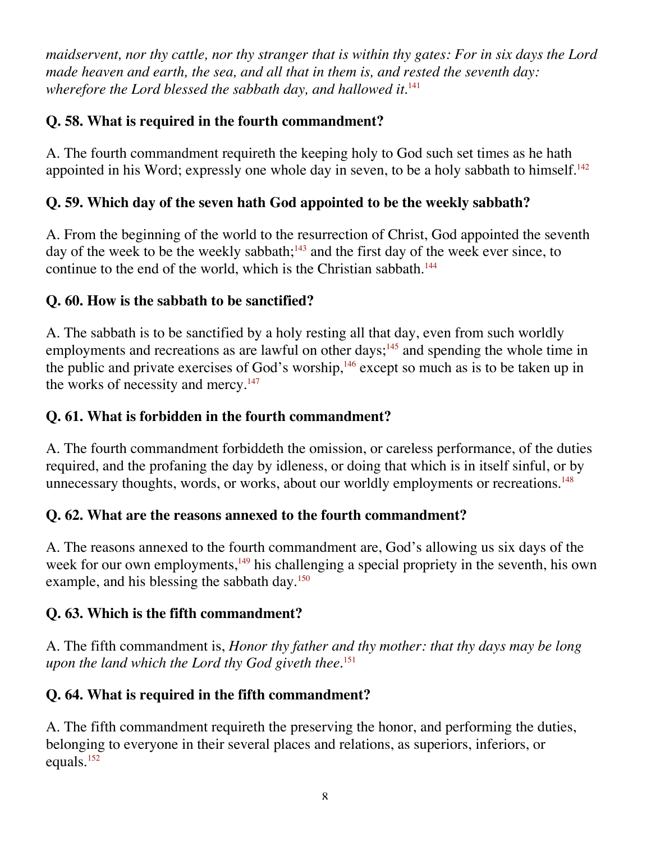*maidservent, nor thy cattle, nor thy stranger that is within thy gates: For in six days the Lord made heaven and earth, the sea, and all that in them is, and rested the seventh day:* wherefore the Lord blessed the sabbath day, and hallowed it.<sup>141</sup>

#### **Q. 58. What is required in the fourth commandment?**

A. The fourth commandment requireth the keeping holy to God such set times as he hath appointed in his Word; expressly one whole day in seven, to be a holy sabbath to himself.<sup>142</sup>

#### **Q. 59. Which day of the seven hath God appointed to be the weekly sabbath?**

A. From the beginning of the world to the resurrection of Christ, God appointed the seventh day of the week to be the weekly sabbath; $143$  and the first day of the week ever since, to continue to the end of the world, which is the Christian sabbath.<sup>144</sup>

#### **Q. 60. How is the sabbath to be sanctified?**

A. The sabbath is to be sanctified by a holy resting all that day, even from such worldly employments and recreations as are lawful on other days;<sup>145</sup> and spending the whole time in the public and private exercises of God's worship, $146$  except so much as is to be taken up in the works of necessity and mercy. $147$ 

#### **Q. 61. What is forbidden in the fourth commandment?**

A. The fourth commandment forbiddeth the omission, or careless performance, of the duties required, and the profaning the day by idleness, or doing that which is in itself sinful, or by unnecessary thoughts, words, or works, about our worldly employments or recreations.<sup>148</sup>

#### **Q. 62. What are the reasons annexed to the fourth commandment?**

A. The reasons annexed to the fourth commandment are, God's allowing us six days of the week for our own employments,<sup>149</sup> his challenging a special propriety in the seventh, his own example, and his blessing the sabbath day.<sup>150</sup>

#### **Q. 63. Which is the fifth commandment?**

A. The fifth commandment is, *Honor thy father and thy mother: that thy days may be long upon the land which the Lord thy God giveth thee.*<sup>151</sup>

#### **Q. 64. What is required in the fifth commandment?**

A. The fifth commandment requireth the preserving the honor, and performing the duties, belonging to everyone in their several places and relations, as superiors, inferiors, or equals.152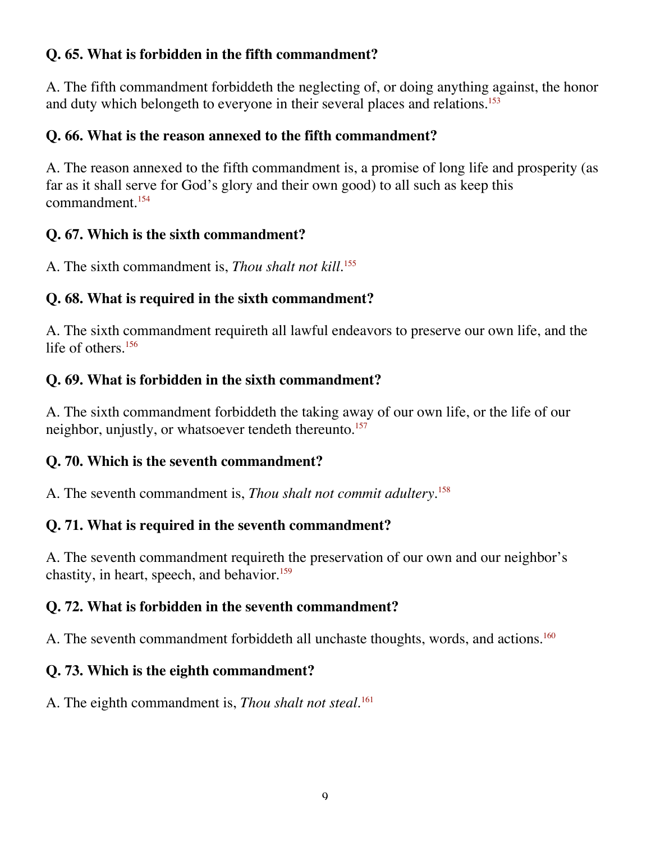#### **Q. 65. What is forbidden in the fifth commandment?**

A. The fifth commandment forbiddeth the neglecting of, or doing anything against, the honor and duty which belongeth to everyone in their several places and relations.<sup>153</sup>

#### **Q. 66. What is the reason annexed to the fifth commandment?**

A. The reason annexed to the fifth commandment is, a promise of long life and prosperity (as far as it shall serve for God's glory and their own good) to all such as keep this commandment $154$ 

#### **Q. 67. Which is the sixth commandment?**

A. The sixth commandment is, *Thou shalt not kill.*<sup>155</sup>

#### **Q. 68. What is required in the sixth commandment?**

A. The sixth commandment requireth all lawful endeavors to preserve our own life, and the life of others.<sup>156</sup>

#### **Q. 69. What is forbidden in the sixth commandment?**

A. The sixth commandment forbiddeth the taking away of our own life, or the life of our neighbor, unjustly, or whatsoever tendeth thereunto.<sup>157</sup>

#### **Q. 70. Which is the seventh commandment?**

A. The seventh commandment is, *Thou shalt not commit adultery.*<sup>158</sup>

#### **Q. 71. What is required in the seventh commandment?**

A. The seventh commandment requireth the preservation of our own and our neighbor's chastity, in heart, speech, and behavior.<sup>159</sup>

#### **Q. 72. What is forbidden in the seventh commandment?**

A. The seventh commandment forbiddeth all unchaste thoughts, words, and actions.<sup>160</sup>

#### **Q. 73. Which is the eighth commandment?**

A. The eighth commandment is, *Thou shalt not steal*.<sup>161</sup>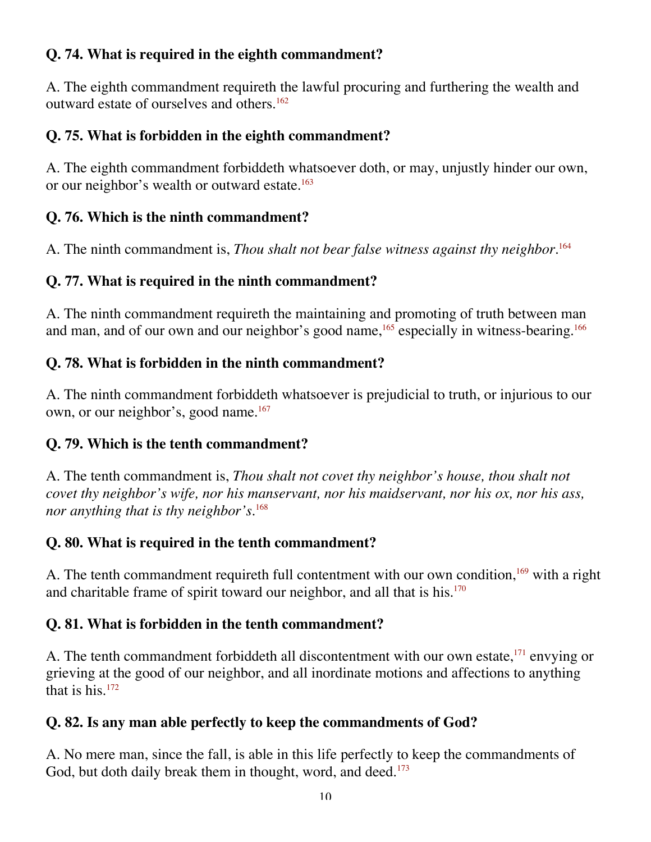#### **Q. 74. What is required in the eighth commandment?**

A. The eighth commandment requireth the lawful procuring and furthering the wealth and outward estate of ourselves and others.<sup>162</sup>

#### **Q. 75. What is forbidden in the eighth commandment?**

A. The eighth commandment forbiddeth whatsoever doth, or may, unjustly hinder our own, or our neighbor's wealth or outward estate.<sup>163</sup>

#### **Q. 76. Which is the ninth commandment?**

A. The ninth commandment is, *Thou shalt not bear false witness against thy neighbor.*<sup>164</sup>

#### **Q. 77. What is required in the ninth commandment?**

A. The ninth commandment requireth the maintaining and promoting of truth between man and man, and of our own and our neighbor's good name,  $^{165}$  especially in witness-bearing.<sup>166</sup>

#### **Q. 78. What is forbidden in the ninth commandment?**

A. The ninth commandment forbiddeth whatsoever is prejudicial to truth, or injurious to our own, or our neighbor's, good name.<sup>167</sup>

#### **Q. 79. Which is the tenth commandment?**

A. The tenth commandment is, *Thou shalt not covet thy neighbor's house, thou shalt not covet thy neighbor's wife, nor his manservant, nor his maidservant, nor his ox, nor his ass, nor anything that is thy neighbor's.*<sup>168</sup>

#### **Q. 80. What is required in the tenth commandment?**

A. The tenth commandment requireth full contentment with our own condition,<sup>169</sup> with a right and charitable frame of spirit toward our neighbor, and all that is his.<sup>170</sup>

#### **Q. 81. What is forbidden in the tenth commandment?**

A. The tenth commandment forbiddeth all discontentment with our own estate,<sup>171</sup> envying or grieving at the good of our neighbor, and all inordinate motions and affections to anything that is his.172

#### **Q. 82. Is any man able perfectly to keep the commandments of God?**

A. No mere man, since the fall, is able in this life perfectly to keep the commandments of God, but doth daily break them in thought, word, and deed. $173$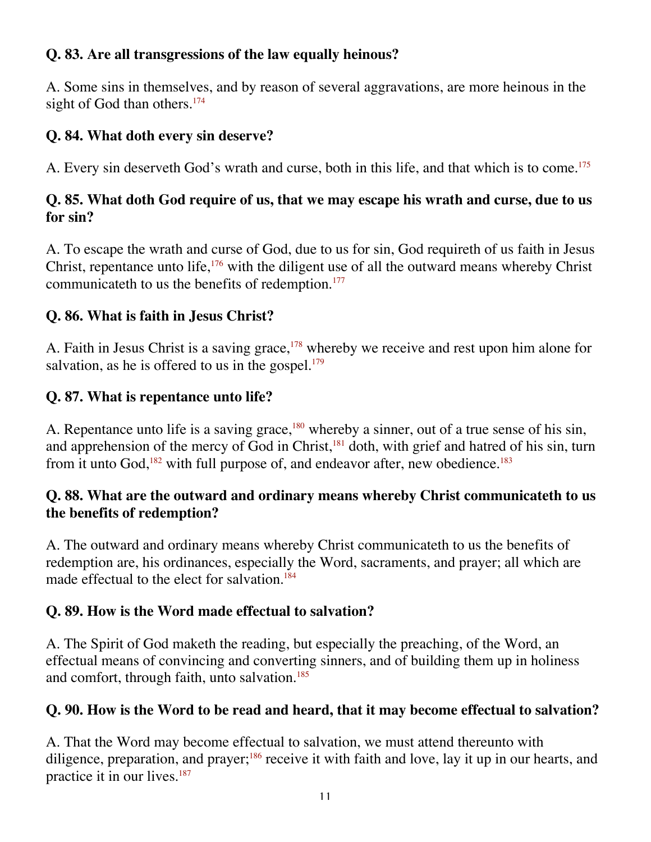#### **Q. 83. Are all transgressions of the law equally heinous?**

A. Some sins in themselves, and by reason of several aggravations, are more heinous in the sight of God than others.<sup>174</sup>

#### **Q. 84. What doth every sin deserve?**

A. Every sin deserveth God's wrath and curse, both in this life, and that which is to come.<sup>175</sup>

#### **Q. 85. What doth God require of us, that we may escape his wrath and curse, due to us for sin?**

A. To escape the wrath and curse of God, due to us for sin, God requireth of us faith in Jesus Christ, repentance unto life,<sup>176</sup> with the diligent use of all the outward means whereby Christ communicateth to us the benefits of redemption.<sup>177</sup>

#### **Q. 86. What is faith in Jesus Christ?**

A. Faith in Jesus Christ is a saving grace,<sup>178</sup> whereby we receive and rest upon him alone for salvation, as he is offered to us in the gospel. $179$ 

#### **Q. 87. What is repentance unto life?**

A. Repentance unto life is a saving grace,<sup>180</sup> whereby a sinner, out of a true sense of his sin, and apprehension of the mercy of God in Christ,<sup>181</sup> doth, with grief and hatred of his sin, turn from it unto God, $182$  with full purpose of, and endeavor after, new obedience.<sup>183</sup>

#### **Q. 88. What are the outward and ordinary means whereby Christ communicateth to us the benefits of redemption?**

A. The outward and ordinary means whereby Christ communicateth to us the benefits of redemption are, his ordinances, especially the Word, sacraments, and prayer; all which are made effectual to the elect for salvation.<sup>184</sup>

#### **Q. 89. How is the Word made effectual to salvation?**

A. The Spirit of God maketh the reading, but especially the preaching, of the Word, an effectual means of convincing and converting sinners, and of building them up in holiness and comfort, through faith, unto salvation.<sup>185</sup>

#### **Q. 90. How is the Word to be read and heard, that it may become effectual to salvation?**

A. That the Word may become effectual to salvation, we must attend thereunto with diligence, preparation, and prayer;<sup>186</sup> receive it with faith and love, lay it up in our hearts, and practice it in our lives.<sup>187</sup>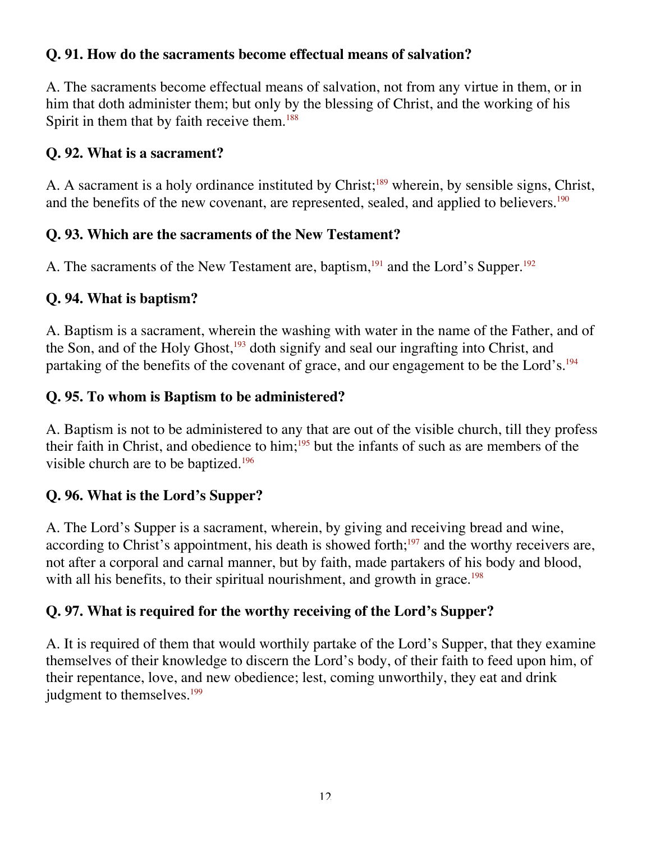#### **Q. 91. How do the sacraments become effectual means of salvation?**

A. The sacraments become effectual means of salvation, not from any virtue in them, or in him that doth administer them; but only by the blessing of Christ, and the working of his Spirit in them that by faith receive them.<sup>188</sup>

#### **Q. 92. What is a sacrament?**

A. A sacrament is a holy ordinance instituted by Christ;<sup>189</sup> wherein, by sensible signs, Christ, and the benefits of the new covenant, are represented, sealed, and applied to believers.<sup>190</sup>

#### **Q. 93. Which are the sacraments of the New Testament?**

A. The sacraments of the New Testament are, baptism,<sup>191</sup> and the Lord's Supper.<sup>192</sup>

#### **Q. 94. What is baptism?**

A. Baptism is a sacrament, wherein the washing with water in the name of the Father, and of the Son, and of the Holy Ghost, $193$  doth signify and seal our ingrafting into Christ, and partaking of the benefits of the covenant of grace, and our engagement to be the Lord's.<sup>194</sup>

#### **Q. 95. To whom is Baptism to be administered?**

A. Baptism is not to be administered to any that are out of the visible church, till they profess their faith in Christ, and obedience to him;<sup>195</sup> but the infants of such as are members of the visible church are to be baptized.<sup>196</sup>

#### **Q. 96. What is the Lord's Supper?**

A. The Lord's Supper is a sacrament, wherein, by giving and receiving bread and wine, according to Christ's appointment, his death is showed forth; $197$  and the worthy receivers are, not after a corporal and carnal manner, but by faith, made partakers of his body and blood, with all his benefits, to their spiritual nourishment, and growth in grace.<sup>198</sup>

#### **Q. 97. What is required for the worthy receiving of the Lord's Supper?**

A. It is required of them that would worthily partake of the Lord's Supper, that they examine themselves of their knowledge to discern the Lord's body, of their faith to feed upon him, of their repentance, love, and new obedience; lest, coming unworthily, they eat and drink judgment to themselves.<sup>199</sup>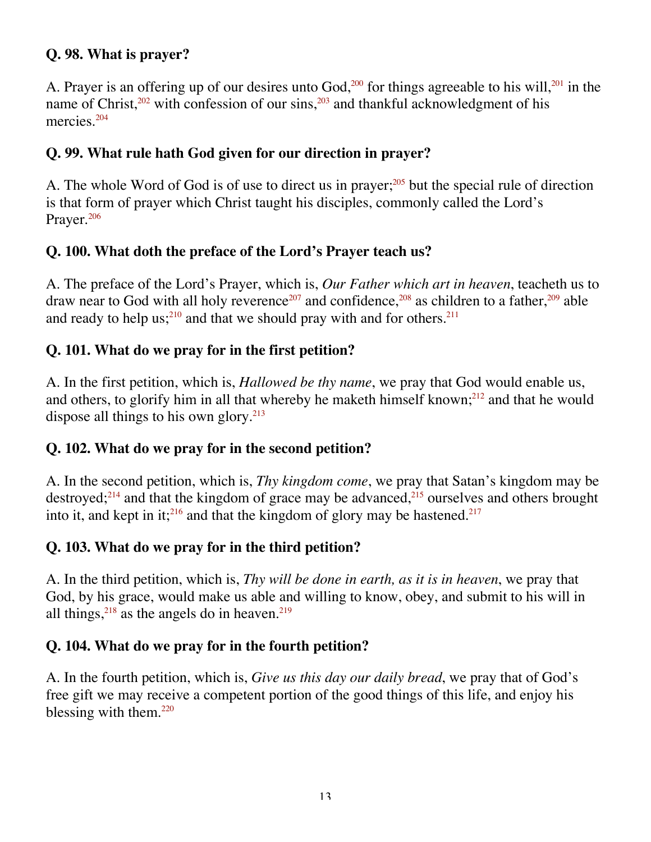#### **Q. 98. What is prayer?**

A. Prayer is an offering up of our desires unto God,<sup>200</sup> for things agreeable to his will,<sup>201</sup> in the name of Christ, $202$  with confession of our sins, $203$  and thankful acknowledgment of his mercies.<sup>204</sup>

#### **Q. 99. What rule hath God given for our direction in prayer?**

A. The whole Word of God is of use to direct us in prayer;<sup>205</sup> but the special rule of direction is that form of prayer which Christ taught his disciples, commonly called the Lord's Prayer.<sup>206</sup>

#### **Q. 100. What doth the preface of the Lord's Prayer teach us?**

A. The preface of the Lord's Prayer, which is, *Our Father which art in heaven*, teacheth us to draw near to God with all holy reverence<sup>207</sup> and confidence,<sup>208</sup> as children to a father,<sup>209</sup> able and ready to help us;<sup>210</sup> and that we should pray with and for others.<sup>211</sup>

#### **Q. 101. What do we pray for in the first petition?**

A. In the first petition, which is, *Hallowed be thy name*, we pray that God would enable us, and others, to glorify him in all that whereby he maketh himself known; $^{212}$  and that he would dispose all things to his own glory.<sup>213</sup>

#### **Q. 102. What do we pray for in the second petition?**

A. In the second petition, which is, *Thy kingdom come*, we pray that Satan's kingdom may be destroyed; $^{214}$  and that the kingdom of grace may be advanced, $^{215}$  ourselves and others brought into it, and kept in it;<sup>216</sup> and that the kingdom of glory may be hastened.<sup>217</sup>

#### **Q. 103. What do we pray for in the third petition?**

A. In the third petition, which is, *Thy will be done in earth, as it is in heaven*, we pray that God, by his grace, would make us able and willing to know, obey, and submit to his will in all things,  $218$  as the angels do in heaven.  $219$ 

#### **Q. 104. What do we pray for in the fourth petition?**

A. In the fourth petition, which is, *Give us this day our daily bread*, we pray that of God's free gift we may receive a competent portion of the good things of this life, and enjoy his blessing with them. $220$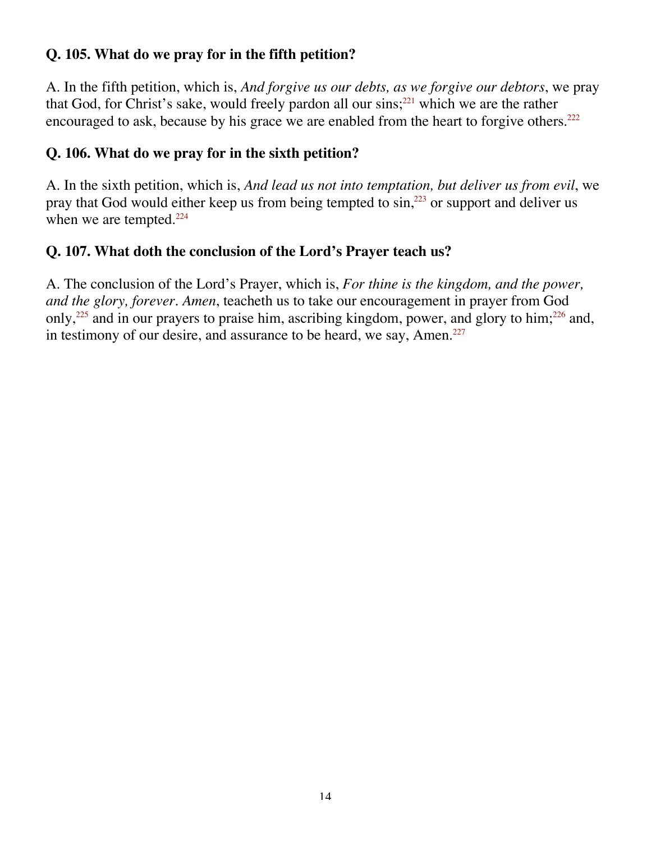#### **Q. 105. What do we pray for in the fifth petition?**

A. In the fifth petition, which is, *And forgive us our debts, as we forgive our debtors*, we pray that God, for Christ's sake, would freely pardon all our sins; $^{221}$  which we are the rather encouraged to ask, because by his grace we are enabled from the heart to forgive others.<sup>222</sup>

#### **Q. 106. What do we pray for in the sixth petition?**

A. In the sixth petition, which is, *And lead us not into temptation, but deliver us from evil*, we pray that God would either keep us from being tempted to  $sin, <sup>223</sup>$  or support and deliver us when we are tempted. $224$ 

#### **Q. 107. What doth the conclusion of the Lord's Prayer teach us?**

A. The conclusion of the Lord's Prayer, which is, *For thine is the kingdom, and the power, and the glory, forever. Amen*, teacheth us to take our encouragement in prayer from God only,<sup>225</sup> and in our prayers to praise him, ascribing kingdom, power, and glory to him;<sup>226</sup> and, in testimony of our desire, and assurance to be heard, we say, Amen. $227$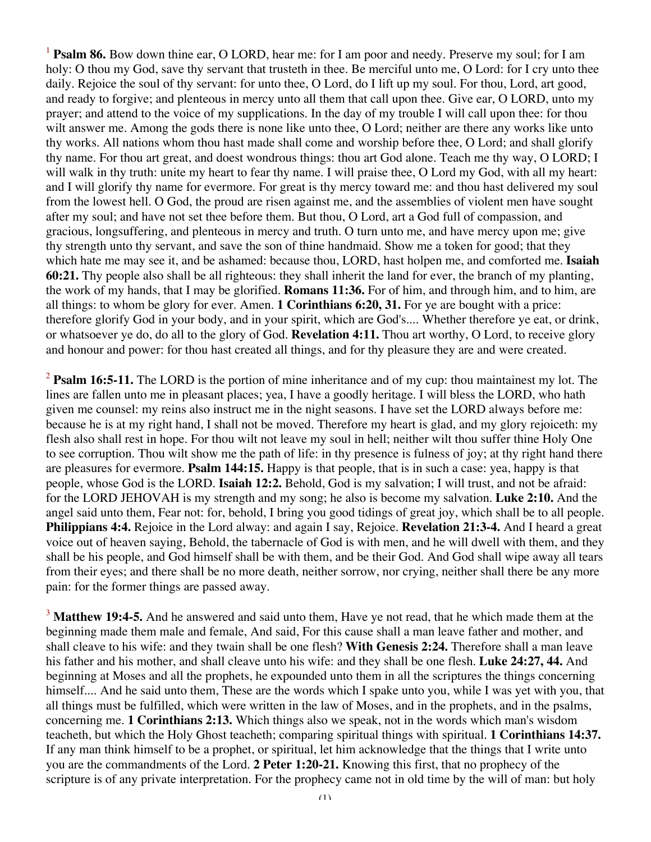<sup>1</sup> **Psalm 86.** Bow down thine ear, O LORD, hear me: for I am poor and needy. Preserve my soul; for I am holy: O thou my God, save thy servant that trusteth in thee. Be merciful unto me, O Lord: for I cry unto thee daily. Rejoice the soul of thy servant: for unto thee, O Lord, do I lift up my soul. For thou, Lord, art good, and ready to forgive; and plenteous in mercy unto all them that call upon thee. Give ear, O LORD, unto my prayer; and attend to the voice of my supplications. In the day of my trouble I will call upon thee: for thou wilt answer me. Among the gods there is none like unto thee, O Lord; neither are there any works like unto thy works. All nations whom thou hast made shall come and worship before thee, O Lord; and shall glorify thy name. For thou art great, and doest wondrous things: thou art God alone. Teach me thy way, O LORD; I will walk in thy truth: unite my heart to fear thy name. I will praise thee, O Lord my God, with all my heart: and I will glorify thy name for evermore. For great is thy mercy toward me: and thou hast delivered my soul from the lowest hell. O God, the proud are risen against me, and the assemblies of violent men have sought after my soul; and have not set thee before them. But thou, O Lord, art a God full of compassion, and gracious, longsuffering, and plenteous in mercy and truth. O turn unto me, and have mercy upon me; give thy strength unto thy servant, and save the son of thine handmaid. Show me a token for good; that they which hate me may see it, and be ashamed: because thou, LORD, hast holpen me, and comforted me. **Isaiah 60:21.** Thy people also shall be all righteous: they shall inherit the land for ever, the branch of my planting, the work of my hands, that I may be glorified. **Romans 11:36.** For of him, and through him, and to him, are all things: to whom be glory for ever. Amen. **1 Corinthians 6:20, 31.** For ye are bought with a price: therefore glorify God in your body, and in your spirit, which are God's.... Whether therefore ye eat, or drink, or whatsoever ye do, do all to the glory of God. **Revelation 4:11.** Thou art worthy, O Lord, to receive glory and honour and power: for thou hast created all things, and for thy pleasure they are and were created.

<sup>2</sup> **Psalm 16:5-11.** The LORD is the portion of mine inheritance and of my cup: thou maintainest my lot. The lines are fallen unto me in pleasant places; yea, I have a goodly heritage. I will bless the LORD, who hath given me counsel: my reins also instruct me in the night seasons. I have set the LORD always before me: because he is at my right hand, I shall not be moved. Therefore my heart is glad, and my glory rejoiceth: my flesh also shall rest in hope. For thou wilt not leave my soul in hell; neither wilt thou suffer thine Holy One to see corruption. Thou wilt show me the path of life: in thy presence is fulness of joy; at thy right hand there are pleasures for evermore. **Psalm 144:15.** Happy is that people, that is in such a case: yea, happy is that people, whose God is the LORD. **Isaiah 12:2.** Behold, God is my salvation; I will trust, and not be afraid: for the LORD JEHOVAH is my strength and my song; he also is become my salvation. **Luke 2:10.** And the angel said unto them, Fear not: for, behold, I bring you good tidings of great joy, which shall be to all people. **Philippians 4:4.** Rejoice in the Lord alway: and again I say, Rejoice. **Revelation 21:3-4.** And I heard a great voice out of heaven saying, Behold, the tabernacle of God is with men, and he will dwell with them, and they shall be his people, and God himself shall be with them, and be their God. And God shall wipe away all tears from their eyes; and there shall be no more death, neither sorrow, nor crying, neither shall there be any more pain: for the former things are passed away.

<sup>3</sup> Matthew 19:4-5. And he answered and said unto them, Have ye not read, that he which made them at the beginning made them male and female, And said, For this cause shall a man leave father and mother, and shall cleave to his wife: and they twain shall be one flesh? **With Genesis 2:24.** Therefore shall a man leave his father and his mother, and shall cleave unto his wife: and they shall be one flesh. **Luke 24:27, 44.** And beginning at Moses and all the prophets, he expounded unto them in all the scriptures the things concerning himself.... And he said unto them, These are the words which I spake unto you, while I was yet with you, that all things must be fulfilled, which were written in the law of Moses, and in the prophets, and in the psalms, concerning me. **1 Corinthians 2:13.** Which things also we speak, not in the words which man's wisdom teacheth, but which the Holy Ghost teacheth; comparing spiritual things with spiritual. **1 Corinthians 14:37.** If any man think himself to be a prophet, or spiritual, let him acknowledge that the things that I write unto you are the commandments of the Lord. **2 Peter 1:20-21.** Knowing this first, that no prophecy of the scripture is of any private interpretation. For the prophecy came not in old time by the will of man: but holy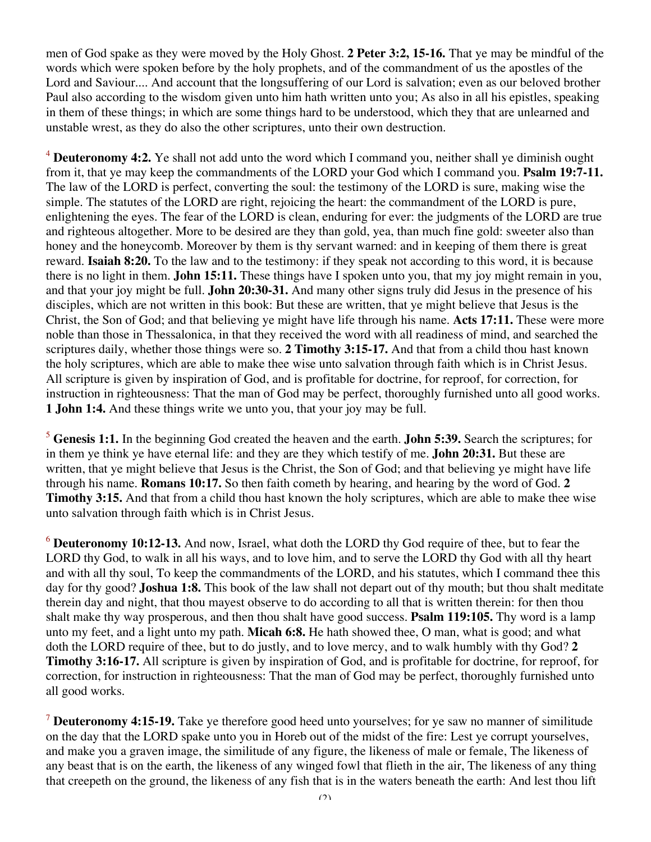men of God spake as they were moved by the Holy Ghost. **2 Peter 3:2, 15-16.** That ye may be mindful of the words which were spoken before by the holy prophets, and of the commandment of us the apostles of the Lord and Saviour.... And account that the longsuffering of our Lord is salvation; even as our beloved brother Paul also according to the wisdom given unto him hath written unto you; As also in all his epistles, speaking in them of these things; in which are some things hard to be understood, which they that are unlearned and unstable wrest, as they do also the other scriptures, unto their own destruction.

<sup>4</sup> **Deuteronomy 4:2.** Ye shall not add unto the word which I command you, neither shall ye diminish ought from it, that ye may keep the commandments of the LORD your God which I command you. **Psalm 19:7-11.** The law of the LORD is perfect, converting the soul: the testimony of the LORD is sure, making wise the simple. The statutes of the LORD are right, rejoicing the heart: the commandment of the LORD is pure, enlightening the eyes. The fear of the LORD is clean, enduring for ever: the judgments of the LORD are true and righteous altogether. More to be desired are they than gold, yea, than much fine gold: sweeter also than honey and the honeycomb. Moreover by them is thy servant warned: and in keeping of them there is great reward. **Isaiah 8:20.** To the law and to the testimony: if they speak not according to this word, it is because there is no light in them. **John 15:11.** These things have I spoken unto you, that my joy might remain in you, and that your joy might be full. **John 20:30-31.** And many other signs truly did Jesus in the presence of his disciples, which are not written in this book: But these are written, that ye might believe that Jesus is the Christ, the Son of God; and that believing ye might have life through his name. **Acts 17:11.** These were more noble than those in Thessalonica, in that they received the word with all readiness of mind, and searched the scriptures daily, whether those things were so. **2 Timothy 3:15-17.** And that from a child thou hast known the holy scriptures, which are able to make thee wise unto salvation through faith which is in Christ Jesus. All scripture is given by inspiration of God, and is profitable for doctrine, for reproof, for correction, for instruction in righteousness: That the man of God may be perfect, thoroughly furnished unto all good works. **1 John 1:4.** And these things write we unto you, that your joy may be full.

<sup>5</sup> **Genesis 1:1.** In the beginning God created the heaven and the earth. **John 5:39.** Search the scriptures; for in them ye think ye have eternal life: and they are they which testify of me. **John 20:31.** But these are written, that ye might believe that Jesus is the Christ, the Son of God; and that believing ye might have life through his name. **Romans 10:17.** So then faith cometh by hearing, and hearing by the word of God. **2 Timothy 3:15.** And that from a child thou hast known the holy scriptures, which are able to make thee wise unto salvation through faith which is in Christ Jesus.

<sup>6</sup> **Deuteronomy 10:12-13.** And now, Israel, what doth the LORD thy God require of thee, but to fear the LORD thy God, to walk in all his ways, and to love him, and to serve the LORD thy God with all thy heart and with all thy soul, To keep the commandments of the LORD, and his statutes, which I command thee this day for thy good? **Joshua 1:8.** This book of the law shall not depart out of thy mouth; but thou shalt meditate therein day and night, that thou mayest observe to do according to all that is written therein: for then thou shalt make thy way prosperous, and then thou shalt have good success. **Psalm 119:105.** Thy word is a lamp unto my feet, and a light unto my path. **Micah 6:8.** He hath showed thee, O man, what is good; and what doth the LORD require of thee, but to do justly, and to love mercy, and to walk humbly with thy God? **2 Timothy 3:16-17.** All scripture is given by inspiration of God, and is profitable for doctrine, for reproof, for correction, for instruction in righteousness: That the man of God may be perfect, thoroughly furnished unto all good works.

<sup>7</sup> **Deuteronomy 4:15-19.** Take ye therefore good heed unto yourselves; for ye saw no manner of similitude on the day that the LORD spake unto you in Horeb out of the midst of the fire: Lest ye corrupt yourselves, and make you a graven image, the similitude of any figure, the likeness of male or female, The likeness of any beast that is on the earth, the likeness of any winged fowl that flieth in the air, The likeness of any thing that creepeth on the ground, the likeness of any fish that is in the waters beneath the earth: And lest thou lift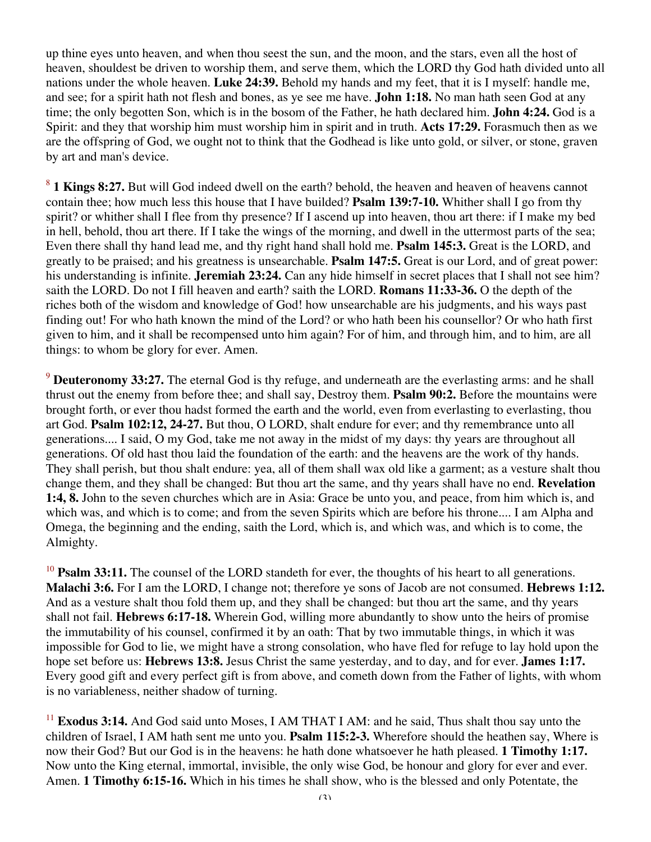up thine eyes unto heaven, and when thou seest the sun, and the moon, and the stars, even all the host of heaven, shouldest be driven to worship them, and serve them, which the LORD thy God hath divided unto all nations under the whole heaven. **Luke 24:39.** Behold my hands and my feet, that it is I myself: handle me, and see; for a spirit hath not flesh and bones, as ye see me have. **John 1:18.** No man hath seen God at any time; the only begotten Son, which is in the bosom of the Father, he hath declared him. **John 4:24.** God is a Spirit: and they that worship him must worship him in spirit and in truth. **Acts 17:29.** Forasmuch then as we are the offspring of God, we ought not to think that the Godhead is like unto gold, or silver, or stone, graven by art and man's device.

<sup>8</sup> **1 Kings 8:27.** But will God indeed dwell on the earth? behold, the heaven and heaven of heavens cannot contain thee; how much less this house that I have builded? **Psalm 139:7-10.** Whither shall I go from thy spirit? or whither shall I flee from thy presence? If I ascend up into heaven, thou art there: if I make my bed in hell, behold, thou art there. If I take the wings of the morning, and dwell in the uttermost parts of the sea; Even there shall thy hand lead me, and thy right hand shall hold me. **Psalm 145:3.** Great is the LORD, and greatly to be praised; and his greatness is unsearchable. **Psalm 147:5.** Great is our Lord, and of great power: his understanding is infinite. **Jeremiah 23:24.** Can any hide himself in secret places that I shall not see him? saith the LORD. Do not I fill heaven and earth? saith the LORD. **Romans 11:33-36.** O the depth of the riches both of the wisdom and knowledge of God! how unsearchable are his judgments, and his ways past finding out! For who hath known the mind of the Lord? or who hath been his counsellor? Or who hath first given to him, and it shall be recompensed unto him again? For of him, and through him, and to him, are all things: to whom be glory for ever. Amen.

<sup>9</sup> **Deuteronomy 33:27.** The eternal God is thy refuge, and underneath are the everlasting arms: and he shall thrust out the enemy from before thee; and shall say, Destroy them. **Psalm 90:2.** Before the mountains were brought forth, or ever thou hadst formed the earth and the world, even from everlasting to everlasting, thou art God. **Psalm 102:12, 24-27.** But thou, O LORD, shalt endure for ever; and thy remembrance unto all generations.... I said, O my God, take me not away in the midst of my days: thy years are throughout all generations. Of old hast thou laid the foundation of the earth: and the heavens are the work of thy hands. They shall perish, but thou shalt endure: yea, all of them shall wax old like a garment; as a vesture shalt thou change them, and they shall be changed: But thou art the same, and thy years shall have no end. **Revelation 1:4, 8.** John to the seven churches which are in Asia: Grace be unto you, and peace, from him which is, and which was, and which is to come; and from the seven Spirits which are before his throne.... I am Alpha and Omega, the beginning and the ending, saith the Lord, which is, and which was, and which is to come, the Almighty.

<sup>10</sup> **Psalm 33:11.** The counsel of the LORD standeth for ever, the thoughts of his heart to all generations. **Malachi 3:6.** For I am the LORD, I change not; therefore ye sons of Jacob are not consumed. **Hebrews 1:12.** And as a vesture shalt thou fold them up, and they shall be changed: but thou art the same, and thy years shall not fail. **Hebrews 6:17-18.** Wherein God, willing more abundantly to show unto the heirs of promise the immutability of his counsel, confirmed it by an oath: That by two immutable things, in which it was impossible for God to lie, we might have a strong consolation, who have fled for refuge to lay hold upon the hope set before us: **Hebrews 13:8.** Jesus Christ the same yesterday, and to day, and for ever. **James 1:17.** Every good gift and every perfect gift is from above, and cometh down from the Father of lights, with whom is no variableness, neither shadow of turning.

<sup>11</sup> **Exodus 3:14.** And God said unto Moses, I AM THAT I AM: and he said, Thus shalt thou say unto the children of Israel, I AM hath sent me unto you. **Psalm 115:2-3.** Wherefore should the heathen say, Where is now their God? But our God is in the heavens: he hath done whatsoever he hath pleased. **1 Timothy 1:17.** Now unto the King eternal, immortal, invisible, the only wise God, be honour and glory for ever and ever. Amen. **1 Timothy 6:15-16.** Which in his times he shall show, who is the blessed and only Potentate, the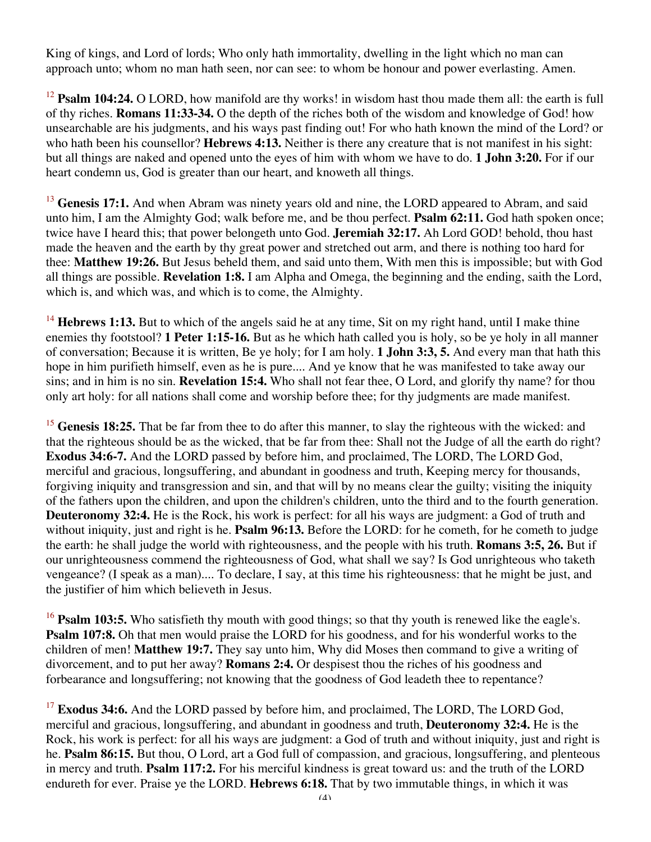King of kings, and Lord of lords; Who only hath immortality, dwelling in the light which no man can approach unto; whom no man hath seen, nor can see: to whom be honour and power everlasting. Amen.

<sup>12</sup> **Psalm 104:24.** O LORD, how manifold are thy works! in wisdom hast thou made them all: the earth is full of thy riches. **Romans 11:33-34.** O the depth of the riches both of the wisdom and knowledge of God! how unsearchable are his judgments, and his ways past finding out! For who hath known the mind of the Lord? or who hath been his counsellor? **Hebrews 4:13.** Neither is there any creature that is not manifest in his sight: but all things are naked and opened unto the eyes of him with whom we have to do. **1 John 3:20.** For if our heart condemn us, God is greater than our heart, and knoweth all things.

<sup>13</sup> Genesis 17:1. And when Abram was ninety years old and nine, the LORD appeared to Abram, and said unto him, I am the Almighty God; walk before me, and be thou perfect. **Psalm 62:11.** God hath spoken once; twice have I heard this; that power belongeth unto God. **Jeremiah 32:17.** Ah Lord GOD! behold, thou hast made the heaven and the earth by thy great power and stretched out arm, and there is nothing too hard for thee: **Matthew 19:26.** But Jesus beheld them, and said unto them, With men this is impossible; but with God all things are possible. **Revelation 1:8.** I am Alpha and Omega, the beginning and the ending, saith the Lord, which is, and which was, and which is to come, the Almighty.

<sup>14</sup> **Hebrews 1:13.** But to which of the angels said he at any time, Sit on my right hand, until I make thine enemies thy footstool? **1 Peter 1:15-16.** But as he which hath called you is holy, so be ye holy in all manner of conversation; Because it is written, Be ye holy; for I am holy. **1 John 3:3, 5.** And every man that hath this hope in him purifieth himself, even as he is pure.... And ye know that he was manifested to take away our sins; and in him is no sin. **Revelation 15:4.** Who shall not fear thee, O Lord, and glorify thy name? for thou only art holy: for all nations shall come and worship before thee; for thy judgments are made manifest.

<sup>15</sup> **Genesis 18:25.** That be far from thee to do after this manner, to slay the righteous with the wicked: and that the righteous should be as the wicked, that be far from thee: Shall not the Judge of all the earth do right? **Exodus 34:6-7.** And the LORD passed by before him, and proclaimed, The LORD, The LORD God, merciful and gracious, longsuffering, and abundant in goodness and truth, Keeping mercy for thousands, forgiving iniquity and transgression and sin, and that will by no means clear the guilty; visiting the iniquity of the fathers upon the children, and upon the children's children, unto the third and to the fourth generation. **Deuteronomy 32:4.** He is the Rock, his work is perfect: for all his ways are judgment: a God of truth and without iniquity, just and right is he. **Psalm 96:13.** Before the LORD: for he cometh, for he cometh to judge the earth: he shall judge the world with righteousness, and the people with his truth. **Romans 3:5, 26.** But if our unrighteousness commend the righteousness of God, what shall we say? Is God unrighteous who taketh vengeance? (I speak as a man).... To declare, I say, at this time his righteousness: that he might be just, and the justifier of him which believeth in Jesus.

<sup>16</sup> **Psalm 103:5.** Who satisfieth thy mouth with good things; so that thy youth is renewed like the eagle's. **Psalm 107:8.** Oh that men would praise the LORD for his goodness, and for his wonderful works to the children of men! **Matthew 19:7.** They say unto him, Why did Moses then command to give a writing of divorcement, and to put her away? **Romans 2:4.** Or despisest thou the riches of his goodness and forbearance and longsuffering; not knowing that the goodness of God leadeth thee to repentance?

<sup>17</sup> **Exodus 34:6.** And the LORD passed by before him, and proclaimed, The LORD, The LORD God, merciful and gracious, longsuffering, and abundant in goodness and truth, **Deuteronomy 32:4.** He is the Rock, his work is perfect: for all his ways are judgment: a God of truth and without iniquity, just and right is he. **Psalm 86:15.** But thou, O Lord, art a God full of compassion, and gracious, longsuffering, and plenteous in mercy and truth. **Psalm 117:2.** For his merciful kindness is great toward us: and the truth of the LORD endureth for ever. Praise ye the LORD. **Hebrews 6:18.** That by two immutable things, in which it was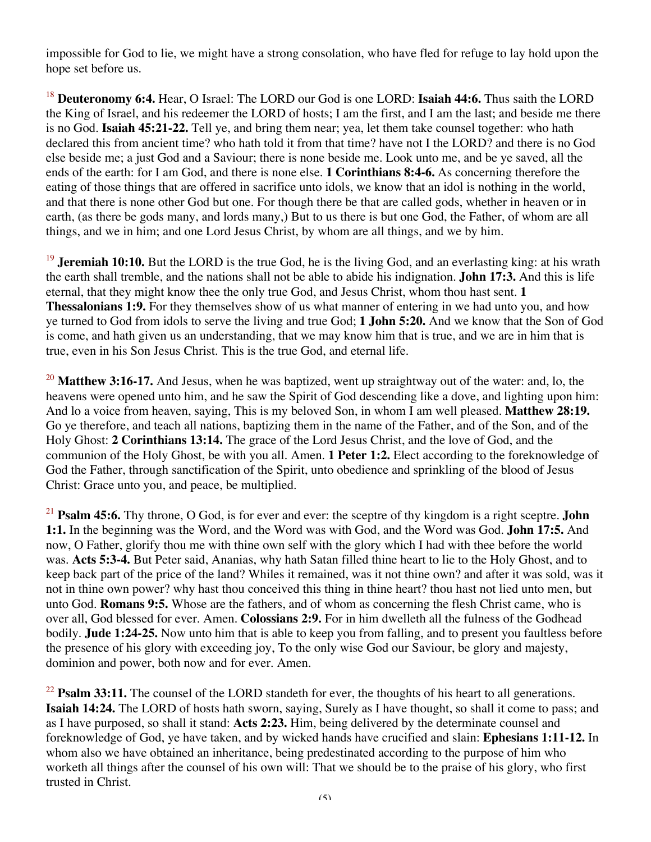impossible for God to lie, we might have a strong consolation, who have fled for refuge to lay hold upon the hope set before us.

<sup>18</sup> **Deuteronomy 6:4.** Hear, O Israel: The LORD our God is one LORD: **Isaiah 44:6.** Thus saith the LORD the King of Israel, and his redeemer the LORD of hosts; I am the first, and I am the last; and beside me there is no God. **Isaiah 45:21-22.** Tell ye, and bring them near; yea, let them take counsel together: who hath declared this from ancient time? who hath told it from that time? have not I the LORD? and there is no God else beside me; a just God and a Saviour; there is none beside me. Look unto me, and be ye saved, all the ends of the earth: for I am God, and there is none else. **1 Corinthians 8:4-6.** As concerning therefore the eating of those things that are offered in sacrifice unto idols, we know that an idol is nothing in the world, and that there is none other God but one. For though there be that are called gods, whether in heaven or in earth, (as there be gods many, and lords many,) But to us there is but one God, the Father, of whom are all things, and we in him; and one Lord Jesus Christ, by whom are all things, and we by him.

<sup>19</sup> **Jeremiah 10:10.** But the LORD is the true God, he is the living God, and an everlasting king: at his wrath the earth shall tremble, and the nations shall not be able to abide his indignation. **John 17:3.** And this is life eternal, that they might know thee the only true God, and Jesus Christ, whom thou hast sent. **1 Thessalonians 1:9.** For they themselves show of us what manner of entering in we had unto you, and how ye turned to God from idols to serve the living and true God; **1 John 5:20.** And we know that the Son of God is come, and hath given us an understanding, that we may know him that is true, and we are in him that is true, even in his Son Jesus Christ. This is the true God, and eternal life.

<sup>20</sup> Matthew 3:16-17. And Jesus, when he was baptized, went up straightway out of the water: and, lo, the heavens were opened unto him, and he saw the Spirit of God descending like a dove, and lighting upon him: And lo a voice from heaven, saying, This is my beloved Son, in whom I am well pleased. **Matthew 28:19.** Go ye therefore, and teach all nations, baptizing them in the name of the Father, and of the Son, and of the Holy Ghost: **2 Corinthians 13:14.** The grace of the Lord Jesus Christ, and the love of God, and the communion of the Holy Ghost, be with you all. Amen. **1 Peter 1:2.** Elect according to the foreknowledge of God the Father, through sanctification of the Spirit, unto obedience and sprinkling of the blood of Jesus Christ: Grace unto you, and peace, be multiplied.

<sup>21</sup> **Psalm 45:6.** Thy throne, O God, is for ever and ever: the sceptre of thy kingdom is a right sceptre. **John 1:1.** In the beginning was the Word, and the Word was with God, and the Word was God. **John 17:5.** And now, O Father, glorify thou me with thine own self with the glory which I had with thee before the world was. **Acts 5:3-4.** But Peter said, Ananias, why hath Satan filled thine heart to lie to the Holy Ghost, and to keep back part of the price of the land? Whiles it remained, was it not thine own? and after it was sold, was it not in thine own power? why hast thou conceived this thing in thine heart? thou hast not lied unto men, but unto God. **Romans 9:5.** Whose are the fathers, and of whom as concerning the flesh Christ came, who is over all, God blessed for ever. Amen. **Colossians 2:9.** For in him dwelleth all the fulness of the Godhead bodily. **Jude 1:24-25.** Now unto him that is able to keep you from falling, and to present you faultless before the presence of his glory with exceeding joy, To the only wise God our Saviour, be glory and majesty, dominion and power, both now and for ever. Amen.

<sup>22</sup> **Psalm 33:11.** The counsel of the LORD standeth for ever, the thoughts of his heart to all generations. **Isaiah 14:24.** The LORD of hosts hath sworn, saying, Surely as I have thought, so shall it come to pass; and as I have purposed, so shall it stand: **Acts 2:23.** Him, being delivered by the determinate counsel and foreknowledge of God, ye have taken, and by wicked hands have crucified and slain: **Ephesians 1:11-12.** In whom also we have obtained an inheritance, being predestinated according to the purpose of him who worketh all things after the counsel of his own will: That we should be to the praise of his glory, who first trusted in Christ.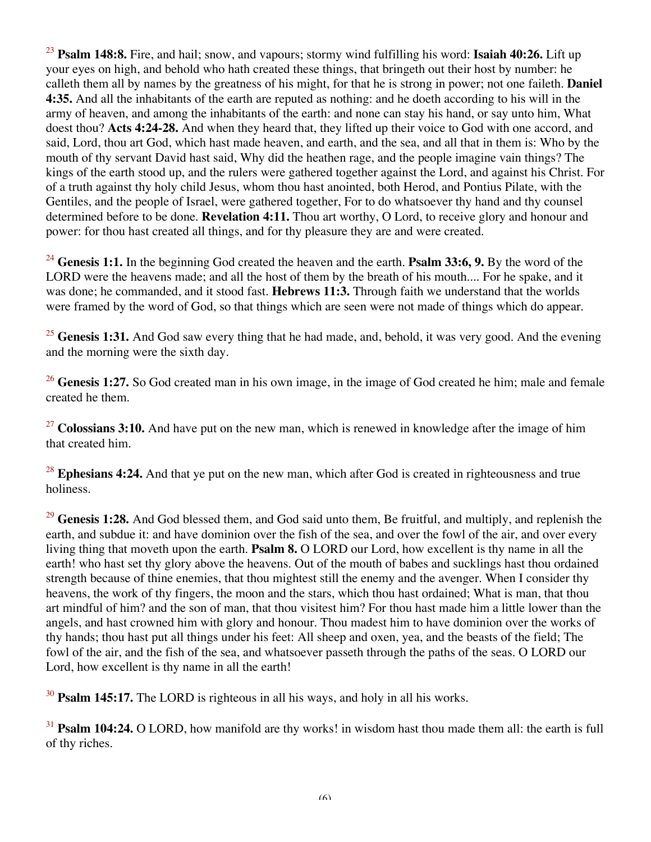<sup>23</sup> **Psalm 148:8.** Fire, and hail; snow, and vapours; stormy wind fulfilling his word: **Isaiah 40:26.** Lift up your eyes on high, and behold who hath created these things, that bringeth out their host by number: he calleth them all by names by the greatness of his might, for that he is strong in power; not one faileth. **Daniel 4:35.** And all the inhabitants of the earth are reputed as nothing: and he doeth according to his will in the army of heaven, and among the inhabitants of the earth: and none can stay his hand, or say unto him, What doest thou? **Acts 4:24-28.** And when they heard that, they lifted up their voice to God with one accord, and said, Lord, thou art God, which hast made heaven, and earth, and the sea, and all that in them is: Who by the mouth of thy servant David hast said, Why did the heathen rage, and the people imagine vain things? The kings of the earth stood up, and the rulers were gathered together against the Lord, and against his Christ. For of a truth against thy holy child Jesus, whom thou hast anointed, both Herod, and Pontius Pilate, with the Gentiles, and the people of Israel, were gathered together, For to do whatsoever thy hand and thy counsel determined before to be done. **Revelation 4:11.** Thou art worthy, O Lord, to receive glory and honour and power: for thou hast created all things, and for thy pleasure they are and were created.

<sup>24</sup> Genesis 1:1. In the beginning God created the heaven and the earth. **Psalm 33:6, 9.** By the word of the LORD were the heavens made; and all the host of them by the breath of his mouth.... For he spake, and it was done; he commanded, and it stood fast. **Hebrews 11:3.** Through faith we understand that the worlds were framed by the word of God, so that things which are seen were not made of things which do appear.

<sup>25</sup> Genesis 1:31. And God saw every thing that he had made, and, behold, it was very good. And the evening and the morning were the sixth day.

<sup>26</sup> Genesis 1:27. So God created man in his own image, in the image of God created he him; male and female created he them.

<sup>27</sup> Colossians 3:10. And have put on the new man, which is renewed in knowledge after the image of him that created him.

<sup>28</sup> **Ephesians 4:24.** And that ye put on the new man, which after God is created in righteousness and true holiness.

<sup>29</sup> Genesis 1:28. And God blessed them, and God said unto them, Be fruitful, and multiply, and replenish the earth, and subdue it: and have dominion over the fish of the sea, and over the fowl of the air, and over every living thing that moveth upon the earth. **Psalm 8.** O LORD our Lord, how excellent is thy name in all the earth! who hast set thy glory above the heavens. Out of the mouth of babes and sucklings hast thou ordained strength because of thine enemies, that thou mightest still the enemy and the avenger. When I consider thy heavens, the work of thy fingers, the moon and the stars, which thou hast ordained; What is man, that thou art mindful of him? and the son of man, that thou visitest him? For thou hast made him a little lower than the angels, and hast crowned him with glory and honour. Thou madest him to have dominion over the works of thy hands; thou hast put all things under his feet: All sheep and oxen, yea, and the beasts of the field; The fowl of the air, and the fish of the sea, and whatsoever passeth through the paths of the seas. O LORD our Lord, how excellent is thy name in all the earth!

<sup>30</sup> **Psalm 145:17.** The LORD is righteous in all his ways, and holy in all his works.

<sup>31</sup> **Psalm 104:24.** O LORD, how manifold are thy works! in wisdom hast thou made them all: the earth is full of thy riches.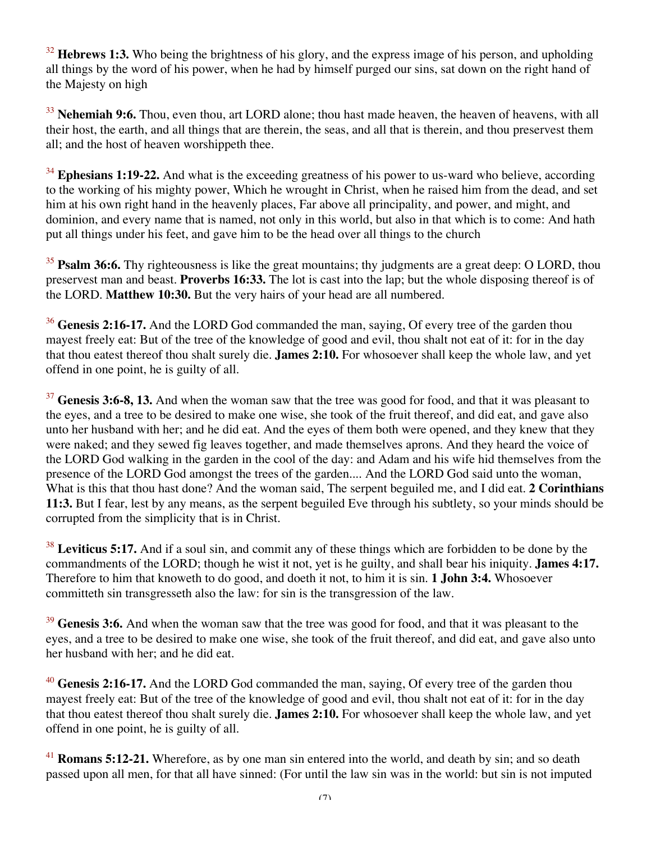<sup>32</sup> **Hebrews 1:3.** Who being the brightness of his glory, and the express image of his person, and upholding all things by the word of his power, when he had by himself purged our sins, sat down on the right hand of the Majesty on high

<sup>33</sup> Nehemiah 9:6. Thou, even thou, art LORD alone; thou hast made heaven, the heaven of heavens, with all their host, the earth, and all things that are therein, the seas, and all that is therein, and thou preservest them all; and the host of heaven worshippeth thee.

<sup>34</sup> Ephesians 1:19-22. And what is the exceeding greatness of his power to us-ward who believe, according to the working of his mighty power, Which he wrought in Christ, when he raised him from the dead, and set him at his own right hand in the heavenly places, Far above all principality, and power, and might, and dominion, and every name that is named, not only in this world, but also in that which is to come: And hath put all things under his feet, and gave him to be the head over all things to the church

<sup>35</sup> **Psalm 36:6.** Thy righteousness is like the great mountains; thy judgments are a great deep: O LORD, thou preservest man and beast. **Proverbs 16:33.** The lot is cast into the lap; but the whole disposing thereof is of the LORD. **Matthew 10:30.** But the very hairs of your head are all numbered.

<sup>36</sup> Genesis 2:16-17. And the LORD God commanded the man, saying, Of every tree of the garden thou mayest freely eat: But of the tree of the knowledge of good and evil, thou shalt not eat of it: for in the day that thou eatest thereof thou shalt surely die. **James 2:10.** For whosoever shall keep the whole law, and yet offend in one point, he is guilty of all.

<sup>37</sup> Genesis 3:6-8, 13. And when the woman saw that the tree was good for food, and that it was pleasant to the eyes, and a tree to be desired to make one wise, she took of the fruit thereof, and did eat, and gave also unto her husband with her; and he did eat. And the eyes of them both were opened, and they knew that they were naked; and they sewed fig leaves together, and made themselves aprons. And they heard the voice of the LORD God walking in the garden in the cool of the day: and Adam and his wife hid themselves from the presence of the LORD God amongst the trees of the garden.... And the LORD God said unto the woman, What is this that thou hast done? And the woman said, The serpent beguiled me, and I did eat. **2 Corinthians 11:3.** But I fear, lest by any means, as the serpent beguiled Eve through his subtlety, so your minds should be corrupted from the simplicity that is in Christ.

<sup>38</sup> **Leviticus 5:17.** And if a soul sin, and commit any of these things which are forbidden to be done by the commandments of the LORD; though he wist it not, yet is he guilty, and shall bear his iniquity. **James 4:17.** Therefore to him that knoweth to do good, and doeth it not, to him it is sin. **1 John 3:4.** Whosoever committeth sin transgresseth also the law: for sin is the transgression of the law.

<sup>39</sup> Genesis 3:6. And when the woman saw that the tree was good for food, and that it was pleasant to the eyes, and a tree to be desired to make one wise, she took of the fruit thereof, and did eat, and gave also unto her husband with her; and he did eat.

<sup>40</sup> Genesis 2:16-17. And the LORD God commanded the man, saying, Of every tree of the garden thou mayest freely eat: But of the tree of the knowledge of good and evil, thou shalt not eat of it: for in the day that thou eatest thereof thou shalt surely die. **James 2:10.** For whosoever shall keep the whole law, and yet offend in one point, he is guilty of all.

<sup>41</sup> **Romans 5:12-21.** Wherefore, as by one man sin entered into the world, and death by sin; and so death passed upon all men, for that all have sinned: (For until the law sin was in the world: but sin is not imputed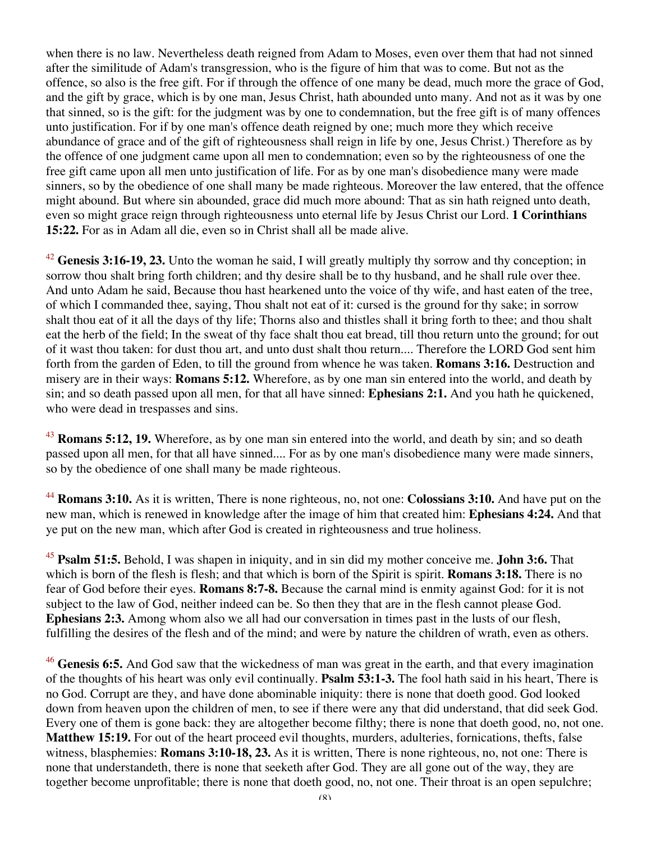when there is no law. Nevertheless death reigned from Adam to Moses, even over them that had not sinned after the similitude of Adam's transgression, who is the figure of him that was to come. But not as the offence, so also is the free gift. For if through the offence of one many be dead, much more the grace of God, and the gift by grace, which is by one man, Jesus Christ, hath abounded unto many. And not as it was by one that sinned, so is the gift: for the judgment was by one to condemnation, but the free gift is of many offences unto justification. For if by one man's offence death reigned by one; much more they which receive abundance of grace and of the gift of righteousness shall reign in life by one, Jesus Christ.) Therefore as by the offence of one judgment came upon all men to condemnation; even so by the righteousness of one the free gift came upon all men unto justification of life. For as by one man's disobedience many were made sinners, so by the obedience of one shall many be made righteous. Moreover the law entered, that the offence might abound. But where sin abounded, grace did much more abound: That as sin hath reigned unto death, even so might grace reign through righteousness unto eternal life by Jesus Christ our Lord. **1 Corinthians 15:22.** For as in Adam all die, even so in Christ shall all be made alive.

<sup>42</sup> Genesis 3:16-19, 23. Unto the woman he said, I will greatly multiply thy sorrow and thy conception; in sorrow thou shalt bring forth children; and thy desire shall be to thy husband, and he shall rule over thee. And unto Adam he said, Because thou hast hearkened unto the voice of thy wife, and hast eaten of the tree, of which I commanded thee, saying, Thou shalt not eat of it: cursed is the ground for thy sake; in sorrow shalt thou eat of it all the days of thy life; Thorns also and thistles shall it bring forth to thee; and thou shalt eat the herb of the field; In the sweat of thy face shalt thou eat bread, till thou return unto the ground; for out of it wast thou taken: for dust thou art, and unto dust shalt thou return.... Therefore the LORD God sent him forth from the garden of Eden, to till the ground from whence he was taken. **Romans 3:16.** Destruction and misery are in their ways: **Romans 5:12.** Wherefore, as by one man sin entered into the world, and death by sin; and so death passed upon all men, for that all have sinned: **Ephesians 2:1.** And you hath he quickened, who were dead in trespasses and sins.

<sup>43</sup> **Romans 5:12, 19.** Wherefore, as by one man sin entered into the world, and death by sin; and so death passed upon all men, for that all have sinned.... For as by one man's disobedience many were made sinners, so by the obedience of one shall many be made righteous.

<sup>44</sup> **Romans 3:10.** As it is written, There is none righteous, no, not one: **Colossians 3:10.** And have put on the new man, which is renewed in knowledge after the image of him that created him: **Ephesians 4:24.** And that ye put on the new man, which after God is created in righteousness and true holiness.

<sup>45</sup> **Psalm 51:5.** Behold, I was shapen in iniquity, and in sin did my mother conceive me. **John 3:6.** That which is born of the flesh is flesh; and that which is born of the Spirit is spirit. **Romans 3:18.** There is no fear of God before their eyes. **Romans 8:7-8.** Because the carnal mind is enmity against God: for it is not subject to the law of God, neither indeed can be. So then they that are in the flesh cannot please God. **Ephesians 2:3.** Among whom also we all had our conversation in times past in the lusts of our flesh, fulfilling the desires of the flesh and of the mind; and were by nature the children of wrath, even as others.

<sup>46</sup> Genesis 6:5. And God saw that the wickedness of man was great in the earth, and that every imagination of the thoughts of his heart was only evil continually. **Psalm 53:1-3.** The fool hath said in his heart, There is no God. Corrupt are they, and have done abominable iniquity: there is none that doeth good. God looked down from heaven upon the children of men, to see if there were any that did understand, that did seek God. Every one of them is gone back: they are altogether become filthy; there is none that doeth good, no, not one. **Matthew 15:19.** For out of the heart proceed evil thoughts, murders, adulteries, fornications, thefts, false witness, blasphemies: **Romans 3:10-18, 23.** As it is written, There is none righteous, no, not one: There is none that understandeth, there is none that seeketh after God. They are all gone out of the way, they are together become unprofitable; there is none that doeth good, no, not one. Their throat is an open sepulchre;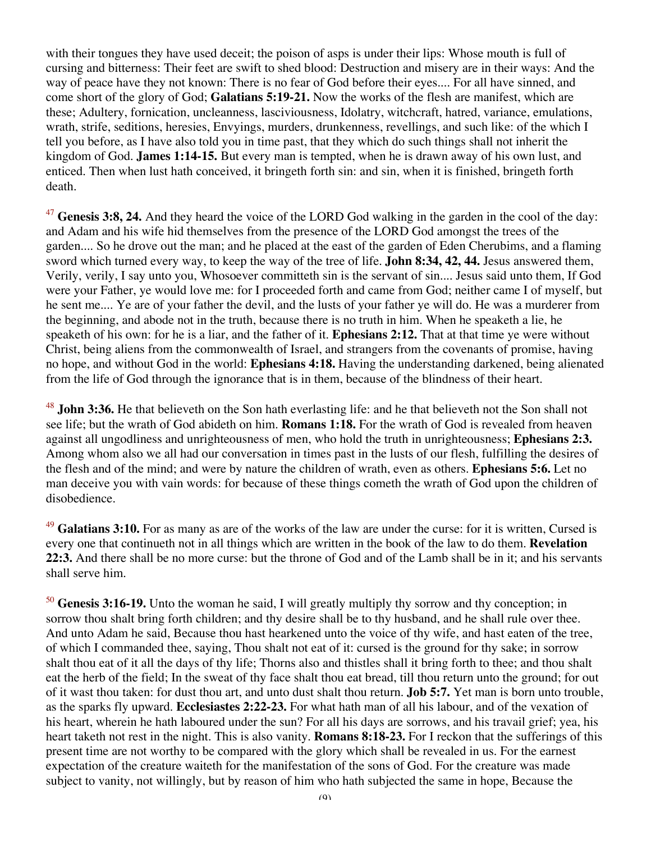with their tongues they have used deceit; the poison of asps is under their lips: Whose mouth is full of cursing and bitterness: Their feet are swift to shed blood: Destruction and misery are in their ways: And the way of peace have they not known: There is no fear of God before their eyes.... For all have sinned, and come short of the glory of God; **Galatians 5:19-21.** Now the works of the flesh are manifest, which are these; Adultery, fornication, uncleanness, lasciviousness, Idolatry, witchcraft, hatred, variance, emulations, wrath, strife, seditions, heresies, Envyings, murders, drunkenness, revellings, and such like: of the which I tell you before, as I have also told you in time past, that they which do such things shall not inherit the kingdom of God. **James 1:14-15.** But every man is tempted, when he is drawn away of his own lust, and enticed. Then when lust hath conceived, it bringeth forth sin: and sin, when it is finished, bringeth forth death.

<sup>47</sup> Genesis 3:8, 24. And they heard the voice of the LORD God walking in the garden in the cool of the day: and Adam and his wife hid themselves from the presence of the LORD God amongst the trees of the garden.... So he drove out the man; and he placed at the east of the garden of Eden Cherubims, and a flaming sword which turned every way, to keep the way of the tree of life. **John 8:34, 42, 44.** Jesus answered them, Verily, verily, I say unto you, Whosoever committeth sin is the servant of sin.... Jesus said unto them, If God were your Father, ye would love me: for I proceeded forth and came from God; neither came I of myself, but he sent me.... Ye are of your father the devil, and the lusts of your father ye will do. He was a murderer from the beginning, and abode not in the truth, because there is no truth in him. When he speaketh a lie, he speaketh of his own: for he is a liar, and the father of it. **Ephesians 2:12.** That at that time ye were without Christ, being aliens from the commonwealth of Israel, and strangers from the covenants of promise, having no hope, and without God in the world: **Ephesians 4:18.** Having the understanding darkened, being alienated from the life of God through the ignorance that is in them, because of the blindness of their heart.

<sup>48</sup> **John 3:36.** He that believeth on the Son hath everlasting life: and he that believeth not the Son shall not see life; but the wrath of God abideth on him. **Romans 1:18.** For the wrath of God is revealed from heaven against all ungodliness and unrighteousness of men, who hold the truth in unrighteousness; **Ephesians 2:3.** Among whom also we all had our conversation in times past in the lusts of our flesh, fulfilling the desires of the flesh and of the mind; and were by nature the children of wrath, even as others. **Ephesians 5:6.** Let no man deceive you with vain words: for because of these things cometh the wrath of God upon the children of disobedience.

<sup>49</sup> Galatians 3:10. For as many as are of the works of the law are under the curse: for it is written, Cursed is every one that continueth not in all things which are written in the book of the law to do them. **Revelation 22:3.** And there shall be no more curse: but the throne of God and of the Lamb shall be in it; and his servants shall serve him.

<sup>50</sup> **Genesis 3:16-19.** Unto the woman he said, I will greatly multiply thy sorrow and thy conception; in sorrow thou shalt bring forth children; and thy desire shall be to thy husband, and he shall rule over thee. And unto Adam he said, Because thou hast hearkened unto the voice of thy wife, and hast eaten of the tree, of which I commanded thee, saying, Thou shalt not eat of it: cursed is the ground for thy sake; in sorrow shalt thou eat of it all the days of thy life; Thorns also and thistles shall it bring forth to thee; and thou shalt eat the herb of the field; In the sweat of thy face shalt thou eat bread, till thou return unto the ground; for out of it wast thou taken: for dust thou art, and unto dust shalt thou return. **Job 5:7.** Yet man is born unto trouble, as the sparks fly upward. **Ecclesiastes 2:22-23.** For what hath man of all his labour, and of the vexation of his heart, wherein he hath laboured under the sun? For all his days are sorrows, and his travail grief; yea, his heart taketh not rest in the night. This is also vanity. **Romans 8:18-23.** For I reckon that the sufferings of this present time are not worthy to be compared with the glory which shall be revealed in us. For the earnest expectation of the creature waiteth for the manifestation of the sons of God. For the creature was made subject to vanity, not willingly, but by reason of him who hath subjected the same in hope, Because the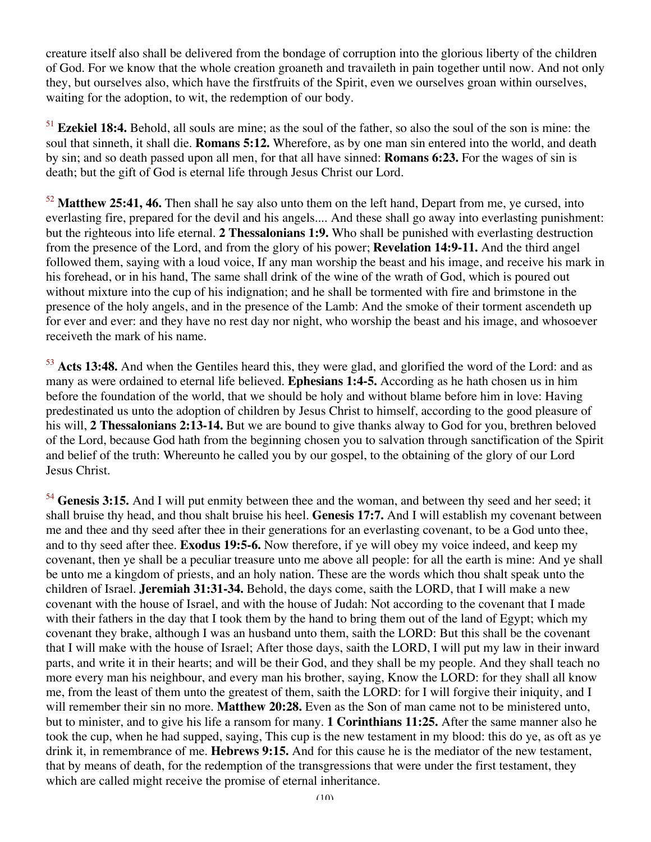creature itself also shall be delivered from the bondage of corruption into the glorious liberty of the children of God. For we know that the whole creation groaneth and travaileth in pain together until now. And not only they, but ourselves also, which have the firstfruits of the Spirit, even we ourselves groan within ourselves, waiting for the adoption, to wit, the redemption of our body.

<sup>51</sup> **Ezekiel 18:4.** Behold, all souls are mine; as the soul of the father, so also the soul of the son is mine: the soul that sinneth, it shall die. **Romans 5:12.** Wherefore, as by one man sin entered into the world, and death by sin; and so death passed upon all men, for that all have sinned: **Romans 6:23.** For the wages of sin is death; but the gift of God is eternal life through Jesus Christ our Lord.

<sup>52</sup> **Matthew 25:41, 46.** Then shall he say also unto them on the left hand, Depart from me, ye cursed, into everlasting fire, prepared for the devil and his angels.... And these shall go away into everlasting punishment: but the righteous into life eternal. **2 Thessalonians 1:9.** Who shall be punished with everlasting destruction from the presence of the Lord, and from the glory of his power; **Revelation 14:9-11.** And the third angel followed them, saying with a loud voice, If any man worship the beast and his image, and receive his mark in his forehead, or in his hand, The same shall drink of the wine of the wrath of God, which is poured out without mixture into the cup of his indignation; and he shall be tormented with fire and brimstone in the presence of the holy angels, and in the presence of the Lamb: And the smoke of their torment ascendeth up for ever and ever: and they have no rest day nor night, who worship the beast and his image, and whosoever receiveth the mark of his name.

<sup>53</sup> **Acts 13:48.** And when the Gentiles heard this, they were glad, and glorified the word of the Lord: and as many as were ordained to eternal life believed. **Ephesians 1:4-5.** According as he hath chosen us in him before the foundation of the world, that we should be holy and without blame before him in love: Having predestinated us unto the adoption of children by Jesus Christ to himself, according to the good pleasure of his will, **2 Thessalonians 2:13-14.** But we are bound to give thanks alway to God for you, brethren beloved of the Lord, because God hath from the beginning chosen you to salvation through sanctification of the Spirit and belief of the truth: Whereunto he called you by our gospel, to the obtaining of the glory of our Lord Jesus Christ.

<sup>54</sup> **Genesis 3:15.** And I will put enmity between thee and the woman, and between thy seed and her seed; it shall bruise thy head, and thou shalt bruise his heel. **Genesis 17:7.** And I will establish my covenant between me and thee and thy seed after thee in their generations for an everlasting covenant, to be a God unto thee, and to thy seed after thee. **Exodus 19:5-6.** Now therefore, if ye will obey my voice indeed, and keep my covenant, then ye shall be a peculiar treasure unto me above all people: for all the earth is mine: And ye shall be unto me a kingdom of priests, and an holy nation. These are the words which thou shalt speak unto the children of Israel. **Jeremiah 31:31-34.** Behold, the days come, saith the LORD, that I will make a new covenant with the house of Israel, and with the house of Judah: Not according to the covenant that I made with their fathers in the day that I took them by the hand to bring them out of the land of Egypt; which my covenant they brake, although I was an husband unto them, saith the LORD: But this shall be the covenant that I will make with the house of Israel; After those days, saith the LORD, I will put my law in their inward parts, and write it in their hearts; and will be their God, and they shall be my people. And they shall teach no more every man his neighbour, and every man his brother, saying, Know the LORD: for they shall all know me, from the least of them unto the greatest of them, saith the LORD: for I will forgive their iniquity, and I will remember their sin no more. **Matthew 20:28.** Even as the Son of man came not to be ministered unto, but to minister, and to give his life a ransom for many. **1 Corinthians 11:25.** After the same manner also he took the cup, when he had supped, saying, This cup is the new testament in my blood: this do ye, as oft as ye drink it, in remembrance of me. **Hebrews 9:15.** And for this cause he is the mediator of the new testament, that by means of death, for the redemption of the transgressions that were under the first testament, they which are called might receive the promise of eternal inheritance.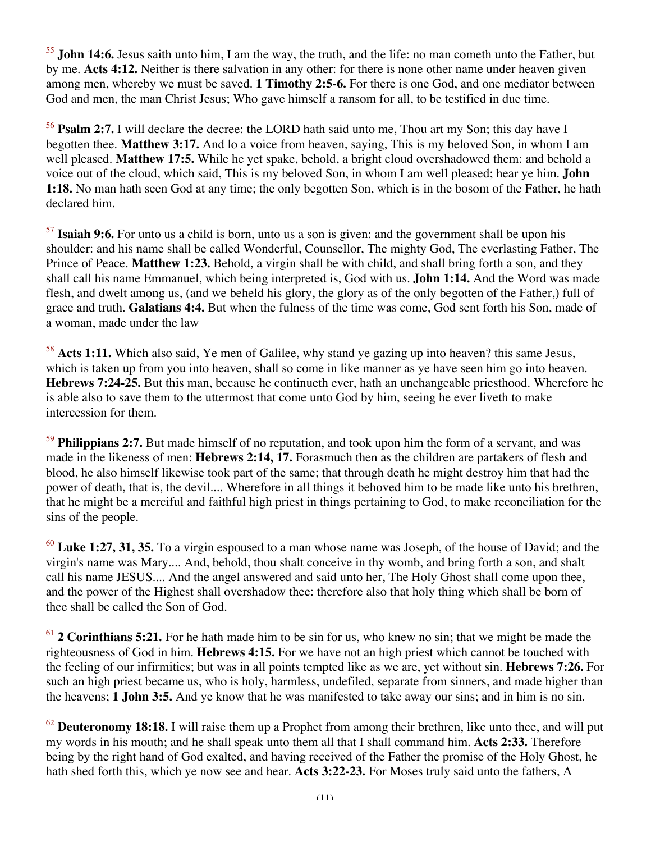<sup>55</sup> **John 14:6.** Jesus saith unto him, I am the way, the truth, and the life: no man cometh unto the Father, but by me. **Acts 4:12.** Neither is there salvation in any other: for there is none other name under heaven given among men, whereby we must be saved. **1 Timothy 2:5-6.** For there is one God, and one mediator between God and men, the man Christ Jesus; Who gave himself a ransom for all, to be testified in due time.

<sup>56</sup> **Psalm 2:7.** I will declare the decree: the LORD hath said unto me, Thou art my Son; this day have I begotten thee. **Matthew 3:17.** And lo a voice from heaven, saying, This is my beloved Son, in whom I am well pleased. **Matthew 17:5.** While he yet spake, behold, a bright cloud overshadowed them: and behold a voice out of the cloud, which said, This is my beloved Son, in whom I am well pleased; hear ye him. **John 1:18.** No man hath seen God at any time; the only begotten Son, which is in the bosom of the Father, he hath declared him.

<sup>57</sup> **Isaiah 9:6.** For unto us a child is born, unto us a son is given: and the government shall be upon his shoulder: and his name shall be called Wonderful, Counsellor, The mighty God, The everlasting Father, The Prince of Peace. **Matthew 1:23.** Behold, a virgin shall be with child, and shall bring forth a son, and they shall call his name Emmanuel, which being interpreted is, God with us. **John 1:14.** And the Word was made flesh, and dwelt among us, (and we beheld his glory, the glory as of the only begotten of the Father,) full of grace and truth. **Galatians 4:4.** But when the fulness of the time was come, God sent forth his Son, made of a woman, made under the law

<sup>58</sup> **Acts 1:11.** Which also said, Ye men of Galilee, why stand ye gazing up into heaven? this same Jesus, which is taken up from you into heaven, shall so come in like manner as ye have seen him go into heaven. **Hebrews 7:24-25.** But this man, because he continueth ever, hath an unchangeable priesthood. Wherefore he is able also to save them to the uttermost that come unto God by him, seeing he ever liveth to make intercession for them.

<sup>59</sup> **Philippians 2:7.** But made himself of no reputation, and took upon him the form of a servant, and was made in the likeness of men: **Hebrews 2:14, 17.** Forasmuch then as the children are partakers of flesh and blood, he also himself likewise took part of the same; that through death he might destroy him that had the power of death, that is, the devil.... Wherefore in all things it behoved him to be made like unto his brethren, that he might be a merciful and faithful high priest in things pertaining to God, to make reconciliation for the sins of the people.

<sup>60</sup> **Luke 1:27, 31, 35.** To a virgin espoused to a man whose name was Joseph, of the house of David; and the virgin's name was Mary.... And, behold, thou shalt conceive in thy womb, and bring forth a son, and shalt call his name JESUS.... And the angel answered and said unto her, The Holy Ghost shall come upon thee, and the power of the Highest shall overshadow thee: therefore also that holy thing which shall be born of thee shall be called the Son of God.

<sup>61</sup> **2 Corinthians 5:21.** For he hath made him to be sin for us, who knew no sin; that we might be made the righteousness of God in him. **Hebrews 4:15.** For we have not an high priest which cannot be touched with the feeling of our infirmities; but was in all points tempted like as we are, yet without sin. **Hebrews 7:26.** For such an high priest became us, who is holy, harmless, undefiled, separate from sinners, and made higher than the heavens; **1 John 3:5.** And ye know that he was manifested to take away our sins; and in him is no sin.

<sup>62</sup> **Deuteronomy 18:18.** I will raise them up a Prophet from among their brethren, like unto thee, and will put my words in his mouth; and he shall speak unto them all that I shall command him. **Acts 2:33.** Therefore being by the right hand of God exalted, and having received of the Father the promise of the Holy Ghost, he hath shed forth this, which ye now see and hear. **Acts 3:22-23.** For Moses truly said unto the fathers, A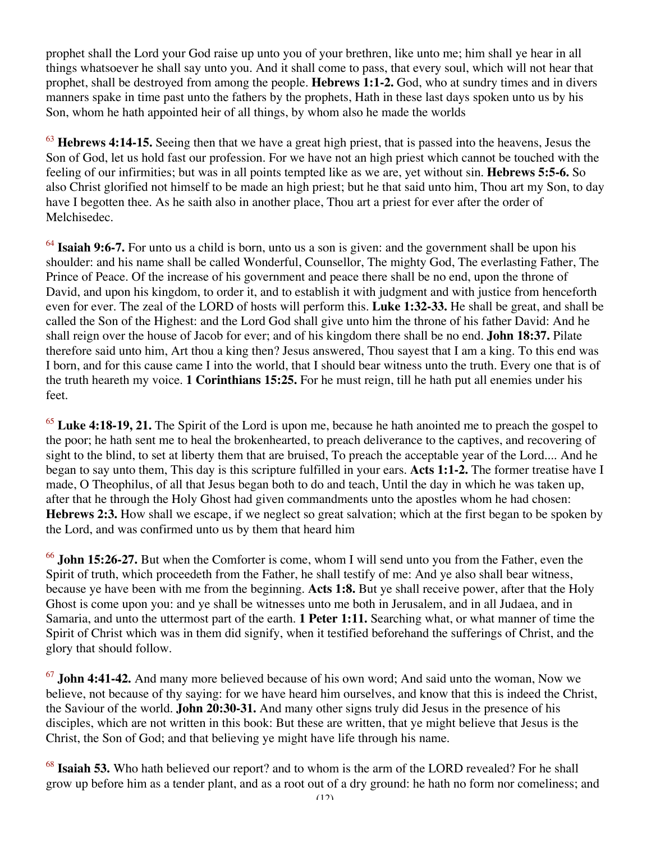prophet shall the Lord your God raise up unto you of your brethren, like unto me; him shall ye hear in all things whatsoever he shall say unto you. And it shall come to pass, that every soul, which will not hear that prophet, shall be destroyed from among the people. **Hebrews 1:1-2.** God, who at sundry times and in divers manners spake in time past unto the fathers by the prophets, Hath in these last days spoken unto us by his Son, whom he hath appointed heir of all things, by whom also he made the worlds

<sup>63</sup> **Hebrews 4:14-15.** Seeing then that we have a great high priest, that is passed into the heavens, Jesus the Son of God, let us hold fast our profession. For we have not an high priest which cannot be touched with the feeling of our infirmities; but was in all points tempted like as we are, yet without sin. **Hebrews 5:5-6.** So also Christ glorified not himself to be made an high priest; but he that said unto him, Thou art my Son, to day have I begotten thee. As he saith also in another place, Thou art a priest for ever after the order of Melchisedec.

<sup>64</sup> **Isaiah 9:6-7.** For unto us a child is born, unto us a son is given: and the government shall be upon his shoulder: and his name shall be called Wonderful, Counsellor, The mighty God, The everlasting Father, The Prince of Peace. Of the increase of his government and peace there shall be no end, upon the throne of David, and upon his kingdom, to order it, and to establish it with judgment and with justice from henceforth even for ever. The zeal of the LORD of hosts will perform this. **Luke 1:32-33.** He shall be great, and shall be called the Son of the Highest: and the Lord God shall give unto him the throne of his father David: And he shall reign over the house of Jacob for ever; and of his kingdom there shall be no end. **John 18:37.** Pilate therefore said unto him, Art thou a king then? Jesus answered, Thou sayest that I am a king. To this end was I born, and for this cause came I into the world, that I should bear witness unto the truth. Every one that is of the truth heareth my voice. **1 Corinthians 15:25.** For he must reign, till he hath put all enemies under his feet.

<sup>65</sup> Luke 4:18-19, 21. The Spirit of the Lord is upon me, because he hath anointed me to preach the gospel to the poor; he hath sent me to heal the brokenhearted, to preach deliverance to the captives, and recovering of sight to the blind, to set at liberty them that are bruised, To preach the acceptable year of the Lord.... And he began to say unto them, This day is this scripture fulfilled in your ears. **Acts 1:1-2.** The former treatise have I made, O Theophilus, of all that Jesus began both to do and teach, Until the day in which he was taken up, after that he through the Holy Ghost had given commandments unto the apostles whom he had chosen: **Hebrews 2:3.** How shall we escape, if we neglect so great salvation; which at the first began to be spoken by the Lord, and was confirmed unto us by them that heard him

<sup>66</sup> **John 15:26-27.** But when the Comforter is come, whom I will send unto you from the Father, even the Spirit of truth, which proceedeth from the Father, he shall testify of me: And ye also shall bear witness, because ye have been with me from the beginning. **Acts 1:8.** But ye shall receive power, after that the Holy Ghost is come upon you: and ye shall be witnesses unto me both in Jerusalem, and in all Judaea, and in Samaria, and unto the uttermost part of the earth. **1 Peter 1:11.** Searching what, or what manner of time the Spirit of Christ which was in them did signify, when it testified beforehand the sufferings of Christ, and the glory that should follow.

<sup>67</sup> **John 4:41-42.** And many more believed because of his own word; And said unto the woman, Now we believe, not because of thy saying: for we have heard him ourselves, and know that this is indeed the Christ, the Saviour of the world. **John 20:30-31.** And many other signs truly did Jesus in the presence of his disciples, which are not written in this book: But these are written, that ye might believe that Jesus is the Christ, the Son of God; and that believing ye might have life through his name.

<sup>68</sup> **Isaiah 53.** Who hath believed our report? and to whom is the arm of the LORD revealed? For he shall grow up before him as a tender plant, and as a root out of a dry ground: he hath no form nor comeliness; and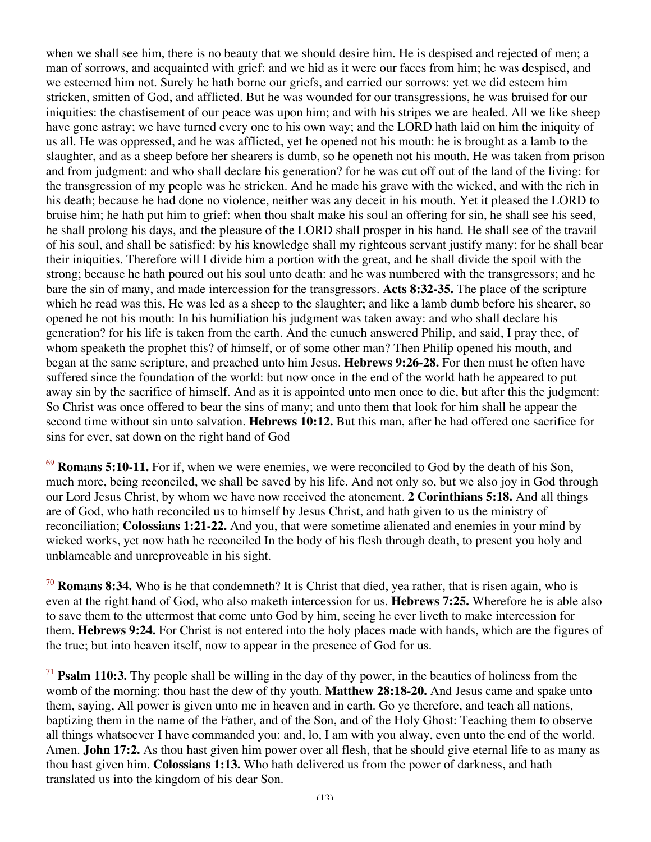when we shall see him, there is no beauty that we should desire him. He is despised and rejected of men; a man of sorrows, and acquainted with grief: and we hid as it were our faces from him; he was despised, and we esteemed him not. Surely he hath borne our griefs, and carried our sorrows: yet we did esteem him stricken, smitten of God, and afflicted. But he was wounded for our transgressions, he was bruised for our iniquities: the chastisement of our peace was upon him; and with his stripes we are healed. All we like sheep have gone astray; we have turned every one to his own way; and the LORD hath laid on him the iniquity of us all. He was oppressed, and he was afflicted, yet he opened not his mouth: he is brought as a lamb to the slaughter, and as a sheep before her shearers is dumb, so he openeth not his mouth. He was taken from prison and from judgment: and who shall declare his generation? for he was cut off out of the land of the living: for the transgression of my people was he stricken. And he made his grave with the wicked, and with the rich in his death; because he had done no violence, neither was any deceit in his mouth. Yet it pleased the LORD to bruise him; he hath put him to grief: when thou shalt make his soul an offering for sin, he shall see his seed, he shall prolong his days, and the pleasure of the LORD shall prosper in his hand. He shall see of the travail of his soul, and shall be satisfied: by his knowledge shall my righteous servant justify many; for he shall bear their iniquities. Therefore will I divide him a portion with the great, and he shall divide the spoil with the strong; because he hath poured out his soul unto death: and he was numbered with the transgressors; and he bare the sin of many, and made intercession for the transgressors. **Acts 8:32-35.** The place of the scripture which he read was this, He was led as a sheep to the slaughter; and like a lamb dumb before his shearer, so opened he not his mouth: In his humiliation his judgment was taken away: and who shall declare his generation? for his life is taken from the earth. And the eunuch answered Philip, and said, I pray thee, of whom speaketh the prophet this? of himself, or of some other man? Then Philip opened his mouth, and began at the same scripture, and preached unto him Jesus. **Hebrews 9:26-28.** For then must he often have suffered since the foundation of the world: but now once in the end of the world hath he appeared to put away sin by the sacrifice of himself. And as it is appointed unto men once to die, but after this the judgment: So Christ was once offered to bear the sins of many; and unto them that look for him shall he appear the second time without sin unto salvation. **Hebrews 10:12.** But this man, after he had offered one sacrifice for sins for ever, sat down on the right hand of God

<sup>69</sup> **Romans 5:10-11.** For if, when we were enemies, we were reconciled to God by the death of his Son, much more, being reconciled, we shall be saved by his life. And not only so, but we also joy in God through our Lord Jesus Christ, by whom we have now received the atonement. **2 Corinthians 5:18.** And all things are of God, who hath reconciled us to himself by Jesus Christ, and hath given to us the ministry of reconciliation; **Colossians 1:21-22.** And you, that were sometime alienated and enemies in your mind by wicked works, yet now hath he reconciled In the body of his flesh through death, to present you holy and unblameable and unreproveable in his sight.

<sup>70</sup> **Romans 8:34.** Who is he that condemneth? It is Christ that died, yea rather, that is risen again, who is even at the right hand of God, who also maketh intercession for us. **Hebrews 7:25.** Wherefore he is able also to save them to the uttermost that come unto God by him, seeing he ever liveth to make intercession for them. **Hebrews 9:24.** For Christ is not entered into the holy places made with hands, which are the figures of the true; but into heaven itself, now to appear in the presence of God for us.

<sup>71</sup> **Psalm 110:3.** Thy people shall be willing in the day of thy power, in the beauties of holiness from the womb of the morning: thou hast the dew of thy youth. **Matthew 28:18-20.** And Jesus came and spake unto them, saying, All power is given unto me in heaven and in earth. Go ye therefore, and teach all nations, baptizing them in the name of the Father, and of the Son, and of the Holy Ghost: Teaching them to observe all things whatsoever I have commanded you: and, lo, I am with you alway, even unto the end of the world. Amen. **John 17:2.** As thou hast given him power over all flesh, that he should give eternal life to as many as thou hast given him. **Colossians 1:13.** Who hath delivered us from the power of darkness, and hath translated us into the kingdom of his dear Son.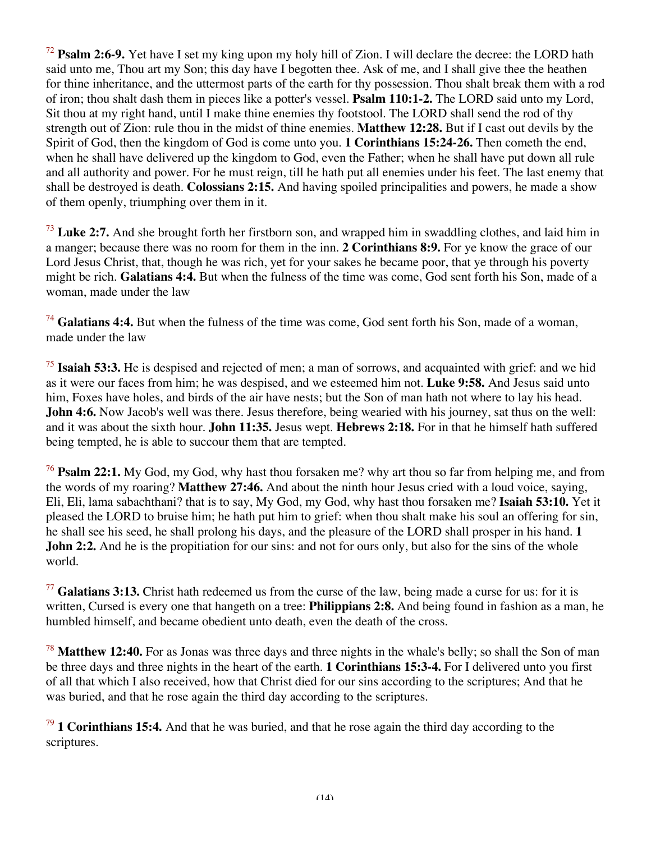<sup>72</sup> **Psalm 2:6-9.** Yet have I set my king upon my holy hill of Zion. I will declare the decree: the LORD hath said unto me, Thou art my Son; this day have I begotten thee. Ask of me, and I shall give thee the heathen for thine inheritance, and the uttermost parts of the earth for thy possession. Thou shalt break them with a rod of iron; thou shalt dash them in pieces like a potter's vessel. **Psalm 110:1-2.** The LORD said unto my Lord, Sit thou at my right hand, until I make thine enemies thy footstool. The LORD shall send the rod of thy strength out of Zion: rule thou in the midst of thine enemies. **Matthew 12:28.** But if I cast out devils by the Spirit of God, then the kingdom of God is come unto you. **1 Corinthians 15:24-26.** Then cometh the end, when he shall have delivered up the kingdom to God, even the Father; when he shall have put down all rule and all authority and power. For he must reign, till he hath put all enemies under his feet. The last enemy that shall be destroyed is death. **Colossians 2:15.** And having spoiled principalities and powers, he made a show of them openly, triumphing over them in it.

<sup>73</sup> Luke 2:7. And she brought forth her firstborn son, and wrapped him in swaddling clothes, and laid him in a manger; because there was no room for them in the inn. **2 Corinthians 8:9.** For ye know the grace of our Lord Jesus Christ, that, though he was rich, yet for your sakes he became poor, that ye through his poverty might be rich. **Galatians 4:4.** But when the fulness of the time was come, God sent forth his Son, made of a woman, made under the law

<sup>74</sup> **Galatians 4:4.** But when the fulness of the time was come, God sent forth his Son, made of a woman, made under the law

<sup>75</sup> **Isaiah 53:3.** He is despised and rejected of men; a man of sorrows, and acquainted with grief: and we hid as it were our faces from him; he was despised, and we esteemed him not. **Luke 9:58.** And Jesus said unto him, Foxes have holes, and birds of the air have nests; but the Son of man hath not where to lay his head. **John 4:6.** Now Jacob's well was there. Jesus therefore, being wearied with his journey, sat thus on the well: and it was about the sixth hour. **John 11:35.** Jesus wept. **Hebrews 2:18.** For in that he himself hath suffered being tempted, he is able to succour them that are tempted.

<sup>76</sup> **Psalm 22:1.** My God, my God, why hast thou forsaken me? why art thou so far from helping me, and from the words of my roaring? **Matthew 27:46.** And about the ninth hour Jesus cried with a loud voice, saying, Eli, Eli, lama sabachthani? that is to say, My God, my God, why hast thou forsaken me? **Isaiah 53:10.** Yet it pleased the LORD to bruise him; he hath put him to grief: when thou shalt make his soul an offering for sin, he shall see his seed, he shall prolong his days, and the pleasure of the LORD shall prosper in his hand. **1 John 2:2.** And he is the propitiation for our sins: and not for ours only, but also for the sins of the whole world.

<sup>77</sup> **Galatians 3:13.** Christ hath redeemed us from the curse of the law, being made a curse for us: for it is written, Cursed is every one that hangeth on a tree: **Philippians 2:8.** And being found in fashion as a man, he humbled himself, and became obedient unto death, even the death of the cross.

<sup>78</sup> **Matthew 12:40.** For as Jonas was three days and three nights in the whale's belly; so shall the Son of man be three days and three nights in the heart of the earth. **1 Corinthians 15:3-4.** For I delivered unto you first of all that which I also received, how that Christ died for our sins according to the scriptures; And that he was buried, and that he rose again the third day according to the scriptures.

<sup>79</sup> **1 Corinthians 15:4.** And that he was buried, and that he rose again the third day according to the scriptures.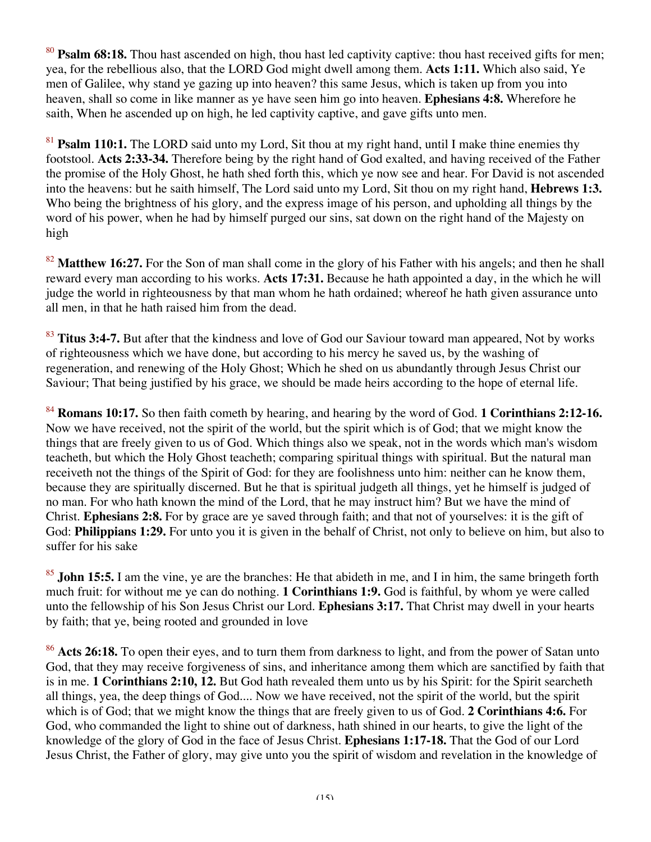<sup>80</sup> **Psalm 68:18.** Thou hast ascended on high, thou hast led captivity captive: thou hast received gifts for men; yea, for the rebellious also, that the LORD God might dwell among them. **Acts 1:11.** Which also said, Ye men of Galilee, why stand ye gazing up into heaven? this same Jesus, which is taken up from you into heaven, shall so come in like manner as ye have seen him go into heaven. **Ephesians 4:8.** Wherefore he saith, When he ascended up on high, he led captivity captive, and gave gifts unto men.

<sup>81</sup> **Psalm 110:1.** The LORD said unto my Lord, Sit thou at my right hand, until I make thine enemies thy footstool. **Acts 2:33-34.** Therefore being by the right hand of God exalted, and having received of the Father the promise of the Holy Ghost, he hath shed forth this, which ye now see and hear. For David is not ascended into the heavens: but he saith himself, The Lord said unto my Lord, Sit thou on my right hand, **Hebrews 1:3.** Who being the brightness of his glory, and the express image of his person, and upholding all things by the word of his power, when he had by himself purged our sins, sat down on the right hand of the Majesty on high

<sup>82</sup> **Matthew 16:27.** For the Son of man shall come in the glory of his Father with his angels; and then he shall reward every man according to his works. **Acts 17:31.** Because he hath appointed a day, in the which he will judge the world in righteousness by that man whom he hath ordained; whereof he hath given assurance unto all men, in that he hath raised him from the dead.

<sup>83</sup> Titus 3:4-7. But after that the kindness and love of God our Saviour toward man appeared, Not by works of righteousness which we have done, but according to his mercy he saved us, by the washing of regeneration, and renewing of the Holy Ghost; Which he shed on us abundantly through Jesus Christ our Saviour; That being justified by his grace, we should be made heirs according to the hope of eternal life.

<sup>84</sup> **Romans 10:17.** So then faith cometh by hearing, and hearing by the word of God. **1 Corinthians 2:12-16.** Now we have received, not the spirit of the world, but the spirit which is of God; that we might know the things that are freely given to us of God. Which things also we speak, not in the words which man's wisdom teacheth, but which the Holy Ghost teacheth; comparing spiritual things with spiritual. But the natural man receiveth not the things of the Spirit of God: for they are foolishness unto him: neither can he know them, because they are spiritually discerned. But he that is spiritual judgeth all things, yet he himself is judged of no man. For who hath known the mind of the Lord, that he may instruct him? But we have the mind of Christ. **Ephesians 2:8.** For by grace are ye saved through faith; and that not of yourselves: it is the gift of God: **Philippians 1:29.** For unto you it is given in the behalf of Christ, not only to believe on him, but also to suffer for his sake

<sup>85</sup> **John 15:5.** I am the vine, ye are the branches: He that abideth in me, and I in him, the same bringeth forth much fruit: for without me ye can do nothing. **1 Corinthians 1:9.** God is faithful, by whom ye were called unto the fellowship of his Son Jesus Christ our Lord. **Ephesians 3:17.** That Christ may dwell in your hearts by faith; that ye, being rooted and grounded in love

<sup>86</sup> **Acts 26:18.** To open their eyes, and to turn them from darkness to light, and from the power of Satan unto God, that they may receive forgiveness of sins, and inheritance among them which are sanctified by faith that is in me. **1 Corinthians 2:10, 12.** But God hath revealed them unto us by his Spirit: for the Spirit searcheth all things, yea, the deep things of God.... Now we have received, not the spirit of the world, but the spirit which is of God; that we might know the things that are freely given to us of God. **2 Corinthians 4:6.** For God, who commanded the light to shine out of darkness, hath shined in our hearts, to give the light of the knowledge of the glory of God in the face of Jesus Christ. **Ephesians 1:17-18.** That the God of our Lord Jesus Christ, the Father of glory, may give unto you the spirit of wisdom and revelation in the knowledge of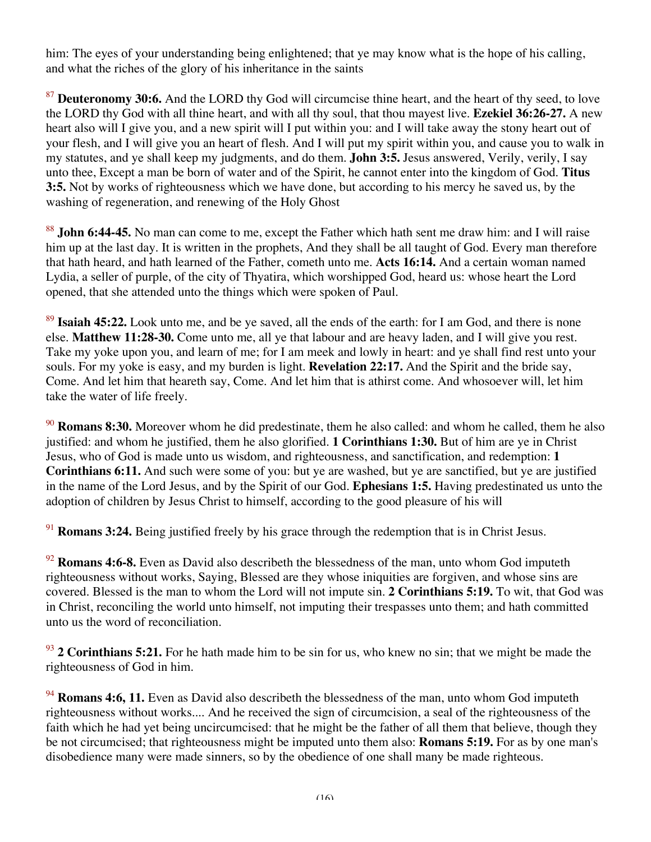him: The eyes of your understanding being enlightened; that ye may know what is the hope of his calling, and what the riches of the glory of his inheritance in the saints

<sup>87</sup> **Deuteronomy 30:6.** And the LORD thy God will circumcise thine heart, and the heart of thy seed, to love the LORD thy God with all thine heart, and with all thy soul, that thou mayest live. **Ezekiel 36:26-27.** A new heart also will I give you, and a new spirit will I put within you: and I will take away the stony heart out of your flesh, and I will give you an heart of flesh. And I will put my spirit within you, and cause you to walk in my statutes, and ye shall keep my judgments, and do them. **John 3:5.** Jesus answered, Verily, verily, I say unto thee, Except a man be born of water and of the Spirit, he cannot enter into the kingdom of God. **Titus 3:5.** Not by works of righteousness which we have done, but according to his mercy he saved us, by the washing of regeneration, and renewing of the Holy Ghost

<sup>88</sup> **John 6:44-45.** No man can come to me, except the Father which hath sent me draw him: and I will raise him up at the last day. It is written in the prophets, And they shall be all taught of God. Every man therefore that hath heard, and hath learned of the Father, cometh unto me. **Acts 16:14.** And a certain woman named Lydia, a seller of purple, of the city of Thyatira, which worshipped God, heard us: whose heart the Lord opened, that she attended unto the things which were spoken of Paul.

<sup>89</sup> **Isaiah 45:22.** Look unto me, and be ye saved, all the ends of the earth: for I am God, and there is none else. **Matthew 11:28-30.** Come unto me, all ye that labour and are heavy laden, and I will give you rest. Take my yoke upon you, and learn of me; for I am meek and lowly in heart: and ye shall find rest unto your souls. For my yoke is easy, and my burden is light. **Revelation 22:17.** And the Spirit and the bride say, Come. And let him that heareth say, Come. And let him that is athirst come. And whosoever will, let him take the water of life freely.

<sup>90</sup> **Romans 8:30.** Moreover whom he did predestinate, them he also called: and whom he called, them he also justified: and whom he justified, them he also glorified. **1 Corinthians 1:30.** But of him are ye in Christ Jesus, who of God is made unto us wisdom, and righteousness, and sanctification, and redemption: **1 Corinthians 6:11.** And such were some of you: but ye are washed, but ye are sanctified, but ye are justified in the name of the Lord Jesus, and by the Spirit of our God. **Ephesians 1:5.** Having predestinated us unto the adoption of children by Jesus Christ to himself, according to the good pleasure of his will

<sup>91</sup> **Romans 3:24.** Being justified freely by his grace through the redemption that is in Christ Jesus.

<sup>92</sup> **Romans 4:6-8.** Even as David also describeth the blessedness of the man, unto whom God imputeth righteousness without works, Saying, Blessed are they whose iniquities are forgiven, and whose sins are covered. Blessed is the man to whom the Lord will not impute sin. **2 Corinthians 5:19.** To wit, that God was in Christ, reconciling the world unto himself, not imputing their trespasses unto them; and hath committed unto us the word of reconciliation.

<sup>93</sup> **2 Corinthians 5:21.** For he hath made him to be sin for us, who knew no sin; that we might be made the righteousness of God in him.

<sup>94</sup> **Romans 4:6, 11.** Even as David also describeth the blessedness of the man, unto whom God imputeth righteousness without works.... And he received the sign of circumcision, a seal of the righteousness of the faith which he had yet being uncircumcised: that he might be the father of all them that believe, though they be not circumcised; that righteousness might be imputed unto them also: **Romans 5:19.** For as by one man's disobedience many were made sinners, so by the obedience of one shall many be made righteous.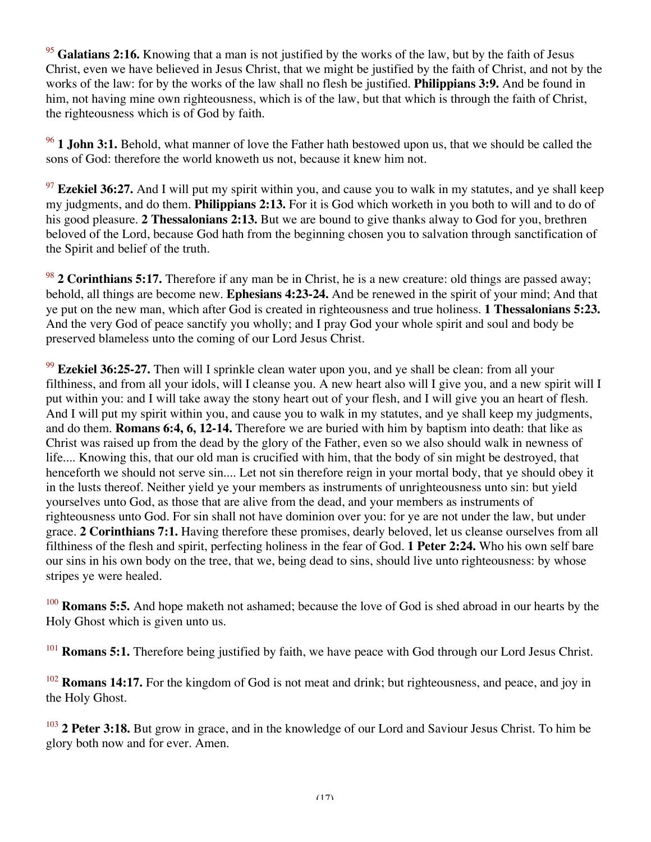<sup>95</sup> Galatians 2:16. Knowing that a man is not justified by the works of the law, but by the faith of Jesus Christ, even we have believed in Jesus Christ, that we might be justified by the faith of Christ, and not by the works of the law: for by the works of the law shall no flesh be justified. **Philippians 3:9.** And be found in him, not having mine own righteousness, which is of the law, but that which is through the faith of Christ, the righteousness which is of God by faith.

<sup>96</sup> **1 John 3:1.** Behold, what manner of love the Father hath bestowed upon us, that we should be called the sons of God: therefore the world knoweth us not, because it knew him not.

<sup>97</sup> **Ezekiel 36:27.** And I will put my spirit within you, and cause you to walk in my statutes, and ye shall keep my judgments, and do them. **Philippians 2:13.** For it is God which worketh in you both to will and to do of his good pleasure. **2 Thessalonians 2:13.** But we are bound to give thanks alway to God for you, brethren beloved of the Lord, because God hath from the beginning chosen you to salvation through sanctification of the Spirit and belief of the truth.

<sup>98</sup> **2 Corinthians 5:17.** Therefore if any man be in Christ, he is a new creature: old things are passed away; behold, all things are become new. **Ephesians 4:23-24.** And be renewed in the spirit of your mind; And that ye put on the new man, which after God is created in righteousness and true holiness. **1 Thessalonians 5:23.** And the very God of peace sanctify you wholly; and I pray God your whole spirit and soul and body be preserved blameless unto the coming of our Lord Jesus Christ.

<sup>99</sup> **Ezekiel 36:25-27.** Then will I sprinkle clean water upon you, and ye shall be clean: from all your filthiness, and from all your idols, will I cleanse you. A new heart also will I give you, and a new spirit will I put within you: and I will take away the stony heart out of your flesh, and I will give you an heart of flesh. And I will put my spirit within you, and cause you to walk in my statutes, and ye shall keep my judgments, and do them. **Romans 6:4, 6, 12-14.** Therefore we are buried with him by baptism into death: that like as Christ was raised up from the dead by the glory of the Father, even so we also should walk in newness of life.... Knowing this, that our old man is crucified with him, that the body of sin might be destroyed, that henceforth we should not serve sin.... Let not sin therefore reign in your mortal body, that ye should obey it in the lusts thereof. Neither yield ye your members as instruments of unrighteousness unto sin: but yield yourselves unto God, as those that are alive from the dead, and your members as instruments of righteousness unto God. For sin shall not have dominion over you: for ye are not under the law, but under grace. **2 Corinthians 7:1.** Having therefore these promises, dearly beloved, let us cleanse ourselves from all filthiness of the flesh and spirit, perfecting holiness in the fear of God. **1 Peter 2:24.** Who his own self bare our sins in his own body on the tree, that we, being dead to sins, should live unto righteousness: by whose stripes ye were healed.

<sup>100</sup> **Romans 5:5.** And hope maketh not ashamed; because the love of God is shed abroad in our hearts by the Holy Ghost which is given unto us.

<sup>101</sup> **Romans 5:1.** Therefore being justified by faith, we have peace with God through our Lord Jesus Christ.

<sup>102</sup> **Romans 14:17.** For the kingdom of God is not meat and drink; but righteousness, and peace, and joy in the Holy Ghost.

<sup>103</sup> **2 Peter 3:18.** But grow in grace, and in the knowledge of our Lord and Saviour Jesus Christ. To him be glory both now and for ever. Amen.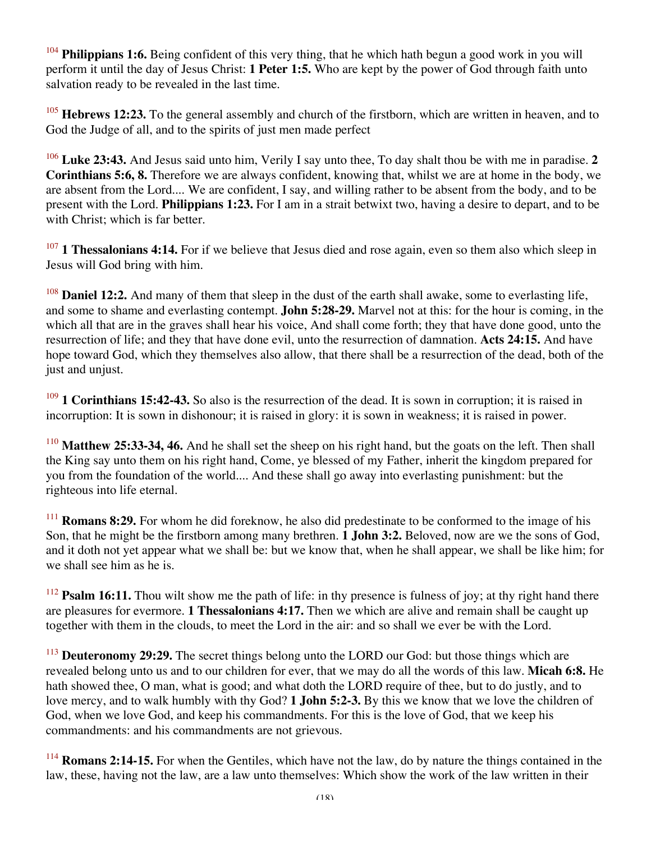<sup>104</sup> **Philippians 1:6.** Being confident of this very thing, that he which hath begun a good work in you will perform it until the day of Jesus Christ: **1 Peter 1:5.** Who are kept by the power of God through faith unto salvation ready to be revealed in the last time.

<sup>105</sup> **Hebrews 12:23.** To the general assembly and church of the firstborn, which are written in heaven, and to God the Judge of all, and to the spirits of just men made perfect

<sup>106</sup> **Luke 23:43.** And Jesus said unto him, Verily I say unto thee, To day shalt thou be with me in paradise. **2 Corinthians 5:6, 8.** Therefore we are always confident, knowing that, whilst we are at home in the body, we are absent from the Lord.... We are confident, I say, and willing rather to be absent from the body, and to be present with the Lord. **Philippians 1:23.** For I am in a strait betwixt two, having a desire to depart, and to be with Christ; which is far better.

<sup>107</sup> **1 Thessalonians 4:14.** For if we believe that Jesus died and rose again, even so them also which sleep in Jesus will God bring with him.

<sup>108</sup> **Daniel 12:2.** And many of them that sleep in the dust of the earth shall awake, some to everlasting life, and some to shame and everlasting contempt. **John 5:28-29.** Marvel not at this: for the hour is coming, in the which all that are in the graves shall hear his voice, And shall come forth; they that have done good, unto the resurrection of life; and they that have done evil, unto the resurrection of damnation. **Acts 24:15.** And have hope toward God, which they themselves also allow, that there shall be a resurrection of the dead, both of the just and unjust.

<sup>109</sup> **1 Corinthians 15:42-43.** So also is the resurrection of the dead. It is sown in corruption; it is raised in incorruption: It is sown in dishonour; it is raised in glory: it is sown in weakness; it is raised in power.

<sup>110</sup> **Matthew 25:33-34, 46.** And he shall set the sheep on his right hand, but the goats on the left. Then shall the King say unto them on his right hand, Come, ye blessed of my Father, inherit the kingdom prepared for you from the foundation of the world.... And these shall go away into everlasting punishment: but the righteous into life eternal.

<sup>111</sup> **Romans 8:29.** For whom he did foreknow, he also did predestinate to be conformed to the image of his Son, that he might be the firstborn among many brethren. **1 John 3:2.** Beloved, now are we the sons of God, and it doth not yet appear what we shall be: but we know that, when he shall appear, we shall be like him; for we shall see him as he is.

<sup>112</sup> **Psalm 16:11.** Thou wilt show me the path of life: in thy presence is fulness of joy; at thy right hand there are pleasures for evermore. **1 Thessalonians 4:17.** Then we which are alive and remain shall be caught up together with them in the clouds, to meet the Lord in the air: and so shall we ever be with the Lord.

<sup>113</sup> **Deuteronomy 29:29.** The secret things belong unto the LORD our God: but those things which are revealed belong unto us and to our children for ever, that we may do all the words of this law. **Micah 6:8.** He hath showed thee, O man, what is good; and what doth the LORD require of thee, but to do justly, and to love mercy, and to walk humbly with thy God? **1 John 5:2-3.** By this we know that we love the children of God, when we love God, and keep his commandments. For this is the love of God, that we keep his commandments: and his commandments are not grievous.

<sup>114</sup> **Romans 2:14-15.** For when the Gentiles, which have not the law, do by nature the things contained in the law, these, having not the law, are a law unto themselves: Which show the work of the law written in their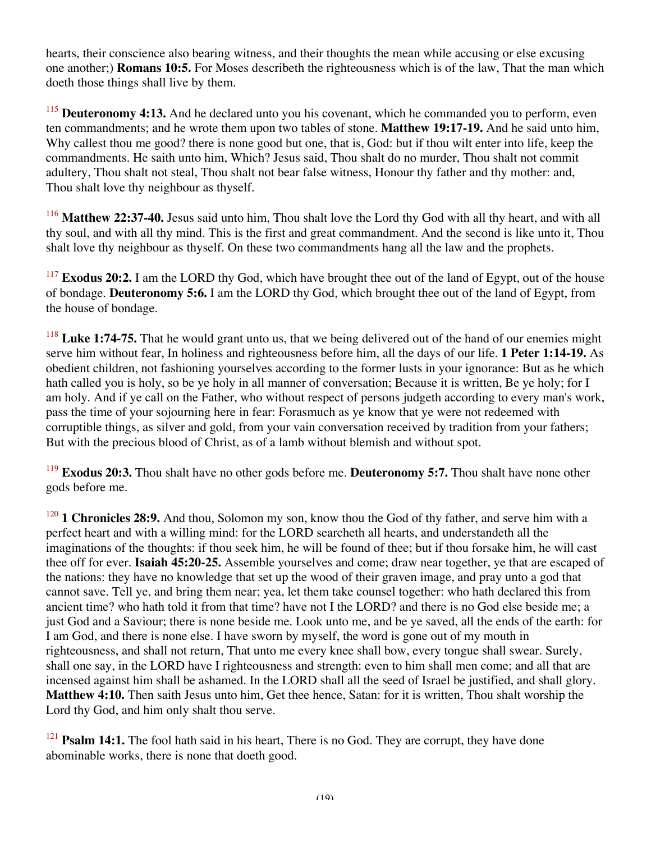hearts, their conscience also bearing witness, and their thoughts the mean while accusing or else excusing one another;) **Romans 10:5.** For Moses describeth the righteousness which is of the law, That the man which doeth those things shall live by them.

<sup>115</sup> **Deuteronomy 4:13.** And he declared unto you his covenant, which he commanded you to perform, even ten commandments; and he wrote them upon two tables of stone. **Matthew 19:17-19.** And he said unto him, Why callest thou me good? there is none good but one, that is, God: but if thou wilt enter into life, keep the commandments. He saith unto him, Which? Jesus said, Thou shalt do no murder, Thou shalt not commit adultery, Thou shalt not steal, Thou shalt not bear false witness, Honour thy father and thy mother: and, Thou shalt love thy neighbour as thyself.

<sup>116</sup> **Matthew 22:37-40.** Jesus said unto him, Thou shalt love the Lord thy God with all thy heart, and with all thy soul, and with all thy mind. This is the first and great commandment. And the second is like unto it, Thou shalt love thy neighbour as thyself. On these two commandments hang all the law and the prophets.

<sup>117</sup> **Exodus 20:2.** I am the LORD thy God, which have brought thee out of the land of Egypt, out of the house of bondage. **Deuteronomy 5:6.** I am the LORD thy God, which brought thee out of the land of Egypt, from the house of bondage.

<sup>118</sup> Luke 1:74-75. That he would grant unto us, that we being delivered out of the hand of our enemies might serve him without fear, In holiness and righteousness before him, all the days of our life. **1 Peter 1:14-19.** As obedient children, not fashioning yourselves according to the former lusts in your ignorance: But as he which hath called you is holy, so be ye holy in all manner of conversation; Because it is written, Be ye holy; for I am holy. And if ye call on the Father, who without respect of persons judgeth according to every man's work, pass the time of your sojourning here in fear: Forasmuch as ye know that ye were not redeemed with corruptible things, as silver and gold, from your vain conversation received by tradition from your fathers; But with the precious blood of Christ, as of a lamb without blemish and without spot.

<sup>119</sup> **Exodus 20:3.** Thou shalt have no other gods before me. **Deuteronomy 5:7.** Thou shalt have none other gods before me.

<sup>120</sup> **1 Chronicles 28:9.** And thou, Solomon my son, know thou the God of thy father, and serve him with a perfect heart and with a willing mind: for the LORD searcheth all hearts, and understandeth all the imaginations of the thoughts: if thou seek him, he will be found of thee; but if thou forsake him, he will cast thee off for ever. **Isaiah 45:20-25.** Assemble yourselves and come; draw near together, ye that are escaped of the nations: they have no knowledge that set up the wood of their graven image, and pray unto a god that cannot save. Tell ye, and bring them near; yea, let them take counsel together: who hath declared this from ancient time? who hath told it from that time? have not I the LORD? and there is no God else beside me; a just God and a Saviour; there is none beside me. Look unto me, and be ye saved, all the ends of the earth: for I am God, and there is none else. I have sworn by myself, the word is gone out of my mouth in righteousness, and shall not return, That unto me every knee shall bow, every tongue shall swear. Surely, shall one say, in the LORD have I righteousness and strength: even to him shall men come; and all that are incensed against him shall be ashamed. In the LORD shall all the seed of Israel be justified, and shall glory. **Matthew 4:10.** Then saith Jesus unto him, Get thee hence, Satan: for it is written, Thou shalt worship the Lord thy God, and him only shalt thou serve.

<sup>121</sup> **Psalm 14:1.** The fool hath said in his heart, There is no God. They are corrupt, they have done abominable works, there is none that doeth good.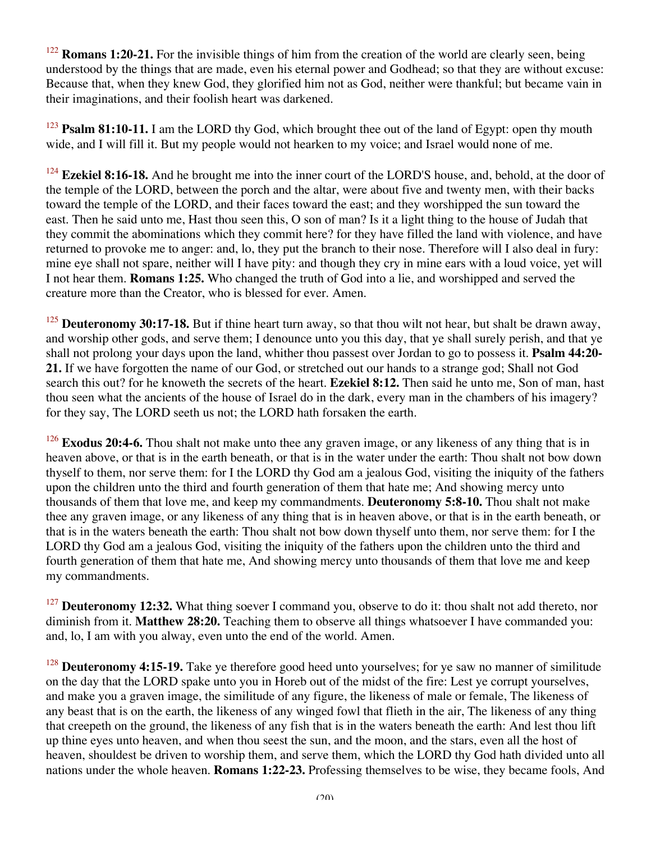<sup>122</sup> **Romans 1:20-21.** For the invisible things of him from the creation of the world are clearly seen, being understood by the things that are made, even his eternal power and Godhead; so that they are without excuse: Because that, when they knew God, they glorified him not as God, neither were thankful; but became vain in their imaginations, and their foolish heart was darkened.

<sup>123</sup> **Psalm 81:10-11.** I am the LORD thy God, which brought thee out of the land of Egypt: open thy mouth wide, and I will fill it. But my people would not hearken to my voice; and Israel would none of me.

<sup>124</sup> **Ezekiel 8:16-18.** And he brought me into the inner court of the LORD'S house, and, behold, at the door of the temple of the LORD, between the porch and the altar, were about five and twenty men, with their backs toward the temple of the LORD, and their faces toward the east; and they worshipped the sun toward the east. Then he said unto me, Hast thou seen this, O son of man? Is it a light thing to the house of Judah that they commit the abominations which they commit here? for they have filled the land with violence, and have returned to provoke me to anger: and, lo, they put the branch to their nose. Therefore will I also deal in fury: mine eye shall not spare, neither will I have pity: and though they cry in mine ears with a loud voice, yet will I not hear them. **Romans 1:25.** Who changed the truth of God into a lie, and worshipped and served the creature more than the Creator, who is blessed for ever. Amen.

<sup>125</sup> **Deuteronomy 30:17-18.** But if thine heart turn away, so that thou wilt not hear, but shalt be drawn away, and worship other gods, and serve them; I denounce unto you this day, that ye shall surely perish, and that ye shall not prolong your days upon the land, whither thou passest over Jordan to go to possess it. **Psalm 44:20- 21.** If we have forgotten the name of our God, or stretched out our hands to a strange god; Shall not God search this out? for he knoweth the secrets of the heart. **Ezekiel 8:12.** Then said he unto me, Son of man, hast thou seen what the ancients of the house of Israel do in the dark, every man in the chambers of his imagery? for they say, The LORD seeth us not; the LORD hath forsaken the earth.

<sup>126</sup> **Exodus 20:4-6.** Thou shalt not make unto thee any graven image, or any likeness of any thing that is in heaven above, or that is in the earth beneath, or that is in the water under the earth: Thou shalt not bow down thyself to them, nor serve them: for I the LORD thy God am a jealous God, visiting the iniquity of the fathers upon the children unto the third and fourth generation of them that hate me; And showing mercy unto thousands of them that love me, and keep my commandments. **Deuteronomy 5:8-10.** Thou shalt not make thee any graven image, or any likeness of any thing that is in heaven above, or that is in the earth beneath, or that is in the waters beneath the earth: Thou shalt not bow down thyself unto them, nor serve them: for I the LORD thy God am a jealous God, visiting the iniquity of the fathers upon the children unto the third and fourth generation of them that hate me, And showing mercy unto thousands of them that love me and keep my commandments.

<sup>127</sup> **Deuteronomy 12:32.** What thing soever I command you, observe to do it: thou shalt not add thereto, nor diminish from it. **Matthew 28:20.** Teaching them to observe all things whatsoever I have commanded you: and, lo, I am with you alway, even unto the end of the world. Amen.

<sup>128</sup> **Deuteronomy 4:15-19.** Take ye therefore good heed unto yourselves; for ye saw no manner of similitude on the day that the LORD spake unto you in Horeb out of the midst of the fire: Lest ye corrupt yourselves, and make you a graven image, the similitude of any figure, the likeness of male or female, The likeness of any beast that is on the earth, the likeness of any winged fowl that flieth in the air, The likeness of any thing that creepeth on the ground, the likeness of any fish that is in the waters beneath the earth: And lest thou lift up thine eyes unto heaven, and when thou seest the sun, and the moon, and the stars, even all the host of heaven, shouldest be driven to worship them, and serve them, which the LORD thy God hath divided unto all nations under the whole heaven. **Romans 1:22-23.** Professing themselves to be wise, they became fools, And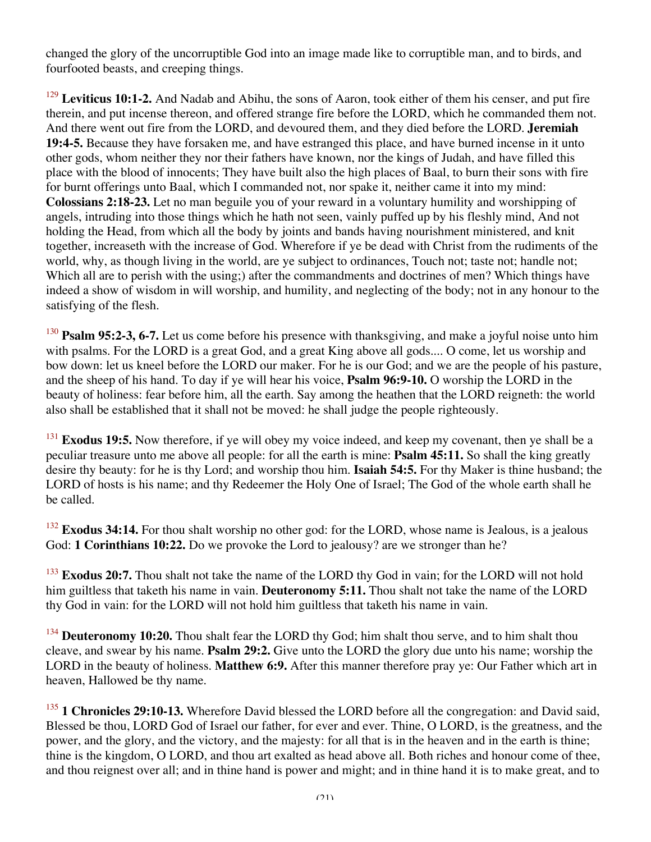changed the glory of the uncorruptible God into an image made like to corruptible man, and to birds, and fourfooted beasts, and creeping things.

<sup>129</sup> Leviticus 10:1-2. And Nadab and Abihu, the sons of Aaron, took either of them his censer, and put fire therein, and put incense thereon, and offered strange fire before the LORD, which he commanded them not. And there went out fire from the LORD, and devoured them, and they died before the LORD. **Jeremiah 19:4-5.** Because they have forsaken me, and have estranged this place, and have burned incense in it unto other gods, whom neither they nor their fathers have known, nor the kings of Judah, and have filled this place with the blood of innocents; They have built also the high places of Baal, to burn their sons with fire for burnt offerings unto Baal, which I commanded not, nor spake it, neither came it into my mind: **Colossians 2:18-23.** Let no man beguile you of your reward in a voluntary humility and worshipping of angels, intruding into those things which he hath not seen, vainly puffed up by his fleshly mind, And not holding the Head, from which all the body by joints and bands having nourishment ministered, and knit together, increaseth with the increase of God. Wherefore if ye be dead with Christ from the rudiments of the world, why, as though living in the world, are ye subject to ordinances, Touch not; taste not; handle not; Which all are to perish with the using;) after the commandments and doctrines of men? Which things have indeed a show of wisdom in will worship, and humility, and neglecting of the body; not in any honour to the satisfying of the flesh.

<sup>130</sup> **Psalm 95:2-3, 6-7.** Let us come before his presence with thanksgiving, and make a joyful noise unto him with psalms. For the LORD is a great God, and a great King above all gods.... O come, let us worship and bow down: let us kneel before the LORD our maker. For he is our God; and we are the people of his pasture, and the sheep of his hand. To day if ye will hear his voice, **Psalm 96:9-10.** O worship the LORD in the beauty of holiness: fear before him, all the earth. Say among the heathen that the LORD reigneth: the world also shall be established that it shall not be moved: he shall judge the people righteously.

<sup>131</sup> **Exodus 19:5.** Now therefore, if ye will obey my voice indeed, and keep my covenant, then ye shall be a peculiar treasure unto me above all people: for all the earth is mine: **Psalm 45:11.** So shall the king greatly desire thy beauty: for he is thy Lord; and worship thou him. **Isaiah 54:5.** For thy Maker is thine husband; the LORD of hosts is his name; and thy Redeemer the Holy One of Israel; The God of the whole earth shall he be called.

<sup>132</sup> **Exodus 34:14.** For thou shalt worship no other god: for the LORD, whose name is Jealous, is a jealous God: **1 Corinthians 10:22.** Do we provoke the Lord to jealousy? are we stronger than he?

<sup>133</sup> **Exodus 20:7.** Thou shalt not take the name of the LORD thy God in vain; for the LORD will not hold him guiltless that taketh his name in vain. **Deuteronomy 5:11.** Thou shalt not take the name of the LORD thy God in vain: for the LORD will not hold him guiltless that taketh his name in vain.

<sup>134</sup> **Deuteronomy 10:20.** Thou shalt fear the LORD thy God; him shalt thou serve, and to him shalt thou cleave, and swear by his name. **Psalm 29:2.** Give unto the LORD the glory due unto his name; worship the LORD in the beauty of holiness. **Matthew 6:9.** After this manner therefore pray ye: Our Father which art in heaven, Hallowed be thy name.

<sup>135</sup> **1 Chronicles 29:10-13.** Wherefore David blessed the LORD before all the congregation: and David said, Blessed be thou, LORD God of Israel our father, for ever and ever. Thine, O LORD, is the greatness, and the power, and the glory, and the victory, and the majesty: for all that is in the heaven and in the earth is thine; thine is the kingdom, O LORD, and thou art exalted as head above all. Both riches and honour come of thee, and thou reignest over all; and in thine hand is power and might; and in thine hand it is to make great, and to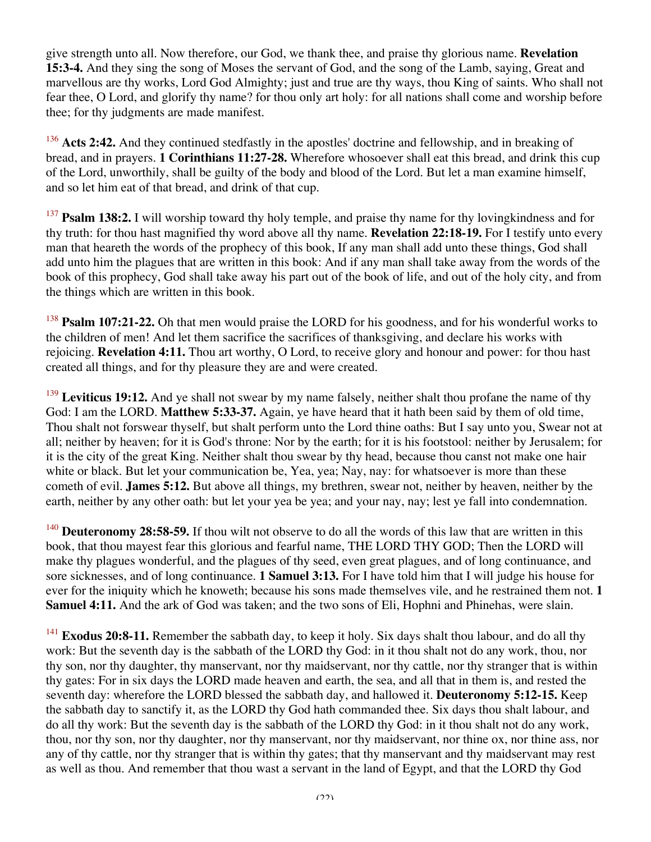give strength unto all. Now therefore, our God, we thank thee, and praise thy glorious name. **Revelation 15:3-4.** And they sing the song of Moses the servant of God, and the song of the Lamb, saying, Great and marvellous are thy works, Lord God Almighty; just and true are thy ways, thou King of saints. Who shall not fear thee, O Lord, and glorify thy name? for thou only art holy: for all nations shall come and worship before thee; for thy judgments are made manifest.

<sup>136</sup> Acts 2:42. And they continued stedfastly in the apostles' doctrine and fellowship, and in breaking of bread, and in prayers. **1 Corinthians 11:27-28.** Wherefore whosoever shall eat this bread, and drink this cup of the Lord, unworthily, shall be guilty of the body and blood of the Lord. But let a man examine himself, and so let him eat of that bread, and drink of that cup.

<sup>137</sup> **Psalm 138:2.** I will worship toward thy holy temple, and praise thy name for thy loving kindness and for thy truth: for thou hast magnified thy word above all thy name. **Revelation 22:18-19.** For I testify unto every man that heareth the words of the prophecy of this book, If any man shall add unto these things, God shall add unto him the plagues that are written in this book: And if any man shall take away from the words of the book of this prophecy, God shall take away his part out of the book of life, and out of the holy city, and from the things which are written in this book.

<sup>138</sup> **Psalm 107:21-22.** Oh that men would praise the LORD for his goodness, and for his wonderful works to the children of men! And let them sacrifice the sacrifices of thanksgiving, and declare his works with rejoicing. **Revelation 4:11.** Thou art worthy, O Lord, to receive glory and honour and power: for thou hast created all things, and for thy pleasure they are and were created.

<sup>139</sup> Leviticus 19:12. And ye shall not swear by my name falsely, neither shalt thou profane the name of thy God: I am the LORD. **Matthew 5:33-37.** Again, ye have heard that it hath been said by them of old time, Thou shalt not forswear thyself, but shalt perform unto the Lord thine oaths: But I say unto you, Swear not at all; neither by heaven; for it is God's throne: Nor by the earth; for it is his footstool: neither by Jerusalem; for it is the city of the great King. Neither shalt thou swear by thy head, because thou canst not make one hair white or black. But let your communication be, Yea, yea; Nay, nay: for whatsoever is more than these cometh of evil. **James 5:12.** But above all things, my brethren, swear not, neither by heaven, neither by the earth, neither by any other oath: but let your yea be yea; and your nay, nay; lest ye fall into condemnation.

<sup>140</sup> **Deuteronomy 28:58-59.** If thou wilt not observe to do all the words of this law that are written in this book, that thou mayest fear this glorious and fearful name, THE LORD THY GOD; Then the LORD will make thy plagues wonderful, and the plagues of thy seed, even great plagues, and of long continuance, and sore sicknesses, and of long continuance. **1 Samuel 3:13.** For I have told him that I will judge his house for ever for the iniquity which he knoweth; because his sons made themselves vile, and he restrained them not. **1 Samuel 4:11.** And the ark of God was taken; and the two sons of Eli, Hophni and Phinehas, were slain.

<sup>141</sup> **Exodus 20:8-11.** Remember the sabbath day, to keep it holy. Six days shalt thou labour, and do all thy work: But the seventh day is the sabbath of the LORD thy God: in it thou shalt not do any work, thou, nor thy son, nor thy daughter, thy manservant, nor thy maidservant, nor thy cattle, nor thy stranger that is within thy gates: For in six days the LORD made heaven and earth, the sea, and all that in them is, and rested the seventh day: wherefore the LORD blessed the sabbath day, and hallowed it. **Deuteronomy 5:12-15.** Keep the sabbath day to sanctify it, as the LORD thy God hath commanded thee. Six days thou shalt labour, and do all thy work: But the seventh day is the sabbath of the LORD thy God: in it thou shalt not do any work, thou, nor thy son, nor thy daughter, nor thy manservant, nor thy maidservant, nor thine ox, nor thine ass, nor any of thy cattle, nor thy stranger that is within thy gates; that thy manservant and thy maidservant may rest as well as thou. And remember that thou wast a servant in the land of Egypt, and that the LORD thy God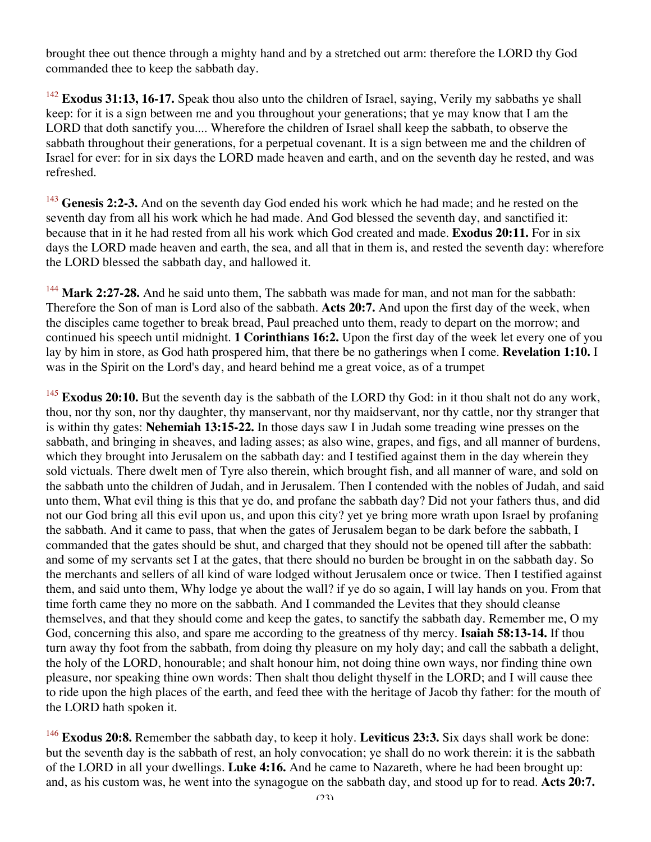brought thee out thence through a mighty hand and by a stretched out arm: therefore the LORD thy God commanded thee to keep the sabbath day.

<sup>142</sup> **Exodus 31:13, 16-17.** Speak thou also unto the children of Israel, saying, Verily my sabbaths ye shall keep: for it is a sign between me and you throughout your generations; that ye may know that I am the LORD that doth sanctify you.... Wherefore the children of Israel shall keep the sabbath, to observe the sabbath throughout their generations, for a perpetual covenant. It is a sign between me and the children of Israel for ever: for in six days the LORD made heaven and earth, and on the seventh day he rested, and was refreshed.

<sup>143</sup> **Genesis 2:2-3.** And on the seventh day God ended his work which he had made; and he rested on the seventh day from all his work which he had made. And God blessed the seventh day, and sanctified it: because that in it he had rested from all his work which God created and made. **Exodus 20:11.** For in six days the LORD made heaven and earth, the sea, and all that in them is, and rested the seventh day: wherefore the LORD blessed the sabbath day, and hallowed it.

<sup>144</sup> Mark 2:27-28. And he said unto them, The sabbath was made for man, and not man for the sabbath: Therefore the Son of man is Lord also of the sabbath. **Acts 20:7.** And upon the first day of the week, when the disciples came together to break bread, Paul preached unto them, ready to depart on the morrow; and continued his speech until midnight. **1 Corinthians 16:2.** Upon the first day of the week let every one of you lay by him in store, as God hath prospered him, that there be no gatherings when I come. **Revelation 1:10.** I was in the Spirit on the Lord's day, and heard behind me a great voice, as of a trumpet

<sup>145</sup> **Exodus 20:10.** But the seventh day is the sabbath of the LORD thy God: in it thou shalt not do any work, thou, nor thy son, nor thy daughter, thy manservant, nor thy maidservant, nor thy cattle, nor thy stranger that is within thy gates: **Nehemiah 13:15-22.** In those days saw I in Judah some treading wine presses on the sabbath, and bringing in sheaves, and lading asses; as also wine, grapes, and figs, and all manner of burdens, which they brought into Jerusalem on the sabbath day: and I testified against them in the day wherein they sold victuals. There dwelt men of Tyre also therein, which brought fish, and all manner of ware, and sold on the sabbath unto the children of Judah, and in Jerusalem. Then I contended with the nobles of Judah, and said unto them, What evil thing is this that ye do, and profane the sabbath day? Did not your fathers thus, and did not our God bring all this evil upon us, and upon this city? yet ye bring more wrath upon Israel by profaning the sabbath. And it came to pass, that when the gates of Jerusalem began to be dark before the sabbath, I commanded that the gates should be shut, and charged that they should not be opened till after the sabbath: and some of my servants set I at the gates, that there should no burden be brought in on the sabbath day. So the merchants and sellers of all kind of ware lodged without Jerusalem once or twice. Then I testified against them, and said unto them, Why lodge ye about the wall? if ye do so again, I will lay hands on you. From that time forth came they no more on the sabbath. And I commanded the Levites that they should cleanse themselves, and that they should come and keep the gates, to sanctify the sabbath day. Remember me, O my God, concerning this also, and spare me according to the greatness of thy mercy. **Isaiah 58:13-14.** If thou turn away thy foot from the sabbath, from doing thy pleasure on my holy day; and call the sabbath a delight, the holy of the LORD, honourable; and shalt honour him, not doing thine own ways, nor finding thine own pleasure, nor speaking thine own words: Then shalt thou delight thyself in the LORD; and I will cause thee to ride upon the high places of the earth, and feed thee with the heritage of Jacob thy father: for the mouth of the LORD hath spoken it.

<sup>146</sup> **Exodus 20:8.** Remember the sabbath day, to keep it holy. **Leviticus 23:3.** Six days shall work be done: but the seventh day is the sabbath of rest, an holy convocation; ye shall do no work therein: it is the sabbath of the LORD in all your dwellings. **Luke 4:16.** And he came to Nazareth, where he had been brought up: and, as his custom was, he went into the synagogue on the sabbath day, and stood up for to read. **Acts 20:7.**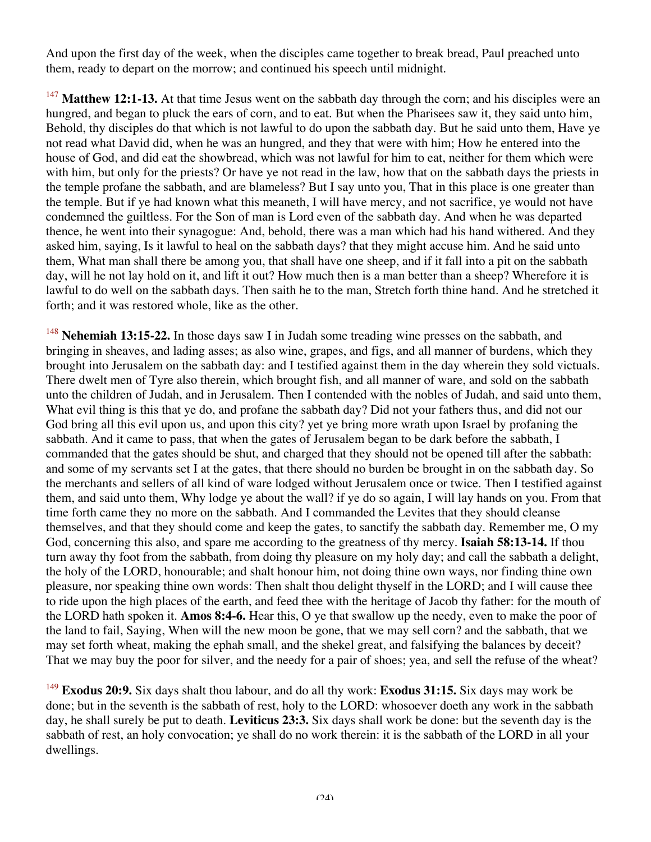And upon the first day of the week, when the disciples came together to break bread, Paul preached unto them, ready to depart on the morrow; and continued his speech until midnight.

<sup>147</sup> Matthew 12:1-13. At that time Jesus went on the sabbath day through the corn; and his disciples were an hungred, and began to pluck the ears of corn, and to eat. But when the Pharisees saw it, they said unto him, Behold, thy disciples do that which is not lawful to do upon the sabbath day. But he said unto them, Have ye not read what David did, when he was an hungred, and they that were with him; How he entered into the house of God, and did eat the showbread, which was not lawful for him to eat, neither for them which were with him, but only for the priests? Or have ye not read in the law, how that on the sabbath days the priests in the temple profane the sabbath, and are blameless? But I say unto you, That in this place is one greater than the temple. But if ye had known what this meaneth, I will have mercy, and not sacrifice, ye would not have condemned the guiltless. For the Son of man is Lord even of the sabbath day. And when he was departed thence, he went into their synagogue: And, behold, there was a man which had his hand withered. And they asked him, saying, Is it lawful to heal on the sabbath days? that they might accuse him. And he said unto them, What man shall there be among you, that shall have one sheep, and if it fall into a pit on the sabbath day, will he not lay hold on it, and lift it out? How much then is a man better than a sheep? Wherefore it is lawful to do well on the sabbath days. Then saith he to the man, Stretch forth thine hand. And he stretched it forth; and it was restored whole, like as the other.

<sup>148</sup> **Nehemiah 13:15-22.** In those days saw I in Judah some treading wine presses on the sabbath, and bringing in sheaves, and lading asses; as also wine, grapes, and figs, and all manner of burdens, which they brought into Jerusalem on the sabbath day: and I testified against them in the day wherein they sold victuals. There dwelt men of Tyre also therein, which brought fish, and all manner of ware, and sold on the sabbath unto the children of Judah, and in Jerusalem. Then I contended with the nobles of Judah, and said unto them, What evil thing is this that ye do, and profane the sabbath day? Did not your fathers thus, and did not our God bring all this evil upon us, and upon this city? yet ye bring more wrath upon Israel by profaning the sabbath. And it came to pass, that when the gates of Jerusalem began to be dark before the sabbath, I commanded that the gates should be shut, and charged that they should not be opened till after the sabbath: and some of my servants set I at the gates, that there should no burden be brought in on the sabbath day. So the merchants and sellers of all kind of ware lodged without Jerusalem once or twice. Then I testified against them, and said unto them, Why lodge ye about the wall? if ye do so again, I will lay hands on you. From that time forth came they no more on the sabbath. And I commanded the Levites that they should cleanse themselves, and that they should come and keep the gates, to sanctify the sabbath day. Remember me, O my God, concerning this also, and spare me according to the greatness of thy mercy. **Isaiah 58:13-14.** If thou turn away thy foot from the sabbath, from doing thy pleasure on my holy day; and call the sabbath a delight, the holy of the LORD, honourable; and shalt honour him, not doing thine own ways, nor finding thine own pleasure, nor speaking thine own words: Then shalt thou delight thyself in the LORD; and I will cause thee to ride upon the high places of the earth, and feed thee with the heritage of Jacob thy father: for the mouth of the LORD hath spoken it. **Amos 8:4-6.** Hear this, O ye that swallow up the needy, even to make the poor of the land to fail, Saying, When will the new moon be gone, that we may sell corn? and the sabbath, that we may set forth wheat, making the ephah small, and the shekel great, and falsifying the balances by deceit? That we may buy the poor for silver, and the needy for a pair of shoes; yea, and sell the refuse of the wheat?

<sup>149</sup> **Exodus 20:9.** Six days shalt thou labour, and do all thy work: **Exodus 31:15.** Six days may work be done; but in the seventh is the sabbath of rest, holy to the LORD: whosoever doeth any work in the sabbath day, he shall surely be put to death. **Leviticus 23:3.** Six days shall work be done: but the seventh day is the sabbath of rest, an holy convocation; ye shall do no work therein: it is the sabbath of the LORD in all your dwellings.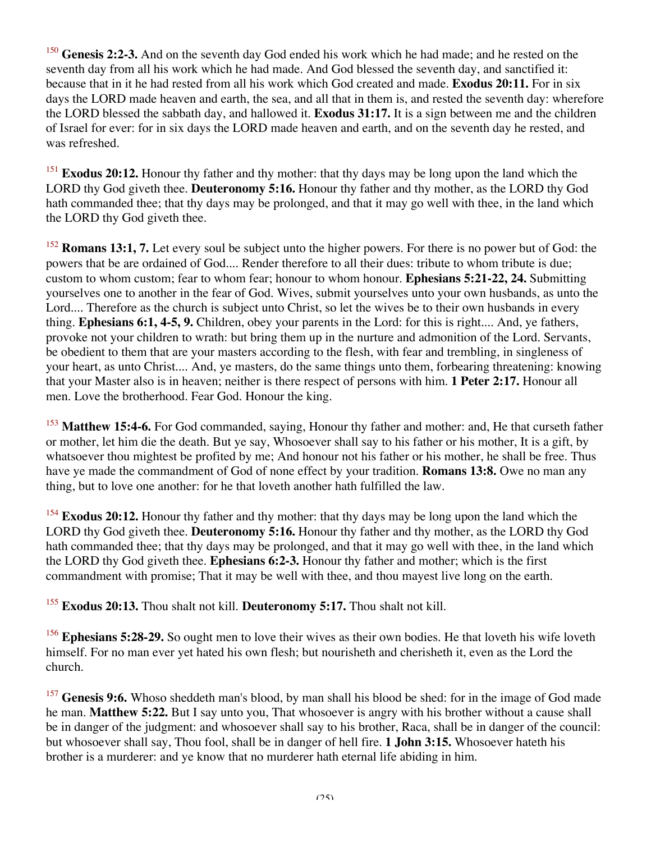<sup>150</sup> **Genesis 2:2-3.** And on the seventh day God ended his work which he had made; and he rested on the seventh day from all his work which he had made. And God blessed the seventh day, and sanctified it: because that in it he had rested from all his work which God created and made. **Exodus 20:11.** For in six days the LORD made heaven and earth, the sea, and all that in them is, and rested the seventh day: wherefore the LORD blessed the sabbath day, and hallowed it. **Exodus 31:17.** It is a sign between me and the children of Israel for ever: for in six days the LORD made heaven and earth, and on the seventh day he rested, and was refreshed.

<sup>151</sup> **Exodus 20:12.** Honour thy father and thy mother: that thy days may be long upon the land which the LORD thy God giveth thee. **Deuteronomy 5:16.** Honour thy father and thy mother, as the LORD thy God hath commanded thee; that thy days may be prolonged, and that it may go well with thee, in the land which the LORD thy God giveth thee.

<sup>152</sup> **Romans 13:1, 7.** Let every soul be subject unto the higher powers. For there is no power but of God: the powers that be are ordained of God.... Render therefore to all their dues: tribute to whom tribute is due; custom to whom custom; fear to whom fear; honour to whom honour. **Ephesians 5:21-22, 24.** Submitting yourselves one to another in the fear of God. Wives, submit yourselves unto your own husbands, as unto the Lord.... Therefore as the church is subject unto Christ, so let the wives be to their own husbands in every thing. **Ephesians 6:1, 4-5, 9.** Children, obey your parents in the Lord: for this is right.... And, ye fathers, provoke not your children to wrath: but bring them up in the nurture and admonition of the Lord. Servants, be obedient to them that are your masters according to the flesh, with fear and trembling, in singleness of your heart, as unto Christ.... And, ye masters, do the same things unto them, forbearing threatening: knowing that your Master also is in heaven; neither is there respect of persons with him. **1 Peter 2:17.** Honour all men. Love the brotherhood. Fear God. Honour the king.

<sup>153</sup> **Matthew 15:4-6.** For God commanded, saying, Honour thy father and mother: and, He that curseth father or mother, let him die the death. But ye say, Whosoever shall say to his father or his mother, It is a gift, by whatsoever thou mightest be profited by me; And honour not his father or his mother, he shall be free. Thus have ye made the commandment of God of none effect by your tradition. **Romans 13:8.** Owe no man any thing, but to love one another: for he that loveth another hath fulfilled the law.

<sup>154</sup> **Exodus 20:12.** Honour thy father and thy mother: that thy days may be long upon the land which the LORD thy God giveth thee. **Deuteronomy 5:16.** Honour thy father and thy mother, as the LORD thy God hath commanded thee; that thy days may be prolonged, and that it may go well with thee, in the land which the LORD thy God giveth thee. **Ephesians 6:2-3.** Honour thy father and mother; which is the first commandment with promise; That it may be well with thee, and thou mayest live long on the earth.

<sup>155</sup> **Exodus 20:13.** Thou shalt not kill. **Deuteronomy 5:17.** Thou shalt not kill.

<sup>156</sup> **Ephesians 5:28-29.** So ought men to love their wives as their own bodies. He that loveth his wife loveth himself. For no man ever yet hated his own flesh; but nourisheth and cherisheth it, even as the Lord the church.

<sup>157</sup> Genesis 9:6. Whoso sheddeth man's blood, by man shall his blood be shed: for in the image of God made he man. **Matthew 5:22.** But I say unto you, That whosoever is angry with his brother without a cause shall be in danger of the judgment: and whosoever shall say to his brother, Raca, shall be in danger of the council: but whosoever shall say, Thou fool, shall be in danger of hell fire. **1 John 3:15.** Whosoever hateth his brother is a murderer: and ye know that no murderer hath eternal life abiding in him.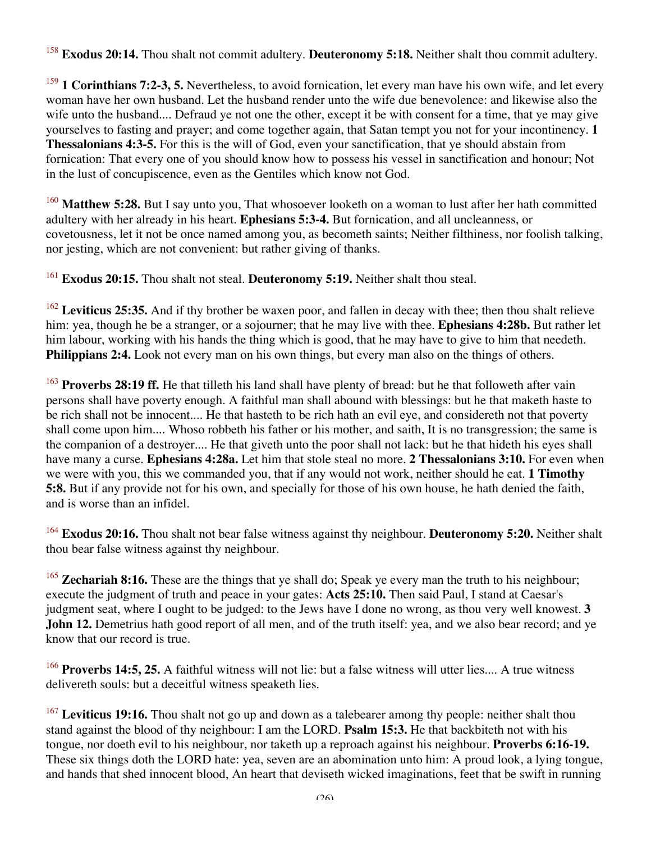<sup>158</sup> **Exodus 20:14.** Thou shalt not commit adultery. **Deuteronomy 5:18.** Neither shalt thou commit adultery.

<sup>159</sup> **1 Corinthians 7:2-3, 5.** Nevertheless, to avoid fornication, let every man have his own wife, and let every woman have her own husband. Let the husband render unto the wife due benevolence: and likewise also the wife unto the husband.... Defraud ye not one the other, except it be with consent for a time, that ye may give yourselves to fasting and prayer; and come together again, that Satan tempt you not for your incontinency. **1 Thessalonians 4:3-5.** For this is the will of God, even your sanctification, that ye should abstain from fornication: That every one of you should know how to possess his vessel in sanctification and honour; Not in the lust of concupiscence, even as the Gentiles which know not God.

<sup>160</sup> Matthew 5:28. But I say unto you, That whosoever looketh on a woman to lust after her hath committed adultery with her already in his heart. **Ephesians 5:3-4.** But fornication, and all uncleanness, or covetousness, let it not be once named among you, as becometh saints; Neither filthiness, nor foolish talking, nor jesting, which are not convenient: but rather giving of thanks.

<sup>161</sup> **Exodus 20:15.** Thou shalt not steal. **Deuteronomy 5:19.** Neither shalt thou steal.

<sup>162</sup> Leviticus 25:35. And if thy brother be waxen poor, and fallen in decay with thee; then thou shalt relieve him: yea, though he be a stranger, or a sojourner; that he may live with thee. **Ephesians 4:28b.** But rather let him labour, working with his hands the thing which is good, that he may have to give to him that needeth. **Philippians 2:4.** Look not every man on his own things, but every man also on the things of others.

<sup>163</sup> **Proverbs 28:19 ff.** He that tilleth his land shall have plenty of bread: but he that followeth after vain persons shall have poverty enough. A faithful man shall abound with blessings: but he that maketh haste to be rich shall not be innocent.... He that hasteth to be rich hath an evil eye, and considereth not that poverty shall come upon him.... Whoso robbeth his father or his mother, and saith, It is no transgression; the same is the companion of a destroyer.... He that giveth unto the poor shall not lack: but he that hideth his eyes shall have many a curse. **Ephesians 4:28a.** Let him that stole steal no more. **2 Thessalonians 3:10.** For even when we were with you, this we commanded you, that if any would not work, neither should he eat. **1 Timothy 5:8.** But if any provide not for his own, and specially for those of his own house, he hath denied the faith, and is worse than an infidel.

<sup>164</sup> **Exodus 20:16.** Thou shalt not bear false witness against thy neighbour. **Deuteronomy 5:20.** Neither shalt thou bear false witness against thy neighbour.

<sup>165</sup> **Zechariah 8:16.** These are the things that ye shall do; Speak ye every man the truth to his neighbour; execute the judgment of truth and peace in your gates: **Acts 25:10.** Then said Paul, I stand at Caesar's judgment seat, where I ought to be judged: to the Jews have I done no wrong, as thou very well knowest. **3 John 12.** Demetrius hath good report of all men, and of the truth itself: yea, and we also bear record; and ye know that our record is true.

<sup>166</sup> **Proverbs 14:5, 25.** A faithful witness will not lie: but a false witness will utter lies.... A true witness delivereth souls: but a deceitful witness speaketh lies.

<sup>167</sup> Leviticus 19:16. Thou shalt not go up and down as a talebearer among thy people: neither shalt thou stand against the blood of thy neighbour: I am the LORD. **Psalm 15:3.** He that backbiteth not with his tongue, nor doeth evil to his neighbour, nor taketh up a reproach against his neighbour. **Proverbs 6:16-19.** These six things doth the LORD hate: yea, seven are an abomination unto him: A proud look, a lying tongue, and hands that shed innocent blood, An heart that deviseth wicked imaginations, feet that be swift in running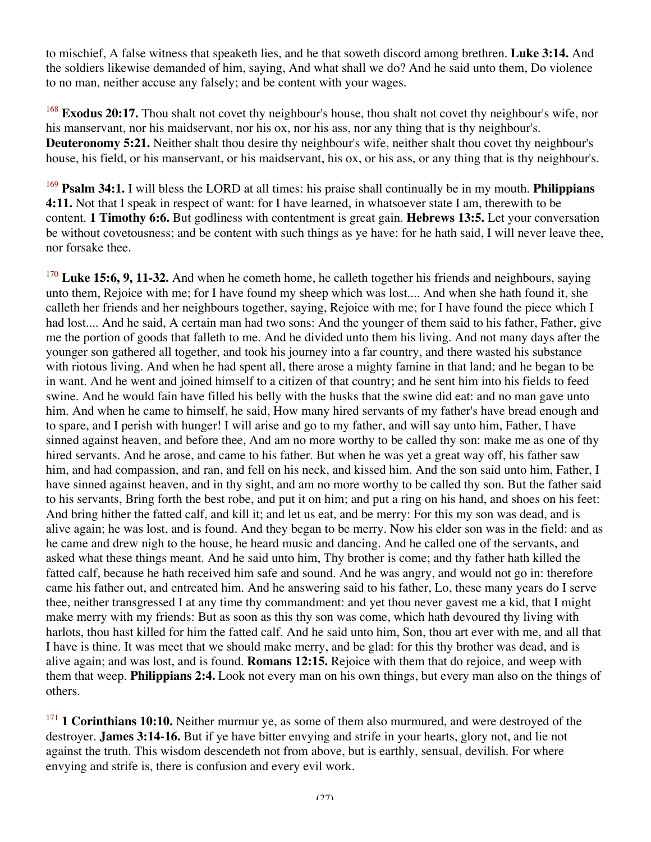to mischief, A false witness that speaketh lies, and he that soweth discord among brethren. **Luke 3:14.** And the soldiers likewise demanded of him, saying, And what shall we do? And he said unto them, Do violence to no man, neither accuse any falsely; and be content with your wages.

<sup>168</sup> **Exodus 20:17.** Thou shalt not covet thy neighbour's house, thou shalt not covet thy neighbour's wife, nor his manservant, nor his maidservant, nor his ox, nor his ass, nor any thing that is thy neighbour's. **Deuteronomy 5:21.** Neither shalt thou desire thy neighbour's wife, neither shalt thou covet thy neighbour's house, his field, or his manservant, or his maidservant, his ox, or his ass, or any thing that is thy neighbour's.

<sup>169</sup> **Psalm 34:1.** I will bless the LORD at all times: his praise shall continually be in my mouth. **Philippians 4:11.** Not that I speak in respect of want: for I have learned, in whatsoever state I am, therewith to be content. **1 Timothy 6:6.** But godliness with contentment is great gain. **Hebrews 13:5.** Let your conversation be without covetousness; and be content with such things as ye have: for he hath said, I will never leave thee, nor forsake thee.

<sup>170</sup> Luke 15:6, 9, 11-32. And when he cometh home, he calleth together his friends and neighbours, saying unto them, Rejoice with me; for I have found my sheep which was lost.... And when she hath found it, she calleth her friends and her neighbours together, saying, Rejoice with me; for I have found the piece which I had lost.... And he said, A certain man had two sons: And the younger of them said to his father, Father, give me the portion of goods that falleth to me. And he divided unto them his living. And not many days after the younger son gathered all together, and took his journey into a far country, and there wasted his substance with riotous living. And when he had spent all, there arose a mighty famine in that land; and he began to be in want. And he went and joined himself to a citizen of that country; and he sent him into his fields to feed swine. And he would fain have filled his belly with the husks that the swine did eat: and no man gave unto him. And when he came to himself, he said, How many hired servants of my father's have bread enough and to spare, and I perish with hunger! I will arise and go to my father, and will say unto him, Father, I have sinned against heaven, and before thee, And am no more worthy to be called thy son: make me as one of thy hired servants. And he arose, and came to his father. But when he was yet a great way off, his father saw him, and had compassion, and ran, and fell on his neck, and kissed him. And the son said unto him, Father, I have sinned against heaven, and in thy sight, and am no more worthy to be called thy son. But the father said to his servants, Bring forth the best robe, and put it on him; and put a ring on his hand, and shoes on his feet: And bring hither the fatted calf, and kill it; and let us eat, and be merry: For this my son was dead, and is alive again; he was lost, and is found. And they began to be merry. Now his elder son was in the field: and as he came and drew nigh to the house, he heard music and dancing. And he called one of the servants, and asked what these things meant. And he said unto him, Thy brother is come; and thy father hath killed the fatted calf, because he hath received him safe and sound. And he was angry, and would not go in: therefore came his father out, and entreated him. And he answering said to his father, Lo, these many years do I serve thee, neither transgressed I at any time thy commandment: and yet thou never gavest me a kid, that I might make merry with my friends: But as soon as this thy son was come, which hath devoured thy living with harlots, thou hast killed for him the fatted calf. And he said unto him, Son, thou art ever with me, and all that I have is thine. It was meet that we should make merry, and be glad: for this thy brother was dead, and is alive again; and was lost, and is found. **Romans 12:15.** Rejoice with them that do rejoice, and weep with them that weep. **Philippians 2:4.** Look not every man on his own things, but every man also on the things of others.

<sup>171</sup> **1 Corinthians 10:10.** Neither murmur ye, as some of them also murmured, and were destroyed of the destroyer. **James 3:14-16.** But if ye have bitter envying and strife in your hearts, glory not, and lie not against the truth. This wisdom descendeth not from above, but is earthly, sensual, devilish. For where envying and strife is, there is confusion and every evil work.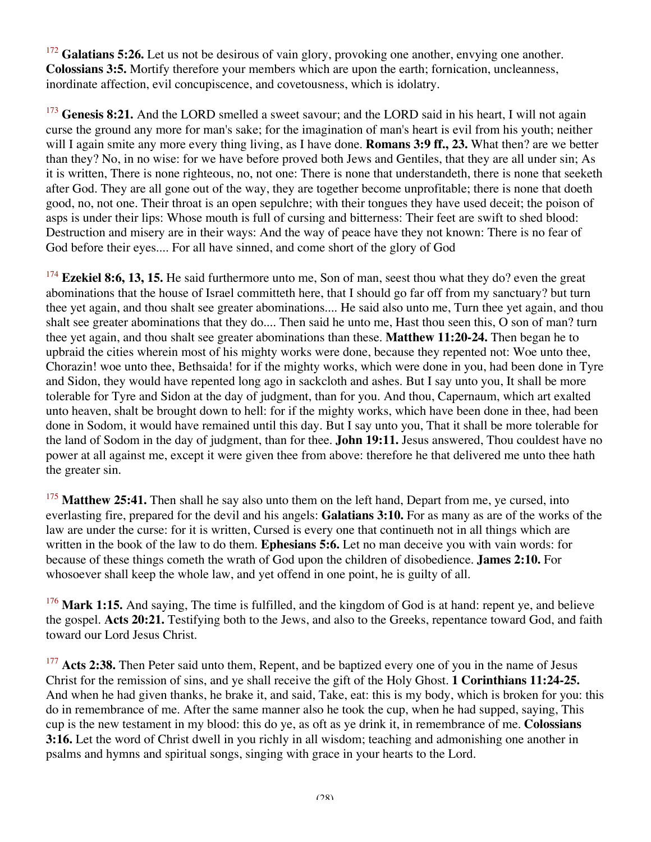<sup>172</sup> Galatians 5:26. Let us not be desirous of vain glory, provoking one another, envying one another. **Colossians 3:5.** Mortify therefore your members which are upon the earth; fornication, uncleanness, inordinate affection, evil concupiscence, and covetousness, which is idolatry.

<sup>173</sup> Genesis 8:21. And the LORD smelled a sweet savour; and the LORD said in his heart, I will not again curse the ground any more for man's sake; for the imagination of man's heart is evil from his youth; neither will I again smite any more every thing living, as I have done. **Romans 3:9 ff., 23.** What then? are we better than they? No, in no wise: for we have before proved both Jews and Gentiles, that they are all under sin; As it is written, There is none righteous, no, not one: There is none that understandeth, there is none that seeketh after God. They are all gone out of the way, they are together become unprofitable; there is none that doeth good, no, not one. Their throat is an open sepulchre; with their tongues they have used deceit; the poison of asps is under their lips: Whose mouth is full of cursing and bitterness: Their feet are swift to shed blood: Destruction and misery are in their ways: And the way of peace have they not known: There is no fear of God before their eyes.... For all have sinned, and come short of the glory of God

<sup>174</sup> **Ezekiel 8:6, 13, 15.** He said furthermore unto me, Son of man, seest thou what they do? even the great abominations that the house of Israel committeth here, that I should go far off from my sanctuary? but turn thee yet again, and thou shalt see greater abominations.... He said also unto me, Turn thee yet again, and thou shalt see greater abominations that they do.... Then said he unto me, Hast thou seen this, O son of man? turn thee yet again, and thou shalt see greater abominations than these. **Matthew 11:20-24.** Then began he to upbraid the cities wherein most of his mighty works were done, because they repented not: Woe unto thee, Chorazin! woe unto thee, Bethsaida! for if the mighty works, which were done in you, had been done in Tyre and Sidon, they would have repented long ago in sackcloth and ashes. But I say unto you, It shall be more tolerable for Tyre and Sidon at the day of judgment, than for you. And thou, Capernaum, which art exalted unto heaven, shalt be brought down to hell: for if the mighty works, which have been done in thee, had been done in Sodom, it would have remained until this day. But I say unto you, That it shall be more tolerable for the land of Sodom in the day of judgment, than for thee. **John 19:11.** Jesus answered, Thou couldest have no power at all against me, except it were given thee from above: therefore he that delivered me unto thee hath the greater sin.

<sup>175</sup> Matthew 25:41. Then shall he say also unto them on the left hand, Depart from me, ye cursed, into everlasting fire, prepared for the devil and his angels: **Galatians 3:10.** For as many as are of the works of the law are under the curse: for it is written, Cursed is every one that continueth not in all things which are written in the book of the law to do them. **Ephesians 5:6.** Let no man deceive you with vain words: for because of these things cometh the wrath of God upon the children of disobedience. **James 2:10.** For whosoever shall keep the whole law, and yet offend in one point, he is guilty of all.

<sup>176</sup> Mark 1:15. And saying, The time is fulfilled, and the kingdom of God is at hand: repent ye, and believe the gospel. **Acts 20:21.** Testifying both to the Jews, and also to the Greeks, repentance toward God, and faith toward our Lord Jesus Christ.

<sup>177</sup> Acts 2:38. Then Peter said unto them, Repent, and be baptized every one of you in the name of Jesus Christ for the remission of sins, and ye shall receive the gift of the Holy Ghost. **1 Corinthians 11:24-25.** And when he had given thanks, he brake it, and said, Take, eat: this is my body, which is broken for you: this do in remembrance of me. After the same manner also he took the cup, when he had supped, saying, This cup is the new testament in my blood: this do ye, as oft as ye drink it, in remembrance of me. **Colossians 3:16.** Let the word of Christ dwell in you richly in all wisdom; teaching and admonishing one another in psalms and hymns and spiritual songs, singing with grace in your hearts to the Lord.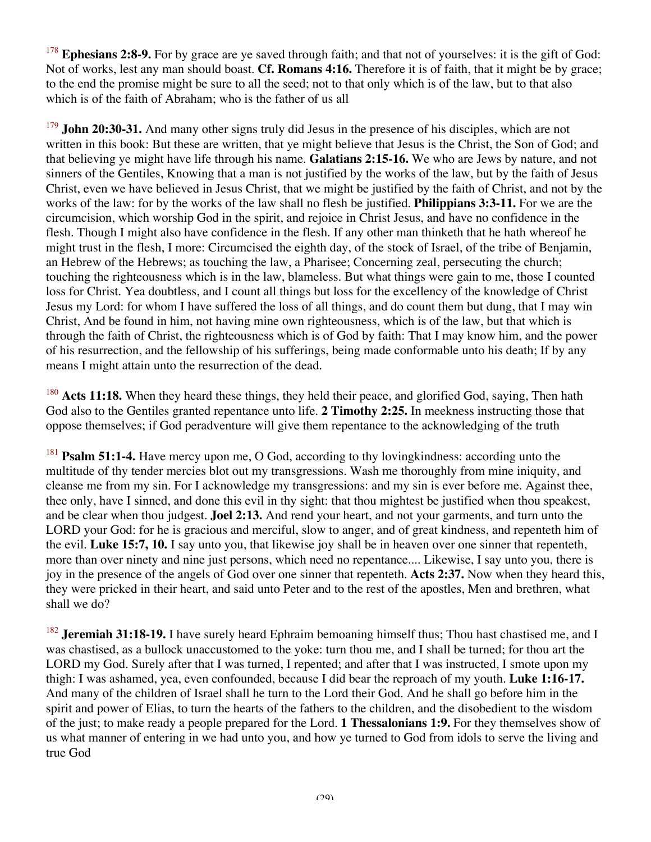<sup>178</sup> **Ephesians 2:8-9.** For by grace are ye saved through faith; and that not of yourselves: it is the gift of God: Not of works, lest any man should boast. **Cf. Romans 4:16.** Therefore it is of faith, that it might be by grace; to the end the promise might be sure to all the seed; not to that only which is of the law, but to that also which is of the faith of Abraham; who is the father of us all

<sup>179</sup> **John 20:30-31.** And many other signs truly did Jesus in the presence of his disciples, which are not written in this book: But these are written, that ye might believe that Jesus is the Christ, the Son of God; and that believing ye might have life through his name. **Galatians 2:15-16.** We who are Jews by nature, and not sinners of the Gentiles, Knowing that a man is not justified by the works of the law, but by the faith of Jesus Christ, even we have believed in Jesus Christ, that we might be justified by the faith of Christ, and not by the works of the law: for by the works of the law shall no flesh be justified. **Philippians 3:3-11.** For we are the circumcision, which worship God in the spirit, and rejoice in Christ Jesus, and have no confidence in the flesh. Though I might also have confidence in the flesh. If any other man thinketh that he hath whereof he might trust in the flesh, I more: Circumcised the eighth day, of the stock of Israel, of the tribe of Benjamin, an Hebrew of the Hebrews; as touching the law, a Pharisee; Concerning zeal, persecuting the church; touching the righteousness which is in the law, blameless. But what things were gain to me, those I counted loss for Christ. Yea doubtless, and I count all things but loss for the excellency of the knowledge of Christ Jesus my Lord: for whom I have suffered the loss of all things, and do count them but dung, that I may win Christ, And be found in him, not having mine own righteousness, which is of the law, but that which is through the faith of Christ, the righteousness which is of God by faith: That I may know him, and the power of his resurrection, and the fellowship of his sufferings, being made conformable unto his death; If by any means I might attain unto the resurrection of the dead.

<sup>180</sup> Acts 11:18. When they heard these things, they held their peace, and glorified God, saying, Then hath God also to the Gentiles granted repentance unto life. **2 Timothy 2:25.** In meekness instructing those that oppose themselves; if God peradventure will give them repentance to the acknowledging of the truth

<sup>181</sup> **Psalm 51:1-4.** Have mercy upon me, O God, according to thy lovingkindness: according unto the multitude of thy tender mercies blot out my transgressions. Wash me thoroughly from mine iniquity, and cleanse me from my sin. For I acknowledge my transgressions: and my sin is ever before me. Against thee, thee only, have I sinned, and done this evil in thy sight: that thou mightest be justified when thou speakest, and be clear when thou judgest. **Joel 2:13.** And rend your heart, and not your garments, and turn unto the LORD your God: for he is gracious and merciful, slow to anger, and of great kindness, and repenteth him of the evil. **Luke 15:7, 10.** I say unto you, that likewise joy shall be in heaven over one sinner that repenteth, more than over ninety and nine just persons, which need no repentance.... Likewise, I say unto you, there is joy in the presence of the angels of God over one sinner that repenteth. **Acts 2:37.** Now when they heard this, they were pricked in their heart, and said unto Peter and to the rest of the apostles, Men and brethren, what shall we do?

<sup>182</sup> Jeremiah 31:18-19. I have surely heard Ephraim bemoaning himself thus; Thou hast chastised me, and I was chastised, as a bullock unaccustomed to the yoke: turn thou me, and I shall be turned; for thou art the LORD my God. Surely after that I was turned, I repented; and after that I was instructed, I smote upon my thigh: I was ashamed, yea, even confounded, because I did bear the reproach of my youth. **Luke 1:16-17.** And many of the children of Israel shall he turn to the Lord their God. And he shall go before him in the spirit and power of Elias, to turn the hearts of the fathers to the children, and the disobedient to the wisdom of the just; to make ready a people prepared for the Lord. **1 Thessalonians 1:9.** For they themselves show of us what manner of entering in we had unto you, and how ye turned to God from idols to serve the living and true God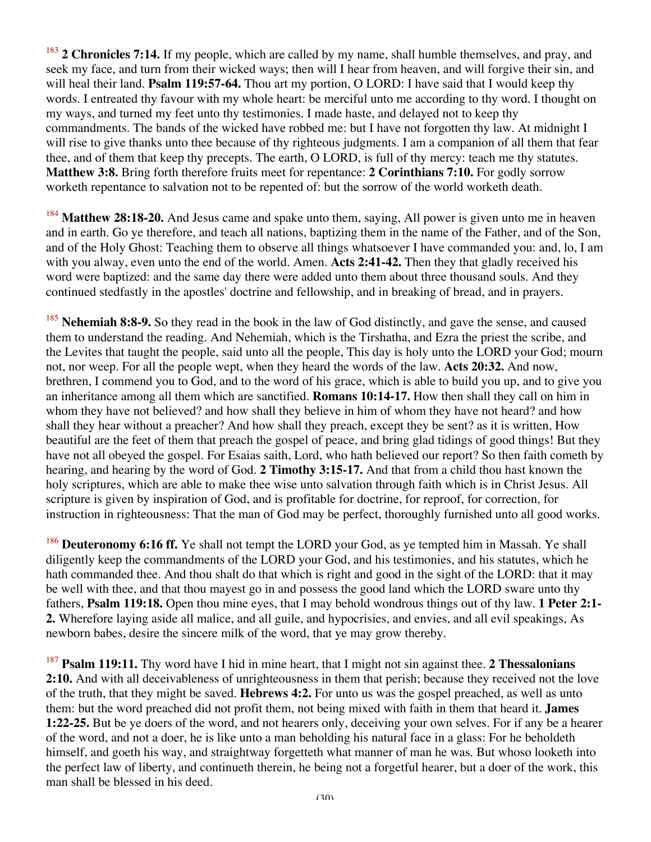<sup>183</sup> **2 Chronicles 7:14.** If my people, which are called by my name, shall humble themselves, and pray, and seek my face, and turn from their wicked ways; then will I hear from heaven, and will forgive their sin, and will heal their land. **Psalm 119:57-64.** Thou art my portion, O LORD: I have said that I would keep thy words. I entreated thy favour with my whole heart: be merciful unto me according to thy word. I thought on my ways, and turned my feet unto thy testimonies. I made haste, and delayed not to keep thy commandments. The bands of the wicked have robbed me: but I have not forgotten thy law. At midnight I will rise to give thanks unto thee because of thy righteous judgments. I am a companion of all them that fear thee, and of them that keep thy precepts. The earth, O LORD, is full of thy mercy: teach me thy statutes. **Matthew 3:8.** Bring forth therefore fruits meet for repentance: **2 Corinthians 7:10.** For godly sorrow worketh repentance to salvation not to be repented of: but the sorrow of the world worketh death.

<sup>184</sup> **Matthew 28:18-20.** And Jesus came and spake unto them, saying, All power is given unto me in heaven and in earth. Go ye therefore, and teach all nations, baptizing them in the name of the Father, and of the Son, and of the Holy Ghost: Teaching them to observe all things whatsoever I have commanded you: and, lo, I am with you alway, even unto the end of the world. Amen. **Acts 2:41-42.** Then they that gladly received his word were baptized: and the same day there were added unto them about three thousand souls. And they continued stedfastly in the apostles' doctrine and fellowship, and in breaking of bread, and in prayers.

<sup>185</sup> **Nehemiah 8:8-9.** So they read in the book in the law of God distinctly, and gave the sense, and caused them to understand the reading. And Nehemiah, which is the Tirshatha, and Ezra the priest the scribe, and the Levites that taught the people, said unto all the people, This day is holy unto the LORD your God; mourn not, nor weep. For all the people wept, when they heard the words of the law. **Acts 20:32.** And now, brethren, I commend you to God, and to the word of his grace, which is able to build you up, and to give you an inheritance among all them which are sanctified. **Romans 10:14-17.** How then shall they call on him in whom they have not believed? and how shall they believe in him of whom they have not heard? and how shall they hear without a preacher? And how shall they preach, except they be sent? as it is written, How beautiful are the feet of them that preach the gospel of peace, and bring glad tidings of good things! But they have not all obeyed the gospel. For Esaias saith, Lord, who hath believed our report? So then faith cometh by hearing, and hearing by the word of God. **2 Timothy 3:15-17.** And that from a child thou hast known the holy scriptures, which are able to make thee wise unto salvation through faith which is in Christ Jesus. All scripture is given by inspiration of God, and is profitable for doctrine, for reproof, for correction, for instruction in righteousness: That the man of God may be perfect, thoroughly furnished unto all good works.

<sup>186</sup> **Deuteronomy 6:16 ff.** Ye shall not tempt the LORD your God, as ye tempted him in Massah. Ye shall diligently keep the commandments of the LORD your God, and his testimonies, and his statutes, which he hath commanded thee. And thou shalt do that which is right and good in the sight of the LORD: that it may be well with thee, and that thou mayest go in and possess the good land which the LORD sware unto thy fathers, **Psalm 119:18.** Open thou mine eyes, that I may behold wondrous things out of thy law. **1 Peter 2:1- 2.** Wherefore laying aside all malice, and all guile, and hypocrisies, and envies, and all evil speakings, As newborn babes, desire the sincere milk of the word, that ye may grow thereby.

<sup>187</sup> **Psalm 119:11.** Thy word have I hid in mine heart, that I might not sin against thee. **2 Thessalonians 2:10.** And with all deceivableness of unrighteousness in them that perish; because they received not the love of the truth, that they might be saved. **Hebrews 4:2.** For unto us was the gospel preached, as well as unto them: but the word preached did not profit them, not being mixed with faith in them that heard it. **James 1:22-25.** But be ye doers of the word, and not hearers only, deceiving your own selves. For if any be a hearer of the word, and not a doer, he is like unto a man beholding his natural face in a glass: For he beholdeth himself, and goeth his way, and straightway forgetteth what manner of man he was. But whoso looketh into the perfect law of liberty, and continueth therein, he being not a forgetful hearer, but a doer of the work, this man shall be blessed in his deed.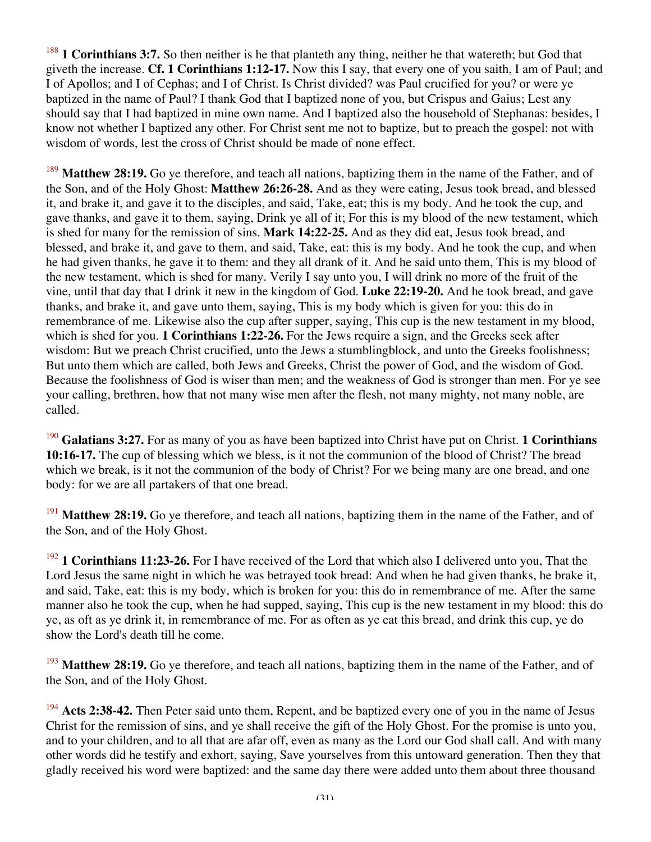<sup>188</sup> **1 Corinthians 3:7.** So then neither is he that planteth any thing, neither he that watereth; but God that giveth the increase. **Cf. 1 Corinthians 1:12-17.** Now this I say, that every one of you saith, I am of Paul; and I of Apollos; and I of Cephas; and I of Christ. Is Christ divided? was Paul crucified for you? or were ye baptized in the name of Paul? I thank God that I baptized none of you, but Crispus and Gaius; Lest any should say that I had baptized in mine own name. And I baptized also the household of Stephanas: besides, I know not whether I baptized any other. For Christ sent me not to baptize, but to preach the gospel: not with wisdom of words, lest the cross of Christ should be made of none effect.

<sup>189</sup> **Matthew 28:19.** Go ye therefore, and teach all nations, baptizing them in the name of the Father, and of the Son, and of the Holy Ghost: **Matthew 26:26-28.** And as they were eating, Jesus took bread, and blessed it, and brake it, and gave it to the disciples, and said, Take, eat; this is my body. And he took the cup, and gave thanks, and gave it to them, saying, Drink ye all of it; For this is my blood of the new testament, which is shed for many for the remission of sins. **Mark 14:22-25.** And as they did eat, Jesus took bread, and blessed, and brake it, and gave to them, and said, Take, eat: this is my body. And he took the cup, and when he had given thanks, he gave it to them: and they all drank of it. And he said unto them, This is my blood of the new testament, which is shed for many. Verily I say unto you, I will drink no more of the fruit of the vine, until that day that I drink it new in the kingdom of God. **Luke 22:19-20.** And he took bread, and gave thanks, and brake it, and gave unto them, saying, This is my body which is given for you: this do in remembrance of me. Likewise also the cup after supper, saying, This cup is the new testament in my blood, which is shed for you. **1 Corinthians 1:22-26.** For the Jews require a sign, and the Greeks seek after wisdom: But we preach Christ crucified, unto the Jews a stumblingblock, and unto the Greeks foolishness; But unto them which are called, both Jews and Greeks, Christ the power of God, and the wisdom of God. Because the foolishness of God is wiser than men; and the weakness of God is stronger than men. For ye see your calling, brethren, how that not many wise men after the flesh, not many mighty, not many noble, are called.

<sup>190</sup> **Galatians 3:27.** For as many of you as have been baptized into Christ have put on Christ. **1 Corinthians 10:16-17.** The cup of blessing which we bless, is it not the communion of the blood of Christ? The bread which we break, is it not the communion of the body of Christ? For we being many are one bread, and one body: for we are all partakers of that one bread.

<sup>191</sup> Matthew 28:19. Go ye therefore, and teach all nations, baptizing them in the name of the Father, and of the Son, and of the Holy Ghost.

<sup>192</sup> **1 Corinthians 11:23-26.** For I have received of the Lord that which also I delivered unto you, That the Lord Jesus the same night in which he was betrayed took bread: And when he had given thanks, he brake it, and said, Take, eat: this is my body, which is broken for you: this do in remembrance of me. After the same manner also he took the cup, when he had supped, saying, This cup is the new testament in my blood: this do ye, as oft as ye drink it, in remembrance of me. For as often as ye eat this bread, and drink this cup, ye do show the Lord's death till he come.

<sup>193</sup> Matthew 28:19. Go ye therefore, and teach all nations, baptizing them in the name of the Father, and of the Son, and of the Holy Ghost.

<sup>194</sup> Acts 2:38-42. Then Peter said unto them, Repent, and be baptized every one of you in the name of Jesus Christ for the remission of sins, and ye shall receive the gift of the Holy Ghost. For the promise is unto you, and to your children, and to all that are afar off, even as many as the Lord our God shall call. And with many other words did he testify and exhort, saying, Save yourselves from this untoward generation. Then they that gladly received his word were baptized: and the same day there were added unto them about three thousand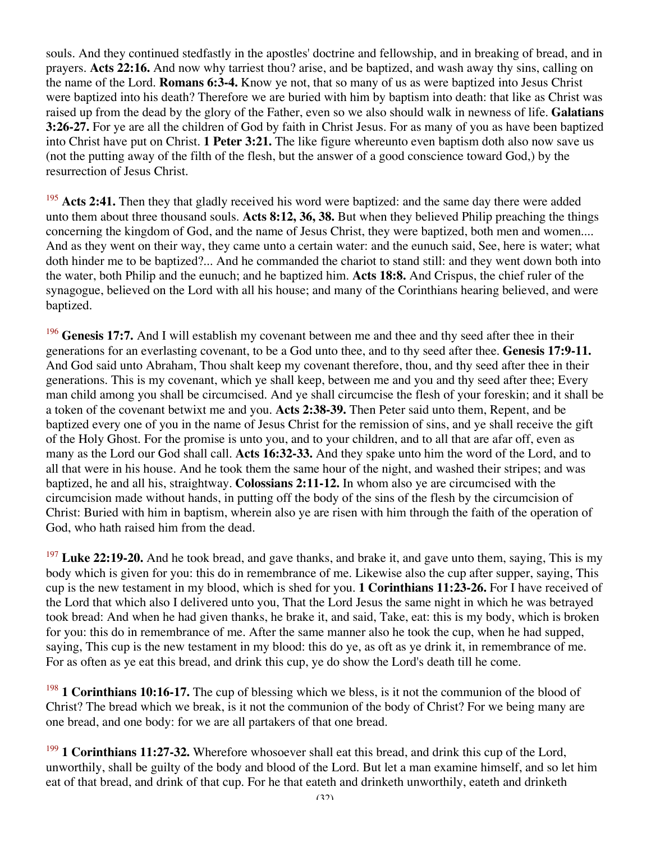souls. And they continued stedfastly in the apostles' doctrine and fellowship, and in breaking of bread, and in prayers. **Acts 22:16.** And now why tarriest thou? arise, and be baptized, and wash away thy sins, calling on the name of the Lord. **Romans 6:3-4.** Know ye not, that so many of us as were baptized into Jesus Christ were baptized into his death? Therefore we are buried with him by baptism into death: that like as Christ was raised up from the dead by the glory of the Father, even so we also should walk in newness of life. **Galatians 3:26-27.** For ye are all the children of God by faith in Christ Jesus. For as many of you as have been baptized into Christ have put on Christ. **1 Peter 3:21.** The like figure whereunto even baptism doth also now save us (not the putting away of the filth of the flesh, but the answer of a good conscience toward God,) by the resurrection of Jesus Christ.

<sup>195</sup> Acts 2:41. Then they that gladly received his word were baptized: and the same day there were added unto them about three thousand souls. **Acts 8:12, 36, 38.** But when they believed Philip preaching the things concerning the kingdom of God, and the name of Jesus Christ, they were baptized, both men and women.... And as they went on their way, they came unto a certain water: and the eunuch said, See, here is water; what doth hinder me to be baptized?... And he commanded the chariot to stand still: and they went down both into the water, both Philip and the eunuch; and he baptized him. **Acts 18:8.** And Crispus, the chief ruler of the synagogue, believed on the Lord with all his house; and many of the Corinthians hearing believed, and were baptized.

<sup>196</sup> Genesis 17:7. And I will establish my covenant between me and thee and thy seed after thee in their generations for an everlasting covenant, to be a God unto thee, and to thy seed after thee. **Genesis 17:9-11.** And God said unto Abraham, Thou shalt keep my covenant therefore, thou, and thy seed after thee in their generations. This is my covenant, which ye shall keep, between me and you and thy seed after thee; Every man child among you shall be circumcised. And ye shall circumcise the flesh of your foreskin; and it shall be a token of the covenant betwixt me and you. **Acts 2:38-39.** Then Peter said unto them, Repent, and be baptized every one of you in the name of Jesus Christ for the remission of sins, and ye shall receive the gift of the Holy Ghost. For the promise is unto you, and to your children, and to all that are afar off, even as many as the Lord our God shall call. **Acts 16:32-33.** And they spake unto him the word of the Lord, and to all that were in his house. And he took them the same hour of the night, and washed their stripes; and was baptized, he and all his, straightway. **Colossians 2:11-12.** In whom also ye are circumcised with the circumcision made without hands, in putting off the body of the sins of the flesh by the circumcision of Christ: Buried with him in baptism, wherein also ye are risen with him through the faith of the operation of God, who hath raised him from the dead.

<sup>197</sup> Luke 22:19-20. And he took bread, and gave thanks, and brake it, and gave unto them, saying, This is my body which is given for you: this do in remembrance of me. Likewise also the cup after supper, saying, This cup is the new testament in my blood, which is shed for you. **1 Corinthians 11:23-26.** For I have received of the Lord that which also I delivered unto you, That the Lord Jesus the same night in which he was betrayed took bread: And when he had given thanks, he brake it, and said, Take, eat: this is my body, which is broken for you: this do in remembrance of me. After the same manner also he took the cup, when he had supped, saying, This cup is the new testament in my blood: this do ye, as oft as ye drink it, in remembrance of me. For as often as ye eat this bread, and drink this cup, ye do show the Lord's death till he come.

<sup>198</sup> **1 Corinthians 10:16-17.** The cup of blessing which we bless, is it not the communion of the blood of Christ? The bread which we break, is it not the communion of the body of Christ? For we being many are one bread, and one body: for we are all partakers of that one bread.

<sup>199</sup> 1 Corinthians 11:27-32. Wherefore whosoever shall eat this bread, and drink this cup of the Lord, unworthily, shall be guilty of the body and blood of the Lord. But let a man examine himself, and so let him eat of that bread, and drink of that cup. For he that eateth and drinketh unworthily, eateth and drinketh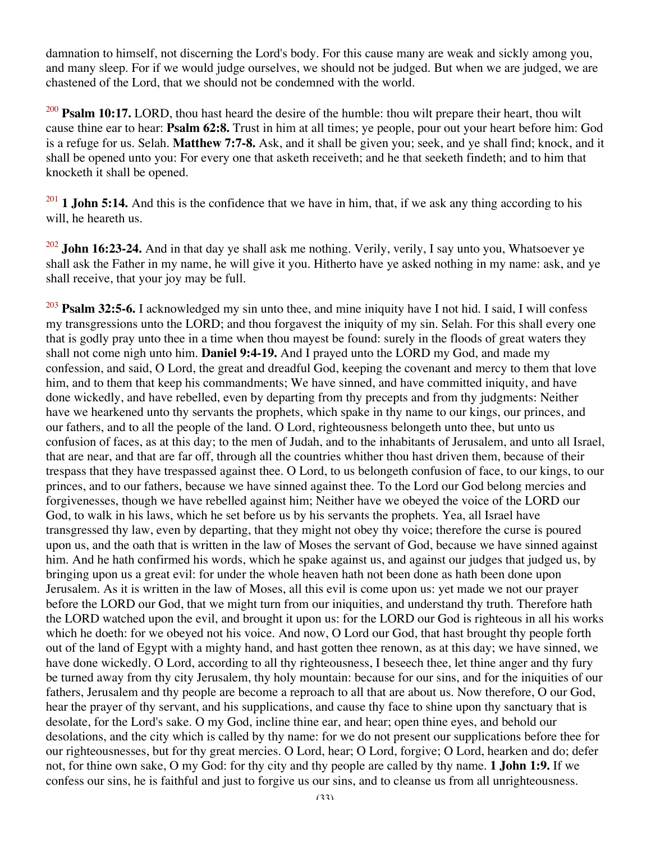damnation to himself, not discerning the Lord's body. For this cause many are weak and sickly among you, and many sleep. For if we would judge ourselves, we should not be judged. But when we are judged, we are chastened of the Lord, that we should not be condemned with the world.

<sup>200</sup> **Psalm 10:17.** LORD, thou hast heard the desire of the humble: thou wilt prepare their heart, thou wilt cause thine ear to hear: **Psalm 62:8.** Trust in him at all times; ye people, pour out your heart before him: God is a refuge for us. Selah. **Matthew 7:7-8.** Ask, and it shall be given you; seek, and ye shall find; knock, and it shall be opened unto you: For every one that asketh receiveth; and he that seeketh findeth; and to him that knocketh it shall be opened.

 $201$  **1 John 5:14.** And this is the confidence that we have in him, that, if we ask any thing according to his will, he heareth us.

<sup>202</sup> **John 16:23-24.** And in that day ye shall ask me nothing. Verily, verily, I say unto you, Whatsoever ye shall ask the Father in my name, he will give it you. Hitherto have ye asked nothing in my name: ask, and ye shall receive, that your joy may be full.

<sup>203</sup> **Psalm 32:5-6.** I acknowledged my sin unto thee, and mine iniquity have I not hid. I said, I will confess my transgressions unto the LORD; and thou forgavest the iniquity of my sin. Selah. For this shall every one that is godly pray unto thee in a time when thou mayest be found: surely in the floods of great waters they shall not come nigh unto him. **Daniel 9:4-19.** And I prayed unto the LORD my God, and made my confession, and said, O Lord, the great and dreadful God, keeping the covenant and mercy to them that love him, and to them that keep his commandments; We have sinned, and have committed iniquity, and have done wickedly, and have rebelled, even by departing from thy precepts and from thy judgments: Neither have we hearkened unto thy servants the prophets, which spake in thy name to our kings, our princes, and our fathers, and to all the people of the land. O Lord, righteousness belongeth unto thee, but unto us confusion of faces, as at this day; to the men of Judah, and to the inhabitants of Jerusalem, and unto all Israel, that are near, and that are far off, through all the countries whither thou hast driven them, because of their trespass that they have trespassed against thee. O Lord, to us belongeth confusion of face, to our kings, to our princes, and to our fathers, because we have sinned against thee. To the Lord our God belong mercies and forgivenesses, though we have rebelled against him; Neither have we obeyed the voice of the LORD our God, to walk in his laws, which he set before us by his servants the prophets. Yea, all Israel have transgressed thy law, even by departing, that they might not obey thy voice; therefore the curse is poured upon us, and the oath that is written in the law of Moses the servant of God, because we have sinned against him. And he hath confirmed his words, which he spake against us, and against our judges that judged us, by bringing upon us a great evil: for under the whole heaven hath not been done as hath been done upon Jerusalem. As it is written in the law of Moses, all this evil is come upon us: yet made we not our prayer before the LORD our God, that we might turn from our iniquities, and understand thy truth. Therefore hath the LORD watched upon the evil, and brought it upon us: for the LORD our God is righteous in all his works which he doeth: for we obeyed not his voice. And now, O Lord our God, that hast brought thy people forth out of the land of Egypt with a mighty hand, and hast gotten thee renown, as at this day; we have sinned, we have done wickedly. O Lord, according to all thy righteousness, I beseech thee, let thine anger and thy fury be turned away from thy city Jerusalem, thy holy mountain: because for our sins, and for the iniquities of our fathers, Jerusalem and thy people are become a reproach to all that are about us. Now therefore, O our God, hear the prayer of thy servant, and his supplications, and cause thy face to shine upon thy sanctuary that is desolate, for the Lord's sake. O my God, incline thine ear, and hear; open thine eyes, and behold our desolations, and the city which is called by thy name: for we do not present our supplications before thee for our righteousnesses, but for thy great mercies. O Lord, hear; O Lord, forgive; O Lord, hearken and do; defer not, for thine own sake, O my God: for thy city and thy people are called by thy name. **1 John 1:9.** If we confess our sins, he is faithful and just to forgive us our sins, and to cleanse us from all unrighteousness.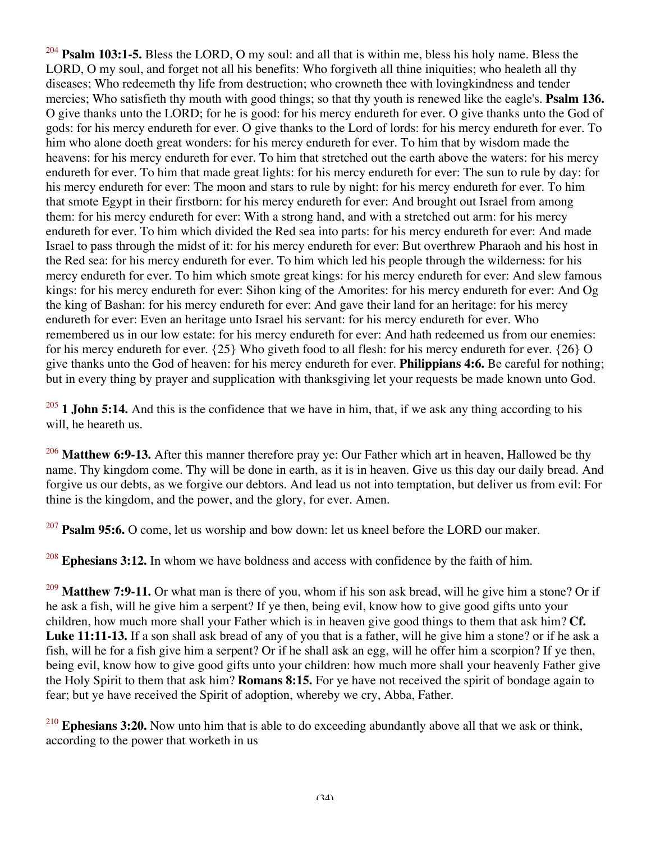<sup>204</sup> **Psalm 103:1-5.** Bless the LORD, O my soul: and all that is within me, bless his holy name. Bless the LORD, O my soul, and forget not all his benefits: Who forgiveth all thine iniquities; who healeth all thy diseases; Who redeemeth thy life from destruction; who crowneth thee with lovingkindness and tender mercies; Who satisfieth thy mouth with good things; so that thy youth is renewed like the eagle's. **Psalm 136.** O give thanks unto the LORD; for he is good: for his mercy endureth for ever. O give thanks unto the God of gods: for his mercy endureth for ever. O give thanks to the Lord of lords: for his mercy endureth for ever. To him who alone doeth great wonders: for his mercy endureth for ever. To him that by wisdom made the heavens: for his mercy endureth for ever. To him that stretched out the earth above the waters: for his mercy endureth for ever. To him that made great lights: for his mercy endureth for ever: The sun to rule by day: for his mercy endureth for ever: The moon and stars to rule by night: for his mercy endureth for ever. To him that smote Egypt in their firstborn: for his mercy endureth for ever: And brought out Israel from among them: for his mercy endureth for ever: With a strong hand, and with a stretched out arm: for his mercy endureth for ever. To him which divided the Red sea into parts: for his mercy endureth for ever: And made Israel to pass through the midst of it: for his mercy endureth for ever: But overthrew Pharaoh and his host in the Red sea: for his mercy endureth for ever. To him which led his people through the wilderness: for his mercy endureth for ever. To him which smote great kings: for his mercy endureth for ever: And slew famous kings: for his mercy endureth for ever: Sihon king of the Amorites: for his mercy endureth for ever: And Og the king of Bashan: for his mercy endureth for ever: And gave their land for an heritage: for his mercy endureth for ever: Even an heritage unto Israel his servant: for his mercy endureth for ever. Who remembered us in our low estate: for his mercy endureth for ever: And hath redeemed us from our enemies: for his mercy endureth for ever. {25} Who giveth food to all flesh: for his mercy endureth for ever. {26} O give thanks unto the God of heaven: for his mercy endureth for ever. **Philippians 4:6.** Be careful for nothing; but in every thing by prayer and supplication with thanksgiving let your requests be made known unto God.

<sup>205</sup> **1 John 5:14.** And this is the confidence that we have in him, that, if we ask any thing according to his will, he heareth us.

<sup>206</sup> **Matthew 6:9-13.** After this manner therefore pray ye: Our Father which art in heaven, Hallowed be thy name. Thy kingdom come. Thy will be done in earth, as it is in heaven. Give us this day our daily bread. And forgive us our debts, as we forgive our debtors. And lead us not into temptation, but deliver us from evil: For thine is the kingdom, and the power, and the glory, for ever. Amen.

**Psalm 95:6.** O come, let us worship and bow down: let us kneel before the LORD our maker.

<sup>208</sup> **Ephesians 3:12.** In whom we have boldness and access with confidence by the faith of him.

<sup>209</sup> Matthew 7:9-11. Or what man is there of you, whom if his son ask bread, will he give him a stone? Or if he ask a fish, will he give him a serpent? If ye then, being evil, know how to give good gifts unto your children, how much more shall your Father which is in heaven give good things to them that ask him? **Cf. Luke 11:11-13.** If a son shall ask bread of any of you that is a father, will he give him a stone? or if he ask a fish, will he for a fish give him a serpent? Or if he shall ask an egg, will he offer him a scorpion? If ye then, being evil, know how to give good gifts unto your children: how much more shall your heavenly Father give the Holy Spirit to them that ask him? **Romans 8:15.** For ye have not received the spirit of bondage again to fear; but ye have received the Spirit of adoption, whereby we cry, Abba, Father.

<sup>210</sup> **Ephesians 3:20.** Now unto him that is able to do exceeding abundantly above all that we ask or think, according to the power that worketh in us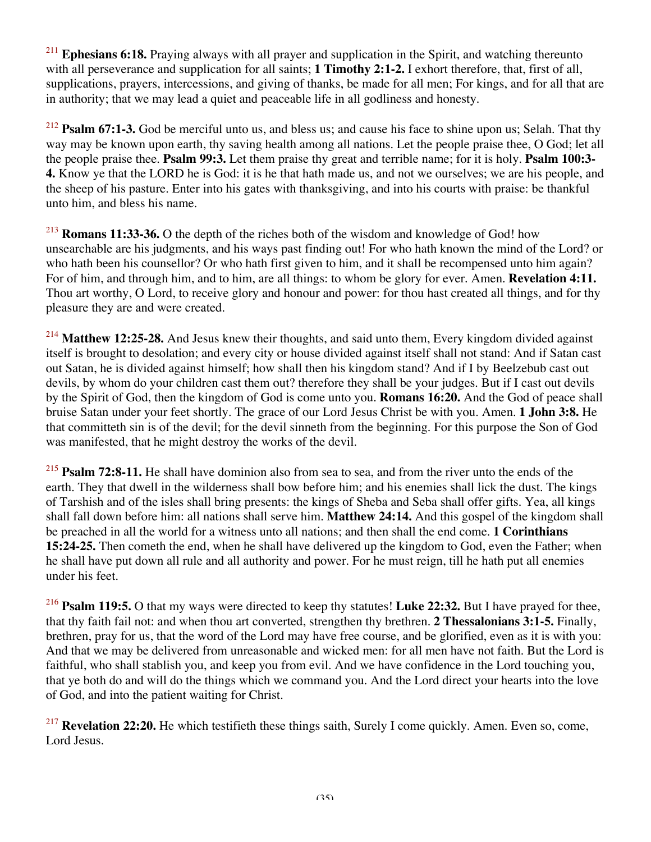<sup>211</sup> **Ephesians 6:18.** Praying always with all prayer and supplication in the Spirit, and watching thereunto with all perseverance and supplication for all saints; **1 Timothy 2:1-2.** I exhort therefore, that, first of all, supplications, prayers, intercessions, and giving of thanks, be made for all men; For kings, and for all that are in authority; that we may lead a quiet and peaceable life in all godliness and honesty.

<sup>212</sup> **Psalm 67:1-3.** God be merciful unto us, and bless us; and cause his face to shine upon us; Selah. That thy way may be known upon earth, thy saving health among all nations. Let the people praise thee, O God; let all the people praise thee. **Psalm 99:3.** Let them praise thy great and terrible name; for it is holy. **Psalm 100:3- 4.** Know ye that the LORD he is God: it is he that hath made us, and not we ourselves; we are his people, and the sheep of his pasture. Enter into his gates with thanksgiving, and into his courts with praise: be thankful unto him, and bless his name.

<sup>213</sup> **Romans 11:33-36.** O the depth of the riches both of the wisdom and knowledge of God! how unsearchable are his judgments, and his ways past finding out! For who hath known the mind of the Lord? or who hath been his counsellor? Or who hath first given to him, and it shall be recompensed unto him again? For of him, and through him, and to him, are all things: to whom be glory for ever. Amen. **Revelation 4:11.** Thou art worthy, O Lord, to receive glory and honour and power: for thou hast created all things, and for thy pleasure they are and were created.

<sup>214</sup> **Matthew 12:25-28.** And Jesus knew their thoughts, and said unto them, Every kingdom divided against itself is brought to desolation; and every city or house divided against itself shall not stand: And if Satan cast out Satan, he is divided against himself; how shall then his kingdom stand? And if I by Beelzebub cast out devils, by whom do your children cast them out? therefore they shall be your judges. But if I cast out devils by the Spirit of God, then the kingdom of God is come unto you. **Romans 16:20.** And the God of peace shall bruise Satan under your feet shortly. The grace of our Lord Jesus Christ be with you. Amen. **1 John 3:8.** He that committeth sin is of the devil; for the devil sinneth from the beginning. For this purpose the Son of God was manifested, that he might destroy the works of the devil.

<sup>215</sup> **Psalm 72:8-11.** He shall have dominion also from sea to sea, and from the river unto the ends of the earth. They that dwell in the wilderness shall bow before him; and his enemies shall lick the dust. The kings of Tarshish and of the isles shall bring presents: the kings of Sheba and Seba shall offer gifts. Yea, all kings shall fall down before him: all nations shall serve him. **Matthew 24:14.** And this gospel of the kingdom shall be preached in all the world for a witness unto all nations; and then shall the end come. **1 Corinthians 15:24-25.** Then cometh the end, when he shall have delivered up the kingdom to God, even the Father; when he shall have put down all rule and all authority and power. For he must reign, till he hath put all enemies under his feet.

<sup>216</sup> **Psalm 119:5.** O that my ways were directed to keep thy statutes! **Luke 22:32.** But I have prayed for thee, that thy faith fail not: and when thou art converted, strengthen thy brethren. **2 Thessalonians 3:1-5.** Finally, brethren, pray for us, that the word of the Lord may have free course, and be glorified, even as it is with you: And that we may be delivered from unreasonable and wicked men: for all men have not faith. But the Lord is faithful, who shall stablish you, and keep you from evil. And we have confidence in the Lord touching you, that ye both do and will do the things which we command you. And the Lord direct your hearts into the love of God, and into the patient waiting for Christ.

<sup>217</sup> **Revelation 22:20.** He which testifieth these things saith, Surely I come quickly. Amen. Even so, come, Lord Jesus.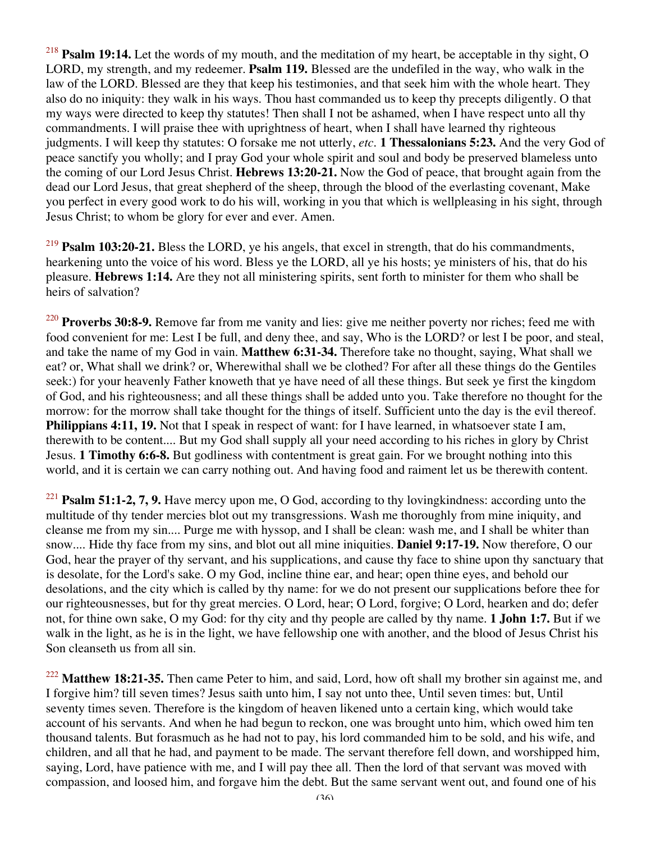<sup>218</sup> **Psalm 19:14.** Let the words of my mouth, and the meditation of my heart, be acceptable in thy sight, O LORD, my strength, and my redeemer. **Psalm 119.** Blessed are the undefiled in the way, who walk in the law of the LORD. Blessed are they that keep his testimonies, and that seek him with the whole heart. They also do no iniquity: they walk in his ways. Thou hast commanded us to keep thy precepts diligently. O that my ways were directed to keep thy statutes! Then shall I not be ashamed, when I have respect unto all thy commandments. I will praise thee with uprightness of heart, when I shall have learned thy righteous judgments. I will keep thy statutes: O forsake me not utterly, *etc.* **1 Thessalonians 5:23.** And the very God of peace sanctify you wholly; and I pray God your whole spirit and soul and body be preserved blameless unto the coming of our Lord Jesus Christ. **Hebrews 13:20-21.** Now the God of peace, that brought again from the dead our Lord Jesus, that great shepherd of the sheep, through the blood of the everlasting covenant, Make you perfect in every good work to do his will, working in you that which is wellpleasing in his sight, through Jesus Christ; to whom be glory for ever and ever. Amen.

<sup>219</sup> **Psalm 103:20-21.** Bless the LORD, ye his angels, that excel in strength, that do his commandments, hearkening unto the voice of his word. Bless ye the LORD, all ye his hosts; ye ministers of his, that do his pleasure. **Hebrews 1:14.** Are they not all ministering spirits, sent forth to minister for them who shall be heirs of salvation?

<sup>220</sup> **Proverbs 30:8-9.** Remove far from me vanity and lies: give me neither poverty nor riches; feed me with food convenient for me: Lest I be full, and deny thee, and say, Who is the LORD? or lest I be poor, and steal, and take the name of my God in vain. **Matthew 6:31-34.** Therefore take no thought, saying, What shall we eat? or, What shall we drink? or, Wherewithal shall we be clothed? For after all these things do the Gentiles seek:) for your heavenly Father knoweth that ye have need of all these things. But seek ye first the kingdom of God, and his righteousness; and all these things shall be added unto you. Take therefore no thought for the morrow: for the morrow shall take thought for the things of itself. Sufficient unto the day is the evil thereof. **Philippians 4:11, 19.** Not that I speak in respect of want: for I have learned, in whatsoever state I am, therewith to be content.... But my God shall supply all your need according to his riches in glory by Christ Jesus. **1 Timothy 6:6-8.** But godliness with contentment is great gain. For we brought nothing into this world, and it is certain we can carry nothing out. And having food and raiment let us be therewith content.

<sup>221</sup> **Psalm 51:1-2, 7, 9.** Have mercy upon me, O God, according to thy lovingkindness: according unto the multitude of thy tender mercies blot out my transgressions. Wash me thoroughly from mine iniquity, and cleanse me from my sin.... Purge me with hyssop, and I shall be clean: wash me, and I shall be whiter than snow.... Hide thy face from my sins, and blot out all mine iniquities. **Daniel 9:17-19.** Now therefore, O our God, hear the prayer of thy servant, and his supplications, and cause thy face to shine upon thy sanctuary that is desolate, for the Lord's sake. O my God, incline thine ear, and hear; open thine eyes, and behold our desolations, and the city which is called by thy name: for we do not present our supplications before thee for our righteousnesses, but for thy great mercies. O Lord, hear; O Lord, forgive; O Lord, hearken and do; defer not, for thine own sake, O my God: for thy city and thy people are called by thy name. **1 John 1:7.** But if we walk in the light, as he is in the light, we have fellowship one with another, and the blood of Jesus Christ his Son cleanseth us from all sin.

<sup>222</sup> Matthew 18:21-35. Then came Peter to him, and said, Lord, how oft shall my brother sin against me, and I forgive him? till seven times? Jesus saith unto him, I say not unto thee, Until seven times: but, Until seventy times seven. Therefore is the kingdom of heaven likened unto a certain king, which would take account of his servants. And when he had begun to reckon, one was brought unto him, which owed him ten thousand talents. But forasmuch as he had not to pay, his lord commanded him to be sold, and his wife, and children, and all that he had, and payment to be made. The servant therefore fell down, and worshipped him, saying, Lord, have patience with me, and I will pay thee all. Then the lord of that servant was moved with compassion, and loosed him, and forgave him the debt. But the same servant went out, and found one of his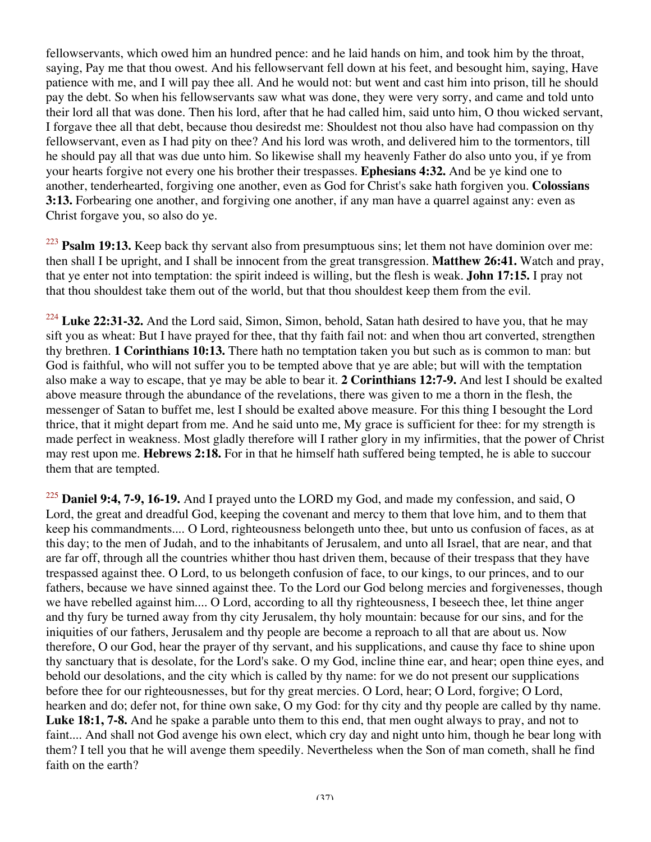fellowservants, which owed him an hundred pence: and he laid hands on him, and took him by the throat, saying, Pay me that thou owest. And his fellowservant fell down at his feet, and besought him, saying, Have patience with me, and I will pay thee all. And he would not: but went and cast him into prison, till he should pay the debt. So when his fellowservants saw what was done, they were very sorry, and came and told unto their lord all that was done. Then his lord, after that he had called him, said unto him, O thou wicked servant, I forgave thee all that debt, because thou desiredst me: Shouldest not thou also have had compassion on thy fellowservant, even as I had pity on thee? And his lord was wroth, and delivered him to the tormentors, till he should pay all that was due unto him. So likewise shall my heavenly Father do also unto you, if ye from your hearts forgive not every one his brother their trespasses. **Ephesians 4:32.** And be ye kind one to another, tenderhearted, forgiving one another, even as God for Christ's sake hath forgiven you. **Colossians 3:13.** Forbearing one another, and forgiving one another, if any man have a quarrel against any: even as Christ forgave you, so also do ye.

<sup>223</sup> **Psalm 19:13.** Keep back thy servant also from presumptuous sins; let them not have dominion over me: then shall I be upright, and I shall be innocent from the great transgression. **Matthew 26:41.** Watch and pray, that ye enter not into temptation: the spirit indeed is willing, but the flesh is weak. **John 17:15.** I pray not that thou shouldest take them out of the world, but that thou shouldest keep them from the evil.

<sup>224</sup> Luke 22:31-32. And the Lord said, Simon, Simon, behold, Satan hath desired to have you, that he may sift you as wheat: But I have prayed for thee, that thy faith fail not: and when thou art converted, strengthen thy brethren. **1 Corinthians 10:13.** There hath no temptation taken you but such as is common to man: but God is faithful, who will not suffer you to be tempted above that ye are able; but will with the temptation also make a way to escape, that ye may be able to bear it. **2 Corinthians 12:7-9.** And lest I should be exalted above measure through the abundance of the revelations, there was given to me a thorn in the flesh, the messenger of Satan to buffet me, lest I should be exalted above measure. For this thing I besought the Lord thrice, that it might depart from me. And he said unto me, My grace is sufficient for thee: for my strength is made perfect in weakness. Most gladly therefore will I rather glory in my infirmities, that the power of Christ may rest upon me. **Hebrews 2:18.** For in that he himself hath suffered being tempted, he is able to succour them that are tempted.

<sup>225</sup> **Daniel 9:4, 7-9, 16-19.** And I prayed unto the LORD my God, and made my confession, and said, O Lord, the great and dreadful God, keeping the covenant and mercy to them that love him, and to them that keep his commandments.... O Lord, righteousness belongeth unto thee, but unto us confusion of faces, as at this day; to the men of Judah, and to the inhabitants of Jerusalem, and unto all Israel, that are near, and that are far off, through all the countries whither thou hast driven them, because of their trespass that they have trespassed against thee. O Lord, to us belongeth confusion of face, to our kings, to our princes, and to our fathers, because we have sinned against thee. To the Lord our God belong mercies and forgivenesses, though we have rebelled against him.... O Lord, according to all thy righteousness, I beseech thee, let thine anger and thy fury be turned away from thy city Jerusalem, thy holy mountain: because for our sins, and for the iniquities of our fathers, Jerusalem and thy people are become a reproach to all that are about us. Now therefore, O our God, hear the prayer of thy servant, and his supplications, and cause thy face to shine upon thy sanctuary that is desolate, for the Lord's sake. O my God, incline thine ear, and hear; open thine eyes, and behold our desolations, and the city which is called by thy name: for we do not present our supplications before thee for our righteousnesses, but for thy great mercies. O Lord, hear; O Lord, forgive; O Lord, hearken and do; defer not, for thine own sake, O my God: for thy city and thy people are called by thy name. **Luke 18:1, 7-8.** And he spake a parable unto them to this end, that men ought always to pray, and not to faint.... And shall not God avenge his own elect, which cry day and night unto him, though he bear long with them? I tell you that he will avenge them speedily. Nevertheless when the Son of man cometh, shall he find faith on the earth?